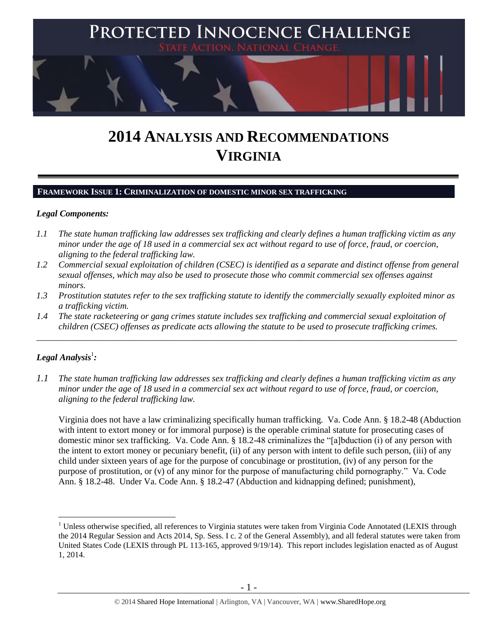

# **2014 ANALYSIS AND RECOMMENDATIONS VIRGINIA**

#### **FRAMEWORK ISSUE 1: CRIMINALIZATION OF DOMESTIC MINOR SEX TRAFFICKING**

## *Legal Components:*

- *1.1 The state human trafficking law addresses sex trafficking and clearly defines a human trafficking victim as any minor under the age of 18 used in a commercial sex act without regard to use of force, fraud, or coercion, aligning to the federal trafficking law.*
- *1.2 Commercial sexual exploitation of children (CSEC) is identified as a separate and distinct offense from general sexual offenses, which may also be used to prosecute those who commit commercial sex offenses against minors.*
- *1.3 Prostitution statutes refer to the sex trafficking statute to identify the commercially sexually exploited minor as a trafficking victim.*
- *1.4 The state racketeering or gang crimes statute includes sex trafficking and commercial sexual exploitation of children (CSEC) offenses as predicate acts allowing the statute to be used to prosecute trafficking crimes.*

\_\_\_\_\_\_\_\_\_\_\_\_\_\_\_\_\_\_\_\_\_\_\_\_\_\_\_\_\_\_\_\_\_\_\_\_\_\_\_\_\_\_\_\_\_\_\_\_\_\_\_\_\_\_\_\_\_\_\_\_\_\_\_\_\_\_\_\_\_\_\_\_\_\_\_\_\_\_\_\_\_\_\_\_\_\_\_\_\_\_\_\_\_\_

# $\bm{L}$ egal Analysis $^1$ :

 $\overline{a}$ 

*1.1 The state human trafficking law addresses sex trafficking and clearly defines a human trafficking victim as any minor under the age of 18 used in a commercial sex act without regard to use of force, fraud, or coercion, aligning to the federal trafficking law.*

Virginia does not have a law criminalizing specifically human trafficking. Va. Code Ann. § 18.2-48 (Abduction with intent to extort money or for immoral purpose) is the operable criminal statute for prosecuting cases of domestic minor sex trafficking. Va. Code Ann. § 18.2-48 criminalizes the "[a]bduction (i) of any person with the intent to extort money or pecuniary benefit, (ii) of any person with intent to defile such person, (iii) of any child under sixteen years of age for the purpose of concubinage or prostitution, (iv) of any person for the purpose of prostitution, or (v) of any minor for the purpose of manufacturing child pornography." Va. Code Ann. § 18.2-48. Under Va. Code Ann. § 18.2-47 (Abduction and kidnapping defined; punishment),

 $1$  Unless otherwise specified, all references to Virginia statutes were taken from Virginia Code Annotated (LEXIS through the 2014 Regular Session and Acts 2014, Sp. Sess. I c. 2 of the General Assembly), and all federal statutes were taken from United States Code (LEXIS through PL 113-165, approved 9/19/14). This report includes legislation enacted as of August 1, 2014.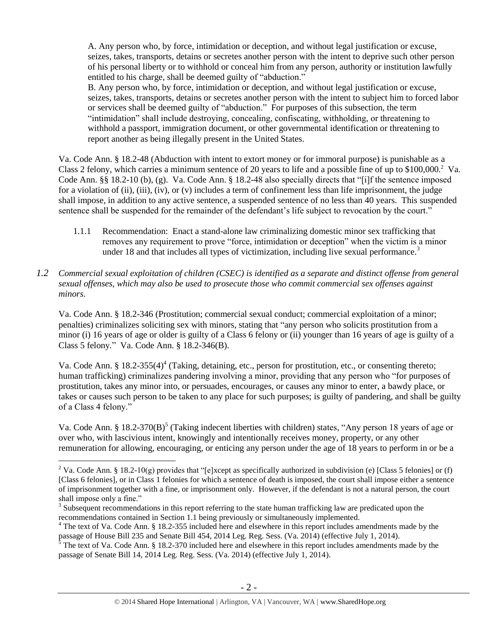A. Any person who, by force, intimidation or deception, and without legal justification or excuse, seizes, takes, transports, detains or secretes another person with the intent to deprive such other person of his personal liberty or to withhold or conceal him from any person, authority or institution lawfully entitled to his charge, shall be deemed guilty of "abduction."

<span id="page-1-0"></span>B. Any person who, by force, intimidation or deception, and without legal justification or excuse, seizes, takes, transports, detains or secretes another person with the intent to subject him to forced labor or services shall be deemed guilty of "abduction." For purposes of this subsection, the term "intimidation" shall include destroying, concealing, confiscating, withholding, or threatening to withhold a passport, immigration document, or other governmental identification or threatening to report another as being illegally present in the United States.

Va. Code Ann. § 18.2-48 (Abduction with intent to extort money or for immoral purpose) is punishable as a Class 2 felony, which carries a minimum sentence of 20 years to life and a possible fine of up to  $$100,000$ .<sup>2</sup> Va. Code Ann. §§ 18.2-10 (b), (g). Va. Code Ann. § 18.2-48 also specially directs that "[i]f the sentence imposed for a violation of (ii), (iii), (iv), or (v) includes a term of confinement less than life imprisonment, the judge shall impose, in addition to any active sentence, a suspended sentence of no less than 40 years. This suspended sentence shall be suspended for the remainder of the defendant's life subject to revocation by the court."

- 1.1.1 Recommendation: Enact a stand-alone law criminalizing domestic minor sex trafficking that removes any requirement to prove "force, intimidation or deception" when the victim is a minor under 18 and that includes all types of victimization, including live sexual performance.<sup>3</sup>
- *1.2 Commercial sexual exploitation of children (CSEC) is identified as a separate and distinct offense from general sexual offenses, which may also be used to prosecute those who commit commercial sex offenses against minors.*

Va. Code Ann. § 18.2-346 (Prostitution; commercial sexual conduct; commercial exploitation of a minor; penalties) criminalizes soliciting sex with minors, stating that "any person who solicits prostitution from a minor (i) 16 years of age or older is guilty of a Class 6 felony or (ii) younger than 16 years of age is guilty of a Class 5 felony*.*" Va. Code Ann. § 18.2-346(B).

<span id="page-1-2"></span>Va. Code Ann. § 18.2-355(4)<sup>4</sup> (Taking, detaining, etc., person for prostitution, etc., or consenting thereto; human trafficking) criminalizes pandering involving a minor, providing that any person who "for purposes of prostitution, takes any minor into, or persuades, encourages, or causes any minor to enter, a bawdy place, or takes or causes such person to be taken to any place for such purposes; is guilty of pandering, and shall be guilty of a Class 4 felony."

<span id="page-1-1"></span>Va. Code Ann. § 18.2-370(B)<sup>5</sup> (Taking indecent liberties with children) states, "Any person 18 years of age or over who, with lascivious intent, knowingly and intentionally receives money, property, or any other remuneration for allowing, encouraging, or enticing any person under the age of 18 years to perform in or be a

<sup>&</sup>lt;sup>2</sup> Va. Code Ann. § 18.2-10(g) provides that "[e]xcept as specifically authorized in subdivision (e) [Class 5 felonies] or (f) [Class 6 felonies], or in Class 1 felonies for which a sentence of death is imposed, the court shall impose either a sentence of imprisonment together with a fine, or imprisonment only. However, if the defendant is not a natural person, the court shall impose only a fine."

 $3$  Subsequent recommendations in this report referring to the state human trafficking law are predicated upon the recommendations contained in Section 1.1 being previously or simultaneously implemented.

 $4$  The text of Va. Code Ann. § 18.2-355 included here and elsewhere in this report includes amendments made by the passage of House Bill 235 and Senate Bill 454, 2014 Leg. Reg. Sess. (Va. 2014) (effective July 1, 2014).

<sup>5</sup> The text of Va. Code Ann. § 18.2-370 included here and elsewhere in this report includes amendments made by the passage of Senate Bill 14, 2014 Leg. Reg. Sess. (Va. 2014) (effective July 1, 2014).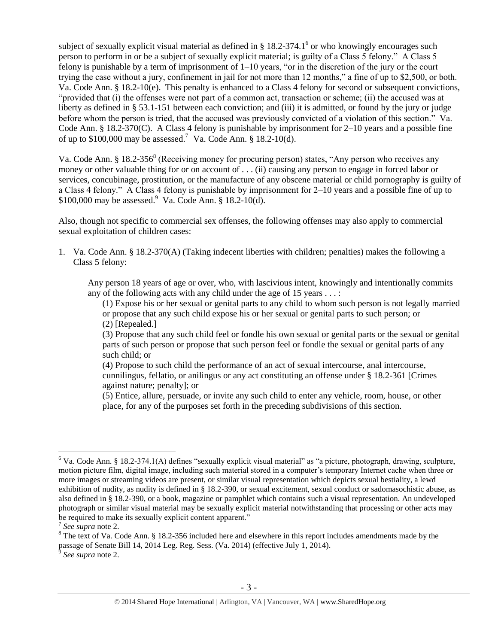subject of sexually explicit visual material as defined in  $\S 18.2$ -374.1<sup>6</sup> or who knowingly encourages such person to perform in or be a subject of sexually explicit material; is guilty of a Class 5 felony." A Class 5 felony is punishable by a term of imprisonment of 1–10 years, "or in the discretion of the jury or the court trying the case without a jury, confinement in jail for not more than 12 months," a fine of up to \$2,500, or both. Va. Code Ann. § 18.2-10(e). This penalty is enhanced to a Class 4 felony for second or subsequent convictions, "provided that (i) the offenses were not part of a common act, transaction or scheme; (ii) the accused was at liberty as defined in § 53.1-151 between each conviction; and (iii) it is admitted, or found by the jury or judge before whom the person is tried, that the accused was previously convicted of a violation of this section." Va. Code Ann. § 18.2-370(C). A Class 4 felony is punishable by imprisonment for 2–10 years and a possible fine of up to  $$100,000$  may be assessed.<sup>7</sup> Va. Code Ann. § 18.2-10(d).

<span id="page-2-0"></span>Va. Code Ann. § 18.2-356<sup>8</sup> (Receiving money for procuring person) states, "Any person who receives any money or other valuable thing for or on account of . . . (ii) causing any person to engage in forced labor or services, concubinage, prostitution, or the manufacture of any obscene material or child pornography is guilty of a Class 4 felony." A Class 4 felony is punishable by imprisonment for 2–10 years and a possible fine of up to  $$100,000$  may be assessed. Va. Code Ann. § 18.2-10(d).

Also, though not specific to commercial sex offenses, the following offenses may also apply to commercial sexual exploitation of children cases:

1. Va. Code Ann. § 18.2-370(A) (Taking indecent liberties with children; penalties) makes the following a Class 5 felony:

Any person 18 years of age or over, who, with lascivious intent, knowingly and intentionally commits any of the following acts with any child under the age of 15 years  $\dots$ :

(1) Expose his or her sexual or genital parts to any child to whom such person is not legally married or propose that any such child expose his or her sexual or genital parts to such person; or (2) [Repealed.]

(3) Propose that any such child feel or fondle his own sexual or genital parts or the sexual or genital parts of such person or propose that such person feel or fondle the sexual or genital parts of any such child; or

(4) Propose to such child the performance of an act of sexual intercourse, anal intercourse, cunnilingus, fellatio, or anilingus or any act constituting an offense under § 18.2-361 [Crimes against nature; penalty]; or

(5) Entice, allure, persuade, or invite any such child to enter any vehicle, room, house, or other place, for any of the purposes set forth in the preceding subdivisions of this section.

 $6$  Va. Code Ann. § 18.2-374.1(A) defines "sexually explicit visual material" as "a picture, photograph, drawing, sculpture, motion picture film, digital image, including such material stored in a computer's temporary Internet cache when three or more images or streaming videos are present, or similar visual representation which depicts sexual bestiality, a lewd exhibition of nudity, as nudity is defined in § 18.2-390, or sexual excitement, sexual conduct or sadomasochistic abuse, as also defined in § 18.2-390, or a book, magazine or pamphlet which contains such a visual representation. An undeveloped photograph or similar visual material may be sexually explicit material notwithstanding that processing or other acts may be required to make its sexually explicit content apparent."

<sup>7</sup> *See supra* note [2.](#page-1-0)

 $8$  The text of Va. Code Ann. § 18.2-356 included here and elsewhere in this report includes amendments made by the passage of Senate Bill 14, 2014 Leg. Reg. Sess. (Va. 2014) (effective July 1, 2014).

*See supra* note [2.](#page-1-0)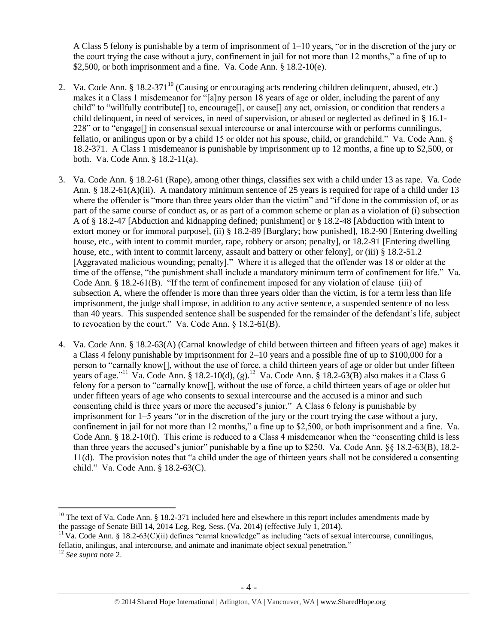<span id="page-3-0"></span>A Class 5 felony is punishable by a term of imprisonment of 1–10 years, "or in the discretion of the jury or the court trying the case without a jury, confinement in jail for not more than 12 months," a fine of up to \$2,500, or both imprisonment and a fine. Va. Code Ann.  $\S$  18.2-10(e).

- 2. Va. Code Ann. § 18.2-371<sup>10</sup> (Causing or encouraging acts rendering children delinquent, abused, etc.) makes it a Class 1 misdemeanor for "[a]ny person 18 years of age or older, including the parent of any child" to "willfully contribute[] to, encourage[], or cause[] any act, omission, or condition that renders a child delinquent, in need of services, in need of supervision, or abused or neglected as defined in § 16.1- 228" or to "engage[] in consensual sexual intercourse or anal intercourse with or performs cunnilingus, fellatio, or anilingus upon or by a child 15 or older not his spouse, child, or grandchild." Va. Code Ann. § 18.2-371. A Class 1 misdemeanor is punishable by imprisonment up to 12 months, a fine up to \$2,500, or both. Va. Code Ann. § 18.2-11(a).
- 3. Va. Code Ann. § 18.2-61 (Rape), among other things, classifies sex with a child under 13 as rape. Va. Code Ann. § 18.2-61(A)(iii). A mandatory minimum sentence of 25 years is required for rape of a child under 13 where the offender is "more than three years older than the victim" and "if done in the commission of, or as part of the same course of conduct as, or as part of a common scheme or plan as a violation of (i) subsection A of § 18.2-47 [Abduction and kidnapping defined; punishment] or § 18.2-48 [Abduction with intent to extort money or for immoral purpose], (ii) § 18.2-89 [Burglary; how punished], 18.2-90 [Entering dwelling house, etc., with intent to commit murder, rape, robbery or arson; penalty], or 18.2-91 [Entering dwelling house, etc., with intent to commit larceny, assault and battery or other felony], or (iii) § 18.2-51.2 [Aggravated malicious wounding; penalty]." Where it is alleged that the offender was 18 or older at the time of the offense, "the punishment shall include a mandatory minimum term of confinement for life." Va. Code Ann. § 18.2-61(B). "If the term of confinement imposed for any violation of clause (iii) of subsection A, where the offender is more than three years older than the victim, is for a term less than life imprisonment, the judge shall impose, in addition to any active sentence, a suspended sentence of no less than 40 years. This suspended sentence shall be suspended for the remainder of the defendant's life, subject to revocation by the court." Va. Code Ann. § 18.2-61(B).
- 4. Va. Code Ann. § 18.2-63(A) (Carnal knowledge of child between thirteen and fifteen years of age) makes it a Class 4 felony punishable by imprisonment for 2–10 years and a possible fine of up to \$100,000 for a person to "carnally know[], without the use of force, a child thirteen years of age or older but under fifteen years of age."<sup>11</sup> Va. Code Ann. § 18.2-10(d), (g).<sup>12</sup> Va. Code Ann. § 18.2-63(B) also makes it a Class 6 felony for a person to "carnally know[], without the use of force, a child thirteen years of age or older but under fifteen years of age who consents to sexual intercourse and the accused is a minor and such consenting child is three years or more the accused's junior." A Class 6 felony is punishable by imprisonment for 1–5 years "or in the discretion of the jury or the court trying the case without a jury, confinement in jail for not more than 12 months," a fine up to \$2,500, or both imprisonment and a fine. Va. Code Ann. § 18.2-10(f). This crime is reduced to a Class 4 misdemeanor when the "consenting child is less than three years the accused's junior" punishable by a fine up to \$250. Va. Code Ann. §§ 18.2-63(B), 18.2- 11(d). The provision notes that "a child under the age of thirteen years shall not be considered a consenting child." Va. Code Ann. § 18.2-63(C).

<sup>&</sup>lt;sup>10</sup> The text of Va. Code Ann. § 18.2-371 included here and elsewhere in this report includes amendments made by the passage of Senate Bill 14, 2014 Leg. Reg. Sess. (Va. 2014) (effective July 1, 2014).

 $11$  Va. Code Ann. § 18.2-63(C)(ii) defines "carnal knowledge" as including "acts of sexual intercourse, cunnilingus, fellatio, anilingus, anal intercourse, and animate and inanimate object sexual penetration."

<sup>12</sup> *See supra* note [2.](#page-1-0)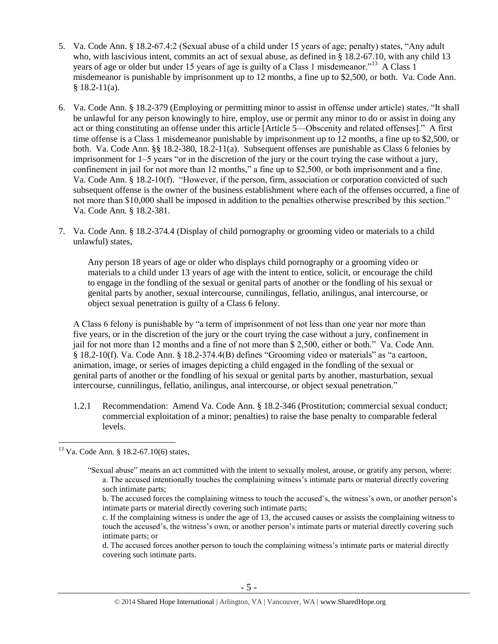- <span id="page-4-0"></span>5. Va. Code Ann. § 18.2-67.4:2 (Sexual abuse of a child under 15 years of age; penalty) states, "Any adult who, with lascivious intent, commits an act of sexual abuse, as defined in § 18.2-67.10, with any child 13 years of age or older but under 15 years of age is guilty of a Class 1 misdemeanor."<sup>13</sup> A Class 1 misdemeanor is punishable by imprisonment up to 12 months, a fine up to \$2,500, or both. Va. Code Ann.  $§$  18.2-11(a).
- 6. Va. Code Ann. § 18.2-379 (Employing or permitting minor to assist in offense under article) states, "It shall be unlawful for any person knowingly to hire, employ, use or permit any minor to do or assist in doing any act or thing constituting an offense under this article [Article 5—Obscenity and related offenses]." A first time offense is a Class 1 misdemeanor punishable by imprisonment up to 12 months, a fine up to \$2,500, or both. Va. Code Ann. §§ 18.2-380, 18.2-11(a). Subsequent offenses are punishable as Class 6 felonies by imprisonment for 1–5 years "or in the discretion of the jury or the court trying the case without a jury, confinement in jail for not more than 12 months," a fine up to \$2,500, or both imprisonment and a fine. Va. Code Ann. § 18.2-10(f). "However, if the person, firm, association or corporation convicted of such subsequent offense is the owner of the business establishment where each of the offenses occurred, a fine of not more than \$10,000 shall be imposed in addition to the penalties otherwise prescribed by this section." Va. Code Ann. § 18.2-381.
- 7. Va. Code Ann. § 18.2-374.4 (Display of child pornography or grooming video or materials to a child unlawful) states,

Any person 18 years of age or older who displays child pornography or a grooming video or materials to a child under 13 years of age with the intent to entice, solicit, or encourage the child to engage in the fondling of the sexual or genital parts of another or the fondling of his sexual or genital parts by another, sexual intercourse, cunnilingus, fellatio, anilingus, anal intercourse, or object sexual penetration is guilty of a Class 6 felony.

A Class 6 felony is punishable by "a term of imprisonment of not less than one year nor more than five years, or in the discretion of the jury or the court trying the case without a jury, confinement in jail for not more than 12 months and a fine of not more than \$ 2,500, either or both." Va. Code Ann. § 18.2-10(f). Va. Code Ann. § 18.2-374.4(B) defines "Grooming video or materials" as "a cartoon, animation, image, or series of images depicting a child engaged in the fondling of the sexual or genital parts of another or the fondling of his sexual or genital parts by another, masturbation, sexual intercourse, cunnilingus, fellatio, anilingus, anal intercourse, or object sexual penetration."

1.2.1 Recommendation: Amend Va. Code Ann. § 18.2-346 (Prostitution; commercial sexual conduct; commercial exploitation of a minor; penalties) to raise the base penalty to comparable federal levels.

b. The accused forces the complaining witness to touch the accused's, the witness's own, or another person's intimate parts or material directly covering such intimate parts;

 $\overline{a}$ <sup>13</sup> Va. Code Ann. § 18.2-67.10(6) states,

<sup>&</sup>quot;Sexual abuse" means an act committed with the intent to sexually molest, arouse, or gratify any person, where: a. The accused intentionally touches the complaining witness's intimate parts or material directly covering such intimate parts;

c. If the complaining witness is under the age of 13, the accused causes or assists the complaining witness to touch the accused's, the witness's own, or another person's intimate parts or material directly covering such intimate parts; or

d. The accused forces another person to touch the complaining witness's intimate parts or material directly covering such intimate parts.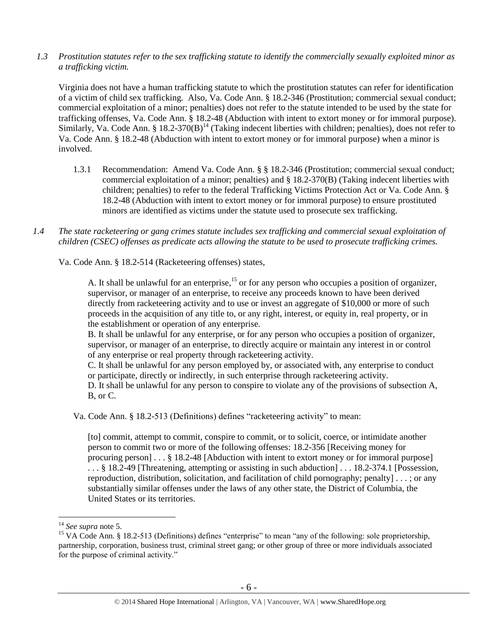*1.3 Prostitution statutes refer to the sex trafficking statute to identify the commercially sexually exploited minor as a trafficking victim.* 

Virginia does not have a human trafficking statute to which the prostitution statutes can refer for identification of a victim of child sex trafficking. Also, Va. Code Ann. § 18.2-346 (Prostitution; commercial sexual conduct; commercial exploitation of a minor; penalties) does not refer to the statute intended to be used by the state for trafficking offenses, Va. Code Ann. § 18.2-48 (Abduction with intent to extort money or for immoral purpose). Similarly, Va. Code Ann. § 18.2-370(B)<sup>14</sup> (Taking indecent liberties with children; penalties), does not refer to Va. Code Ann. § 18.2-48 (Abduction with intent to extort money or for immoral purpose) when a minor is involved.

- 1.3.1 Recommendation: Amend Va. Code Ann. § § 18.2-346 (Prostitution; commercial sexual conduct; commercial exploitation of a minor; penalties) and § 18.2-370(B) (Taking indecent liberties with children; penalties) to refer to the federal Trafficking Victims Protection Act or Va. Code Ann. § 18.2-48 (Abduction with intent to extort money or for immoral purpose) to ensure prostituted minors are identified as victims under the statute used to prosecute sex trafficking.
- *1.4 The state racketeering or gang crimes statute includes sex trafficking and commercial sexual exploitation of children (CSEC) offenses as predicate acts allowing the statute to be used to prosecute trafficking crimes.*

Va. Code Ann. § 18.2-514 (Racketeering offenses) states,

A. It shall be unlawful for an enterprise,  $15$  or for any person who occupies a position of organizer, supervisor, or manager of an enterprise, to receive any proceeds known to have been derived directly from racketeering activity and to use or invest an aggregate of \$10,000 or more of such proceeds in the acquisition of any title to, or any right, interest, or equity in, real property, or in the establishment or operation of any enterprise.

B. It shall be unlawful for any enterprise, or for any person who occupies a position of organizer, supervisor, or manager of an enterprise, to directly acquire or maintain any interest in or control of any enterprise or real property through racketeering activity.

C. It shall be unlawful for any person employed by, or associated with, any enterprise to conduct or participate, directly or indirectly, in such enterprise through racketeering activity.

D. It shall be unlawful for any person to conspire to violate any of the provisions of subsection A, B, or C.

Va. Code Ann. § 18.2-513 (Definitions) defines "racketeering activity" to mean:

[to] commit, attempt to commit, conspire to commit, or to solicit, coerce, or intimidate another person to commit two or more of the following offenses: [18.2-356](https://a.next.westlaw.com/Link/Document/FullText?findType=L&pubNum=1000040&cite=VASTS18.2-356&originatingDoc=NE39F68D0341B11DEA7CD81F2617D4421&refType=LQ&originationContext=document&transitionType=DocumentItem&contextData=(sc.Document)) [Receiving money for procuring person] . . . § 18.2-48 [Abduction with intent to extort money or for immoral purpose] . . . § 18.2-49 [Threatening, attempting or assisting in such abduction] . . . 18.2-374.1 [Possession, reproduction, distribution, solicitation, and facilitation of child pornography; penalty] . . . ; or any substantially similar offenses under the laws of any other state, the District of Columbia, the United States or its territories.

<sup>14</sup> *See supra* note [5.](#page-1-1)

<sup>&</sup>lt;sup>15</sup> VA Code Ann. § 18.2-513 (Definitions) defines "enterprise" to mean "any of the following: sole proprietorship, partnership, corporation, business trust, criminal street gang; or other group of three or more individuals associated for the purpose of criminal activity."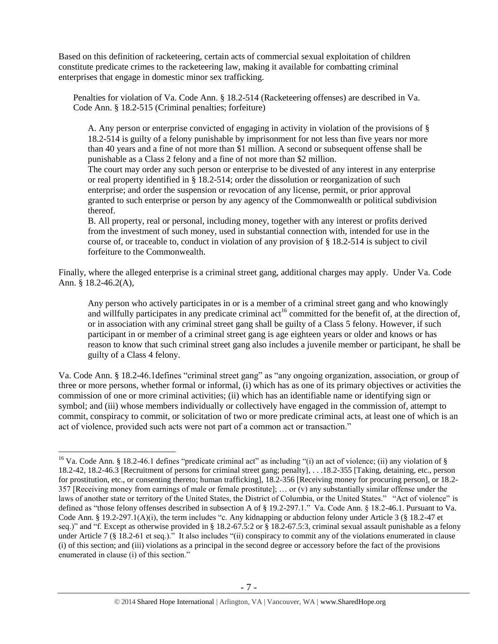Based on this definition of racketeering, certain acts of commercial sexual exploitation of children constitute predicate crimes to the racketeering law, making it available for combatting criminal enterprises that engage in domestic minor sex trafficking.

Penalties for violation of Va. Code Ann. § 18.2-514 (Racketeering offenses) are described in Va. Code Ann. § 18.2-515 (Criminal penalties; forfeiture)

A. Any person or enterprise convicted of engaging in activity in violation of the provisions of § 18.2-514 is guilty of a felony punishable by imprisonment for not less than five years nor more than 40 years and a fine of not more than \$1 million. A second or subsequent offense shall be punishable as a Class 2 felony and a fine of not more than \$2 million.

The court may order any such person or enterprise to be divested of any interest in any enterprise or real property identified in § 18.2-514; order the dissolution or reorganization of such enterprise; and order the suspension or revocation of any license, permit, or prior approval granted to such enterprise or person by any agency of the Commonwealth or political subdivision thereof.

B. All property, real or personal, including money, together with any interest or profits derived from the investment of such money, used in substantial connection with, intended for use in the course of, or traceable to, conduct in violation of any provision of § 18.2-514 is subject to civil forfeiture to the Commonwealth.

Finally, where the alleged enterprise is a criminal street gang, additional charges may apply. Under Va. Code Ann. § 18.2-46.2(A),

Any person who actively participates in or is a member of a criminal street gang and who knowingly and willfully participates in any predicate criminal act<sup>16</sup> committed for the benefit of, at the direction of, or in association with any criminal street gang shall be guilty of a Class 5 felony. However, if such participant in or member of a criminal street gang is age eighteen years or older and knows or has reason to know that such criminal street gang also includes a juvenile member or participant, he shall be guilty of a Class 4 felony.

Va. Code Ann. § 18.2-46.1defines "criminal street gang" as "any ongoing organization, association, or group of three or more persons, whether formal or informal, (i) which has as one of its primary objectives or activities the commission of one or more criminal activities; (ii) which has an identifiable name or identifying sign or symbol; and (iii) whose members individually or collectively have engaged in the commission of, attempt to commit, conspiracy to commit, or solicitation of two or more predicate criminal acts, at least one of which is an act of violence, provided such acts were not part of a common act or transaction."

<sup>&</sup>lt;sup>16</sup> Va. Code Ann. § 18.2-46.1 defines "predicate criminal act" as including "(i) an act of violence; (ii) any violation of § 18.2-42, 18.2-46.3 [Recruitment of persons for criminal street gang; penalty], . . .18.2-355 [Taking, detaining, etc., person for prostitution, etc., or consenting thereto; human trafficking], 18.2-356 [Receiving money for procuring person], or 18.2- 357 [Receiving money from earnings of male or female prostitute]; … or (v) any substantially similar offense under the laws of another state or territory of the United States, the District of Columbia, or the United States." "Act of violence" is defined as "those felony offenses described in subsection A of § 19.2-297.1." Va. Code Ann. § 18.2-46.1. Pursuant to Va. Code Ann. § 19.2-297.1(A)(i), the term includes "c. Any kidnapping or abduction felony under Article 3 (§ 18.2-47 et seq.)" and "f. Except as otherwise provided in § 18.2-67.5:2 or § 18.2-67.5:3, criminal sexual assault punishable as a felony under Article 7 (§ 18.2-61 et seq.)." It also includes "(ii) conspiracy to commit any of the violations enumerated in clause (i) of this section; and (iii) violations as a principal in the second degree or accessory before the fact of the provisions enumerated in clause (i) of this section."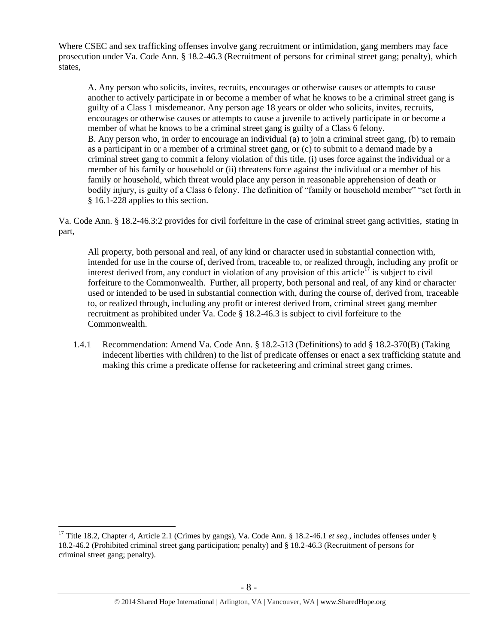Where CSEC and sex trafficking offenses involve gang recruitment or intimidation, gang members may face prosecution under Va. Code Ann. § 18.2-46.3 (Recruitment of persons for criminal street gang; penalty), which states,

A. Any person who solicits, invites, recruits, encourages or otherwise causes or attempts to cause another to actively participate in or become a member of what he knows to be a criminal street gang is guilty of a Class 1 misdemeanor. Any person age 18 years or older who solicits, invites, recruits, encourages or otherwise causes or attempts to cause a juvenile to actively participate in or become a member of what he knows to be a criminal street gang is guilty of a Class 6 felony. B. Any person who, in order to encourage an individual (a) to join a criminal street gang, (b) to remain as a participant in or a member of a criminal street gang, or (c) to submit to a demand made by a criminal street gang to commit a felony violation of this title, (i) uses force against the individual or a member of his family or household or (ii) threatens force against the individual or a member of his family or household, which threat would place any person in reasonable apprehension of death or bodily injury, is guilty of a Class 6 felony. The definition of "family or household member" "set forth in § 16.1-228 applies to this section.

Va. Code Ann. § 18.2-46.3:2 provides for civil forfeiture in the case of criminal street gang activities, stating in part,

All property, both personal and real, of any kind or character used in substantial connection with, intended for use in the course of, derived from, traceable to, or realized through, including any profit or interest derived from, any conduct in violation of any provision of this article<sup>17</sup> is subject to civil forfeiture to the Commonwealth. Further, all property, both personal and real, of any kind or character used or intended to be used in substantial connection with, during the course of, derived from, traceable to, or realized through, including any profit or interest derived from, criminal street gang member recruitment as prohibited under Va. Code § 18.2-46.3 is subject to civil forfeiture to the Commonwealth.

1.4.1 Recommendation: Amend Va. Code Ann. § 18.2-513 (Definitions) to add § 18.2-370(B) (Taking indecent liberties with children) to the list of predicate offenses or enact a sex trafficking statute and making this crime a predicate offense for racketeering and criminal street gang crimes.

<sup>&</sup>lt;sup>17</sup> Title 18.2, Chapter 4, Article 2.1 (Crimes by gangs), Va. Code Ann. § 18.2-46.1 *et seq.*, includes offenses under § 18.2-46.2 (Prohibited criminal street gang participation; penalty) and § 18.2-46.3 (Recruitment of persons for criminal street gang; penalty).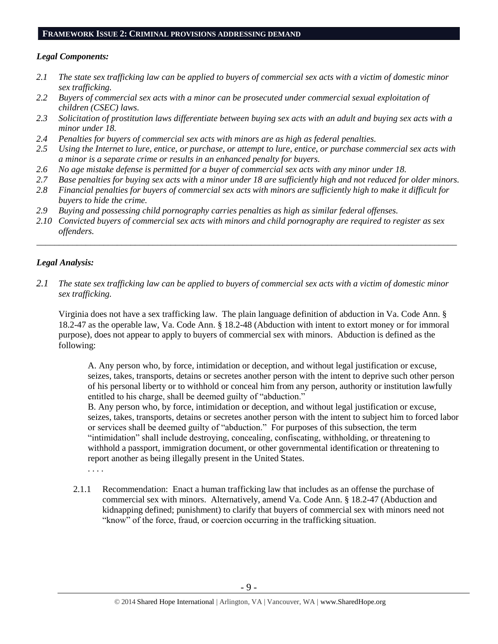## **FRAMEWORK ISSUE 2: CRIMINAL PROVISIONS ADDRESSING DEMAND**

# *Legal Components:*

- *2.1 The state sex trafficking law can be applied to buyers of commercial sex acts with a victim of domestic minor sex trafficking.*
- *2.2 Buyers of commercial sex acts with a minor can be prosecuted under commercial sexual exploitation of children (CSEC) laws.*
- *2.3 Solicitation of prostitution laws differentiate between buying sex acts with an adult and buying sex acts with a minor under 18.*
- *2.4 Penalties for buyers of commercial sex acts with minors are as high as federal penalties.*
- *2.5 Using the Internet to lure, entice, or purchase, or attempt to lure, entice, or purchase commercial sex acts with a minor is a separate crime or results in an enhanced penalty for buyers.*
- *2.6 No age mistake defense is permitted for a buyer of commercial sex acts with any minor under 18.*
- *2.7 Base penalties for buying sex acts with a minor under 18 are sufficiently high and not reduced for older minors.*
- *2.8 Financial penalties for buyers of commercial sex acts with minors are sufficiently high to make it difficult for buyers to hide the crime.*
- *2.9 Buying and possessing child pornography carries penalties as high as similar federal offenses.*
- *2.10 Convicted buyers of commercial sex acts with minors and child pornography are required to register as sex offenders.*

\_\_\_\_\_\_\_\_\_\_\_\_\_\_\_\_\_\_\_\_\_\_\_\_\_\_\_\_\_\_\_\_\_\_\_\_\_\_\_\_\_\_\_\_\_\_\_\_\_\_\_\_\_\_\_\_\_\_\_\_\_\_\_\_\_\_\_\_\_\_\_\_\_\_\_\_\_\_\_\_\_\_\_\_\_\_\_\_\_\_\_\_\_\_

# *Legal Analysis:*

*2.1 The state sex trafficking law can be applied to buyers of commercial sex acts with a victim of domestic minor sex trafficking.*

Virginia does not have a sex trafficking law. The plain language definition of abduction in Va. Code Ann. § 18.2-47 as the operable law, Va. Code Ann. § 18.2-48 (Abduction with intent to extort money or for immoral purpose), does not appear to apply to buyers of commercial sex with minors. Abduction is defined as the following:

A. Any person who, by force, intimidation or deception, and without legal justification or excuse, seizes, takes, transports, detains or secretes another person with the intent to deprive such other person of his personal liberty or to withhold or conceal him from any person, authority or institution lawfully entitled to his charge, shall be deemed guilty of "abduction."

B. Any person who, by force, intimidation or deception, and without legal justification or excuse, seizes, takes, transports, detains or secretes another person with the intent to subject him to forced labor or services shall be deemed guilty of "abduction." For purposes of this subsection, the term "intimidation" shall include destroying, concealing, confiscating, withholding, or threatening to withhold a passport, immigration document, or other governmental identification or threatening to report another as being illegally present in the United States.

. . . .

2.1.1 Recommendation: Enact a human trafficking law that includes as an offense the purchase of commercial sex with minors. Alternatively, amend Va. Code Ann. § 18.2-47 (Abduction and kidnapping defined; punishment) to clarify that buyers of commercial sex with minors need not "know" of the force, fraud, or coercion occurring in the trafficking situation.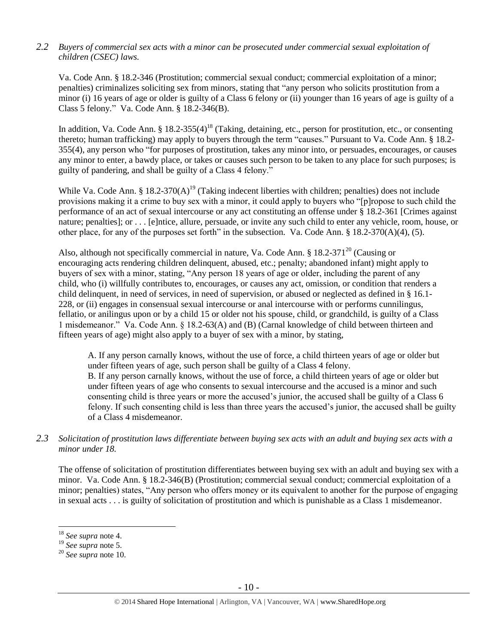# *2.2 Buyers of commercial sex acts with a minor can be prosecuted under commercial sexual exploitation of children (CSEC) laws.*

Va. Code Ann. § 18.2-346 (Prostitution; commercial sexual conduct; commercial exploitation of a minor; penalties) criminalizes soliciting sex from minors, stating that "any person who solicits prostitution from a minor (i) 16 years of age or older is guilty of a Class 6 felony or (ii) younger than 16 years of age is guilty of a Class 5 felony*.*" Va. Code Ann. § 18.2-346(B).

In addition, Va. Code Ann. § 18.2-355(4)<sup>18</sup> (Taking, detaining, etc., person for prostitution, etc., or consenting thereto; human trafficking) may apply to buyers through the term "causes." Pursuant to Va. Code Ann. § 18.2- 355(4), any person who "for purposes of prostitution, takes any minor into, or persuades, encourages, or causes any minor to enter, a bawdy place, or takes or causes such person to be taken to any place for such purposes; is guilty of pandering, and shall be guilty of a Class 4 felony."

While Va. Code Ann. § 18.2-370(A)<sup>19</sup> (Taking indecent liberties with children; penalties) does not include provisions making it a crime to buy sex with a minor, it could apply to buyers who "[p]ropose to such child the performance of an act of sexual intercourse or any act constituting an offense under § 18.2-361 [Crimes against nature; penalties]; or . . . [e]ntice, allure, persuade, or invite any such child to enter any vehicle, room, house, or other place, for any of the purposes set forth" in the subsection. Va. Code Ann. § 18.2-370(A)(4), (5).

Also, although not specifically commercial in nature, Va. Code Ann.  $\S 18.2-371^{20}$  (Causing or encouraging acts rendering children delinquent, abused, etc.; penalty; abandoned infant) might apply to buyers of sex with a minor, stating, "Any person 18 years of age or older, including the parent of any child, who (i) willfully contributes to, encourages, or causes any act, omission, or condition that renders a child delinquent, in need of services, in need of supervision, or abused or neglected as defined in § 16.1- 228, or (ii) engages in consensual sexual intercourse or anal intercourse with or performs cunnilingus, fellatio, or anilingus upon or by a child 15 or older not his spouse, child, or grandchild, is guilty of a Class 1 misdemeanor." Va. Code Ann. § 18.2-63(A) and (B) (Carnal knowledge of child between thirteen and fifteen years of age) might also apply to a buyer of sex with a minor, by stating,

A. If any person carnally knows, without the use of force, a child thirteen years of age or older but under fifteen years of age, such person shall be guilty of a Class 4 felony. B. If any person carnally knows, without the use of force, a child thirteen years of age or older but under fifteen years of age who consents to sexual intercourse and the accused is a minor and such consenting child is three years or more the accused's junior, the accused shall be guilty of a Class 6 felony. If such consenting child is less than three years the accused's junior, the accused shall be guilty of a Class 4 misdemeanor.

*2.3 Solicitation of prostitution laws differentiate between buying sex acts with an adult and buying sex acts with a minor under 18.*

The offense of solicitation of prostitution differentiates between buying sex with an adult and buying sex with a minor. Va. Code Ann. § 18.2-346(B) (Prostitution; commercial sexual conduct; commercial exploitation of a minor; penalties) states, "Any person who offers money or its equivalent to another for the purpose of engaging in sexual acts . . . is guilty of solicitation of prostitution and which is punishable as a Class 1 misdemeanor.

<sup>18</sup> *See supra* note [4.](#page-1-2)

<sup>19</sup> *See supra* note [5.](#page-1-1)

<sup>20</sup> *See supra* note [10.](#page-3-0)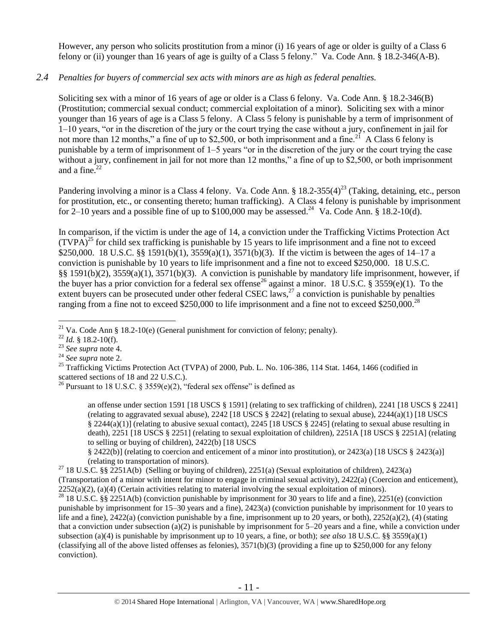However, any person who solicits prostitution from a minor (i) 16 years of age or older is guilty of a Class 6 felony or (ii) younger than 16 years of age is guilty of a Class 5 felony." Va. Code Ann. § 18.2-346(A-B).

# *2.4 Penalties for buyers of commercial sex acts with minors are as high as federal penalties.*

Soliciting sex with a minor of 16 years of age or older is a Class 6 felony. Va. Code Ann. § 18.2-346(B) (Prostitution; commercial sexual conduct; commercial exploitation of a minor). Soliciting sex with a minor younger than 16 years of age is a Class 5 felony. A Class 5 felony is punishable by a term of imprisonment of 1–10 years, "or in the discretion of the jury or the court trying the case without a jury, confinement in jail for not more than 12 months," a fine of up to \$2,500, or both imprisonment and a fine.<sup>21</sup> A Class 6 felony is punishable by a term of imprisonment of 1–5 years "or in the discretion of the jury or the court trying the case without a jury, confinement in jail for not more than 12 months," a fine of up to \$2,500, or both imprisonment and a fine. $22$ 

Pandering involving a minor is a Class 4 felony. Va. Code Ann. §  $18.2-355(4)^{23}$  (Taking, detaining, etc., person for prostitution, etc., or consenting thereto; human trafficking). A Class 4 felony is punishable by imprisonment for  $2-10$  years and a possible fine of up to \$100,000 may be assessed.<sup>24</sup> Va. Code Ann. § 18.2-10(d).

<span id="page-10-0"></span>In comparison, if the victim is under the age of 14, a conviction under the Trafficking Victims Protection Act  $(TVPA)^{25}$  for child sex trafficking is punishable by 15 years to life imprisonment and a fine not to exceed \$250,000. 18 U.S.C. §§ 1591(b)(1), 3559(a)(1), 3571(b)(3). If the victim is between the ages of 14–17 a conviction is punishable by 10 years to life imprisonment and a fine not to exceed \$250,000. 18 U.S.C. §§ 1591(b)(2), 3559(a)(1), 3571(b)(3). A conviction is punishable by mandatory life imprisonment, however, if the buyer has a prior conviction for a federal sex offense<sup>26</sup> against a minor. 18 U.S.C. § 3559(e)(1). To the extent buyers can be prosecuted under other federal CSEC laws, $^{27}$  a conviction is punishable by penalties ranging from a fine not to exceed \$250,000 to life imprisonment and a fine not to exceed \$250,000.<sup>28</sup>

<span id="page-10-1"></span> $\overline{a}$ 

an offense under section 1591 [18 USCS § 1591] (relating to sex trafficking of children), 2241 [18 USCS § 2241] (relating to aggravated sexual abuse), 2242 [18 USCS § 2242] (relating to sexual abuse), 2244(a)(1) [18 USCS § 2244(a)(1)] (relating to abusive sexual contact), 2245 [18 USCS § 2245] (relating to sexual abuse resulting in death), 2251 [18 USCS § 2251] (relating to sexual exploitation of children), 2251A [18 USCS § 2251A] (relating to selling or buying of children), 2422(b) [18 USCS

§ 2422(b)] (relating to coercion and enticement of a minor into prostitution), or 2423(a) [18 USCS § 2423(a)] (relating to transportation of minors).

<sup>27</sup> 18 U.S.C. §§ 2251A(b) (Selling or buying of children), 2251(a) (Sexual exploitation of children), 2423(a) (Transportation of a minor with intent for minor to engage in criminal sexual activity), 2422(a) (Coercion and enticement),  $2252(a)(2)$ , (a)(4) (Certain activities relating to material involving the sexual exploitation of minors). <sup>28</sup> 18 U.S.C. §§ 2251A(b) (conviction punishable by imprisonment for 30 years to life and a fine), 2251(e) (conviction

punishable by imprisonment for 15–30 years and a fine), 2423(a) (conviction punishable by imprisonment for 10 years to life and a fine),  $2422(a)$  (conviction punishable by a fine, imprisonment up to 20 years, or both),  $2252(a)(2)$ , (4) (stating that a conviction under subsection (a)(2) is punishable by imprisonment for  $5-20$  years and a fine, while a conviction under subsection (a)(4) is punishable by imprisonment up to 10 years, a fine, or both); *see also* 18 U.S.C. §§ 3559(a)(1) (classifying all of the above listed offenses as felonies),  $3571(b)(3)$  (providing a fine up to \$250,000 for any felony conviction).

<sup>&</sup>lt;sup>21</sup> Va. Code Ann § 18.2-10(e) (General punishment for conviction of felony; penalty).

 $22$  *Id.* § 18.2-10(f).

<sup>23</sup> *See supra* note [4.](#page-1-2)

<sup>24</sup> *See supra* note [2.](#page-1-0)

<sup>&</sup>lt;sup>25</sup> Trafficking Victims Protection Act (TVPA) of 2000, Pub. L. No. 106-386, 114 Stat. 1464, 1466 (codified in scattered sections of 18 and 22 U.S.C.).

<sup>&</sup>lt;sup>26</sup> Pursuant to 18 U.S.C. § 3559(e)(2), "federal sex offense" is defined as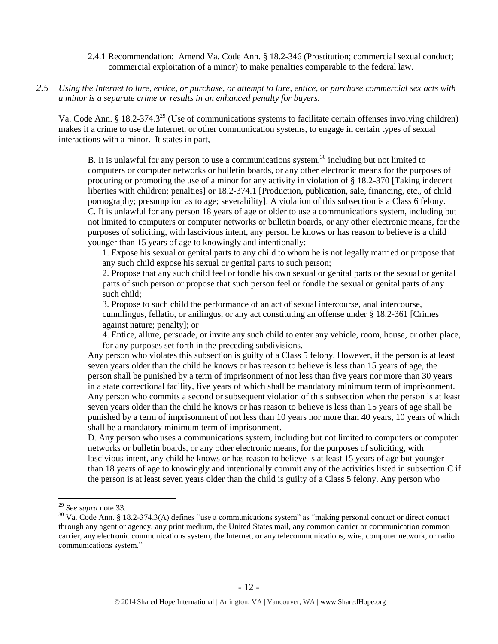## 2.4.1 Recommendation: Amend Va. Code Ann. § 18.2-346 (Prostitution; commercial sexual conduct; commercial exploitation of a minor) to make penalties comparable to the federal law.

*2.5 Using the Internet to lure, entice, or purchase, or attempt to lure, entice, or purchase commercial sex acts with a minor is a separate crime or results in an enhanced penalty for buyers.*

Va. Code Ann. § 18.2-374.3<sup>29</sup> (Use of communications systems to facilitate certain offenses involving children) makes it a crime to use the Internet, or other communication systems, to engage in certain types of sexual interactions with a minor. It states in part,

<span id="page-11-1"></span><span id="page-11-0"></span>B. It is unlawful for any person to use a communications system,<sup>30</sup> including but not limited to computers or computer networks or bulletin boards, or any other electronic means for the purposes of procuring or promoting the use of a minor for any activity in violation of § 18.2-370 [Taking indecent liberties with children; penalties] or 18.2-374.1 [Production, publication, sale, financing, etc., of child pornography; presumption as to age; severability]. A violation of this subsection is a Class 6 felony. C. It is unlawful for any person 18 years of age or older to use a communications system, including but not limited to computers or computer networks or bulletin boards, or any other electronic means, for the purposes of soliciting, with lascivious intent, any person he knows or has reason to believe is a child younger than 15 years of age to knowingly and intentionally:

1. Expose his sexual or genital parts to any child to whom he is not legally married or propose that any such child expose his sexual or genital parts to such person;

2. Propose that any such child feel or fondle his own sexual or genital parts or the sexual or genital parts of such person or propose that such person feel or fondle the sexual or genital parts of any such child;

3. Propose to such child the performance of an act of sexual intercourse, anal intercourse, cunnilingus, fellatio, or anilingus, or any act constituting an offense under § 18.2-361 [Crimes against nature; penalty]; or

4. Entice, allure, persuade, or invite any such child to enter any vehicle, room, house, or other place, for any purposes set forth in the preceding subdivisions.

Any person who violates this subsection is guilty of a Class 5 felony. However, if the person is at least seven years older than the child he knows or has reason to believe is less than 15 years of age, the person shall be punished by a term of imprisonment of not less than five years nor more than 30 years in a state correctional facility, five years of which shall be mandatory minimum term of imprisonment. Any person who commits a second or subsequent violation of this subsection when the person is at least seven years older than the child he knows or has reason to believe is less than 15 years of age shall be punished by a term of imprisonment of not less than 10 years nor more than 40 years, 10 years of which shall be a mandatory minimum term of imprisonment.

D. Any person who uses a communications system, including but not limited to computers or computer networks or bulletin boards, or any other electronic means, for the purposes of soliciting, with lascivious intent, any child he knows or has reason to believe is at least 15 years of age but younger than 18 years of age to knowingly and intentionally commit any of the activities listed in subsection C if the person is at least seven years older than the child is guilty of a Class 5 felony. Any person who

<sup>29</sup> *See supra* note [33.](#page-13-0)

 $30$  Va. Code Ann. § 18.2-374.3(A) defines "use a communications system" as "making personal contact or direct contact through any agent or agency, any print medium, the United States mail, any common carrier or communication common carrier, any electronic communications system, the Internet, or any telecommunications, wire, computer network, or radio communications system."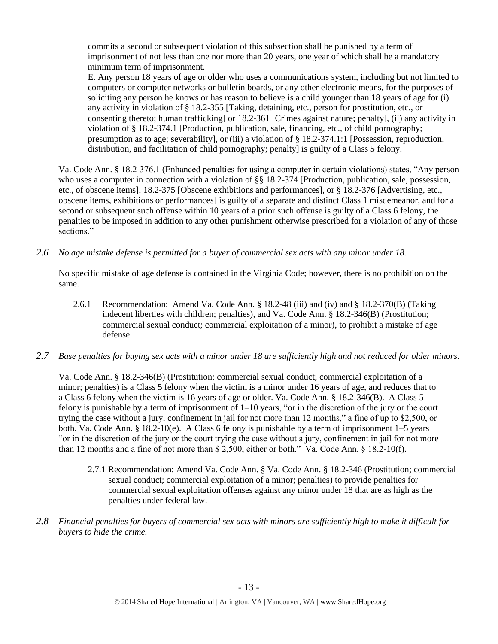commits a second or subsequent violation of this subsection shall be punished by a term of imprisonment of not less than one nor more than 20 years, one year of which shall be a mandatory minimum term of imprisonment.

E. Any person 18 years of age or older who uses a communications system, including but not limited to computers or computer networks or bulletin boards, or any other electronic means, for the purposes of soliciting any person he knows or has reason to believe is a child younger than 18 years of age for (i) any activity in violation of § 18.2-355 [Taking, detaining, etc., person for prostitution, etc., or consenting thereto; human trafficking] or 18.2-361 [Crimes against nature; penalty], (ii) any activity in violation of § 18.2-374.1 [Production, publication, sale, financing, etc., of child pornography; presumption as to age; severability], or (iii) a violation of § 18.2-374.1:1 [Possession, reproduction, distribution, and facilitation of child pornography; penalty] is guilty of a Class 5 felony.

Va. Code Ann. § 18.2-376.1 (Enhanced penalties for using a computer in certain violations) states, "Any person who uses a computer in connection with a violation of §§ 18.2-374 [Production, publication, sale, possession, etc., of obscene items], 18.2-375 [Obscene exhibitions and performances], or § 18.2-376 [Advertising, etc., obscene items, exhibitions or performances] is guilty of a separate and distinct Class 1 misdemeanor, and for a second or subsequent such offense within 10 years of a prior such offense is guilty of a Class 6 felony, the penalties to be imposed in addition to any other punishment otherwise prescribed for a violation of any of those sections."

*2.6 No age mistake defense is permitted for a buyer of commercial sex acts with any minor under 18.*

No specific mistake of age defense is contained in the Virginia Code; however, there is no prohibition on the same.

- 2.6.1 Recommendation: Amend Va. Code Ann. § 18.2-48 (iii) and (iv) and § 18.2-370(B) (Taking indecent liberties with children; penalties), and Va. Code Ann. § 18.2-346(B) (Prostitution; commercial sexual conduct; commercial exploitation of a minor), to prohibit a mistake of age defense.
- *2.7 Base penalties for buying sex acts with a minor under 18 are sufficiently high and not reduced for older minors.*

Va. Code Ann. § 18.2-346(B) (Prostitution; commercial sexual conduct; commercial exploitation of a minor; penalties) is a Class 5 felony when the victim is a minor under 16 years of age, and reduces that to a Class 6 felony when the victim is 16 years of age or older. Va. Code Ann. § 18.2-346(B). A Class 5 felony is punishable by a term of imprisonment of 1–10 years, "or in the discretion of the jury or the court trying the case without a jury, confinement in jail for not more than 12 months," a fine of up to \$2,500, or both. Va. Code Ann. § 18.2-10(e). A Class 6 felony is punishable by a term of imprisonment 1–5 years "or in the discretion of the jury or the court trying the case without a jury, confinement in jail for not more than 12 months and a fine of not more than \$ 2,500, either or both." Va. Code Ann. § 18.2-10(f).

- 2.7.1 Recommendation: Amend Va. Code Ann. § Va. Code Ann. § 18.2-346 (Prostitution; commercial sexual conduct; commercial exploitation of a minor; penalties) to provide penalties for commercial sexual exploitation offenses against any minor under 18 that are as high as the penalties under federal law.
- *2.8 Financial penalties for buyers of commercial sex acts with minors are sufficiently high to make it difficult for buyers to hide the crime.*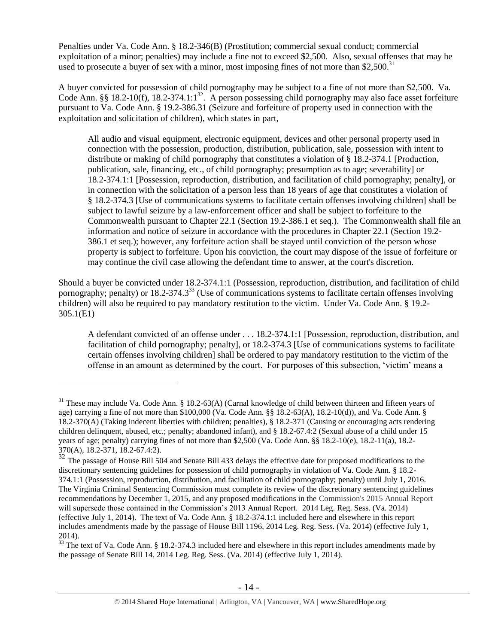Penalties under Va. Code Ann. § 18.2-346(B) (Prostitution; commercial sexual conduct; commercial exploitation of a minor; penalties) may include a fine not to exceed \$2,500. Also, sexual offenses that may be used to prosecute a buyer of sex with a minor, most imposing fines of not more than \$2,500. $^{31}$ 

A buyer convicted for possession of child pornography may be subject to a fine of not more than \$2,500. Va. Code Ann. §§ 18.2-10(f), 18.2-374.1:1<sup>32</sup>. A person possessing child pornography may also face asset forfeiture pursuant to Va. Code Ann. § 19.2-386.31 (Seizure and forfeiture of property used in connection with the exploitation and solicitation of children), which states in part,

<span id="page-13-1"></span>All audio and visual equipment, electronic equipment, devices and other personal property used in connection with the possession, production, distribution, publication, sale, possession with intent to distribute or making of child pornography that constitutes a violation of § 18.2-374.1 [Production, publication, sale, financing, etc., of child pornography; presumption as to age; severability] or 18.2-374.1:1 [Possession, reproduction, distribution, and facilitation of child pornography; penalty], or in connection with the solicitation of a person less than 18 years of age that constitutes a violation of § 18.2-374.3 [Use of communications systems to facilitate certain offenses involving children] shall be subject to lawful seizure by a law-enforcement officer and shall be subject to forfeiture to the Commonwealth pursuant to Chapter 22.1 (Section 19.2-386.1 et seq.). The Commonwealth shall file an information and notice of seizure in accordance with the procedures in Chapter 22.1 (Section 19.2- 386.1 et seq.); however, any forfeiture action shall be stayed until conviction of the person whose property is subject to forfeiture. Upon his conviction, the court may dispose of the issue of forfeiture or may continue the civil case allowing the defendant time to answer, at the court's discretion.

Should a buyer be convicted under 18.2-374.1:1 (Possession, reproduction, distribution, and facilitation of child pornography; penalty) or  $18.2-374.3^{33}$  (Use of communications systems to facilitate certain offenses involving children) will also be required to pay mandatory restitution to the victim. Under Va. Code Ann. § 19.2- 305.1(E1)

<span id="page-13-0"></span>A defendant convicted of an offense under . . . 18.2-374.1:1 [Possession, reproduction, distribution, and facilitation of child pornography; penalty], or 18.2-374.3 [Use of communications systems to facilitate certain offenses involving children] shall be ordered to pay mandatory restitution to the victim of the offense in an amount as determined by the court. For purposes of this subsection, 'victim' means a

<sup>&</sup>lt;sup>31</sup> These may include Va. Code Ann. § 18.2-63(A) (Carnal knowledge of child between thirteen and fifteen years of age) carrying a fine of not more than \$100,000 (Va. Code Ann. §§ 18.2-63(A), 18.2-10(d)), and Va. Code Ann. § 18.2-370(A) (Taking indecent liberties with children; penalties), § 18.2-371 (Causing or encouraging acts rendering children delinquent, abused, etc.; penalty; abandoned infant), and § 18.2-67.4:2 (Sexual abuse of a child under 15 years of age; penalty) carrying fines of not more than \$2,500 (Va. Code Ann. §§ 18.2-10(e), 18.2-11(a), 18.2- 370(A), 18.2-371, 18.2-67.4:2).

<sup>&</sup>lt;sup>32</sup> The passage of House Bill 504 and Senate Bill 433 delays the effective date for proposed modifications to the discretionary sentencing guidelines for possession of child pornography in violation of Va. Code Ann. § 18.2- 374.1:1 (Possession, reproduction, distribution, and facilitation of child pornography; penalty) until July 1, 2016. The Virginia Criminal Sentencing Commission must complete its review of the discretionary sentencing guidelines recommendations by December 1, 2015, and any proposed modifications in the Commission's 2015 Annual Report will supersede those contained in the Commission's 2013 Annual Report. 2014 Leg. Reg. Sess. (Va. 2014) (effective July 1, 2014). The text of Va. Code Ann. § 18.2-374.1:1 included here and elsewhere in this report includes amendments made by the passage of House Bill 1196, 2014 Leg. Reg. Sess. (Va. 2014) (effective July 1, 2014).

<sup>&</sup>lt;sup>33</sup> The text of Va. Code Ann. § 18.2-374.3 included here and elsewhere in this report includes amendments made by the passage of Senate Bill 14, 2014 Leg. Reg. Sess. (Va. 2014) (effective July 1, 2014).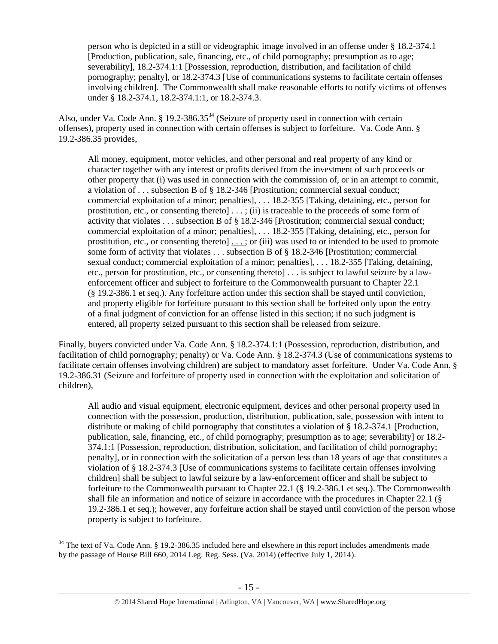person who is depicted in a still or videographic image involved in an offense under § 18.2-374.1 [Production, publication, sale, financing, etc., of child pornography; presumption as to age; severability], 18.2-374.1:1 [Possession, reproduction, distribution, and facilitation of child pornography; penalty], or 18.2-374.3 [Use of communications systems to facilitate certain offenses involving children]. The Commonwealth shall make reasonable efforts to notify victims of offenses under § 18.2-374.1, 18.2-374.1:1, or 18.2-374.3.

Also, under Va. Code Ann. § 19.2-386.35<sup>34</sup> (Seizure of property used in connection with certain offenses), property used in connection with certain offenses is subject to forfeiture. Va. Code Ann. § 19.2-386.35 provides,

All money, equipment, motor vehicles, and other personal and real property of any kind or character together with any interest or profits derived from the investment of such proceeds or other property that (i) was used in connection with the commission of, or in an attempt to commit, a violation of . . . subsection B of § 18.2-346 [Prostitution; commercial sexual conduct; commercial exploitation of a minor; penalties], . . . 18.2-355 [Taking, detaining, etc., person for prostitution, etc., or consenting thereto] . . . ; (ii) is traceable to the proceeds of some form of activity that violates . . . subsection B of § 18.2-346 [Prostitution; commercial sexual conduct; commercial exploitation of a minor; penalties], . . . 18.2-355 [Taking, detaining, etc., person for prostitution, etc., or consenting thereto]  $\dots$ ; or (iii) was used to or intended to be used to promote some form of activity that violates . . . subsection B of § 18.2-346 [Prostitution; commercial sexual conduct; commercial exploitation of a minor; penalties], . . . 18.2-355 [Taking, detaining, etc., person for prostitution, etc., or consenting thereto] . . . is subject to lawful seizure by a lawenforcement officer and subject to forfeiture to the Commonwealth pursuant to Chapter 22.1 (§ 19.2-386.1 et seq.). Any forfeiture action under this section shall be stayed until conviction, and property eligible for forfeiture pursuant to this section shall be forfeited only upon the entry of a final judgment of conviction for an offense listed in this section; if no such judgment is entered, all property seized pursuant to this section shall be released from seizure.

Finally, buyers convicted under Va. Code Ann. § 18.2-374.1:1 (Possession, reproduction, distribution, and facilitation of child pornography; penalty) or Va. Code Ann. § 18.2-374.3 (Use of communications systems to facilitate certain offenses involving children) are subject to mandatory asset forfeiture. Under Va. Code Ann. § 19.2-386.31 (Seizure and forfeiture of property used in connection with the exploitation and solicitation of children),

All audio and visual equipment, electronic equipment, devices and other personal property used in connection with the possession, production, distribution, publication, sale, possession with intent to distribute or making of child pornography that constitutes a violation of § 18.2-374.1 [Production, publication, sale, financing, etc., of child pornography; presumption as to age; severability] or 18.2- 374.1:1 [Possession, reproduction, distribution, solicitation, and facilitation of child pornography; penalty], or in connection with the solicitation of a person less than 18 years of age that constitutes a violation of § 18.2-374.3 [Use of communications systems to facilitate certain offenses involving children] shall be subject to lawful seizure by a law-enforcement officer and shall be subject to forfeiture to the Commonwealth pursuant to Chapter 22.1 (§ 19.2-386.1 et seq.). The Commonwealth shall file an information and notice of seizure in accordance with the procedures in Chapter 22.1 (§ 19.2-386.1 et seq.); however, any forfeiture action shall be stayed until conviction of the person whose property is subject to forfeiture.

<sup>&</sup>lt;sup>34</sup> The text of Va. Code Ann. § 19.2-386.35 included here and elsewhere in this report includes amendments made by the passage of House Bill 660, 2014 Leg. Reg. Sess. (Va. 2014) (effective July 1, 2014).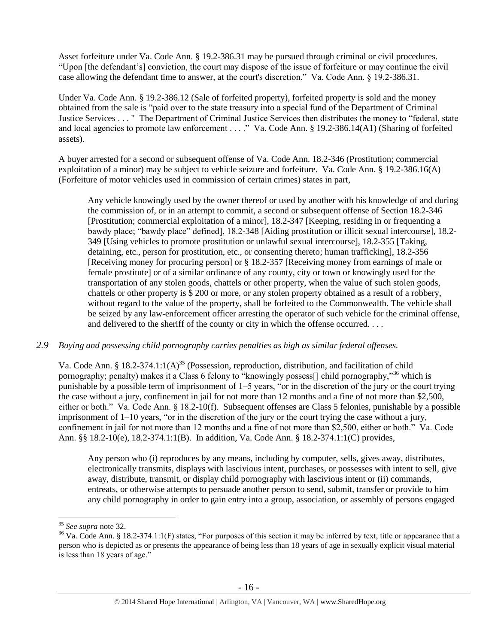Asset forfeiture under Va. Code Ann. § 19.2-386.31 may be pursued through criminal or civil procedures. "Upon [the defendant's] conviction, the court may dispose of the issue of forfeiture or may continue the civil case allowing the defendant time to answer, at the court's discretion." Va. Code Ann. § 19.2-386.31.

Under Va. Code Ann. § 19.2-386.12 (Sale of forfeited property), forfeited property is sold and the money obtained from the sale is "paid over to the state treasury into a special fund of the Department of Criminal Justice Services . . . " The Department of Criminal Justice Services then distributes the money to "federal, state and local agencies to promote law enforcement . . . ." Va. Code Ann. § 19.2-386.14(A1) (Sharing of forfeited assets).

A buyer arrested for a second or subsequent offense of Va. Code Ann. 18.2-346 (Prostitution; commercial exploitation of a minor) may be subject to vehicle seizure and forfeiture. Va. Code Ann. § 19.2-386.16(A) (Forfeiture of motor vehicles used in commission of certain crimes) states in part,

Any vehicle knowingly used by the owner thereof or used by another with his knowledge of and during the commission of, or in an attempt to commit, a second or subsequent offense of Section 18.2-346 [Prostitution; commercial exploitation of a minor], 18.2-347 [Keeping, residing in or frequenting a bawdy place; "bawdy place" defined], 18.2-348 [Aiding prostitution or illicit sexual intercourse], 18.2- 349 [Using vehicles to promote prostitution or unlawful sexual intercourse], 18.2-355 [Taking, detaining, etc., person for prostitution, etc., or consenting thereto; human trafficking], 18.2-356 [Receiving money for procuring person] or § 18.2-357 [Receiving money from earnings of male or female prostitute] or of a similar ordinance of any county, city or town or knowingly used for the transportation of any stolen goods, chattels or other property, when the value of such stolen goods, chattels or other property is \$ 200 or more, or any stolen property obtained as a result of a robbery, without regard to the value of the property, shall be forfeited to the Commonwealth. The vehicle shall be seized by any law-enforcement officer arresting the operator of such vehicle for the criminal offense, and delivered to the sheriff of the county or city in which the offense occurred. . . .

# *2.9 Buying and possessing child pornography carries penalties as high as similar federal offenses.*

Va. Code Ann. § 18.2-374.1:1(A)<sup>35</sup> (Possession, reproduction, distribution, and facilitation of child pornography; penalty) makes it a Class 6 felony to "knowingly possess<sup>[]</sup> child pornography,"<sup>36</sup> which is punishable by a possible term of imprisonment of 1–5 years, "or in the discretion of the jury or the court trying the case without a jury, confinement in jail for not more than 12 months and a fine of not more than \$2,500, either or both." Va. Code Ann. § 18.2-10(f). Subsequent offenses are Class 5 felonies, punishable by a possible imprisonment of 1–10 years, "or in the discretion of the jury or the court trying the case without a jury, confinement in jail for not more than 12 months and a fine of not more than \$2,500, either or both." Va. Code Ann. §§ 18.2-10(e), 18.2-374.1:1(B). In addition, Va. Code Ann. § 18.2-374.1:1(C) provides,

Any person who (i) reproduces by any means, including by computer, sells, gives away, distributes, electronically transmits, displays with lascivious intent, purchases, or possesses with intent to sell, give away, distribute, transmit, or display child pornography with lascivious intent or (ii) commands, entreats, or otherwise attempts to persuade another person to send, submit, transfer or provide to him any child pornography in order to gain entry into a group, association, or assembly of persons engaged

<sup>35</sup> *See supra* note [32.](#page-13-1) 

 $36$  Va. Code Ann. § 18.2-374.1:1(F) states, "For purposes of this section it may be inferred by text, title or appearance that a person who is depicted as or presents the appearance of being less than 18 years of age in sexually explicit visual material is less than 18 years of age."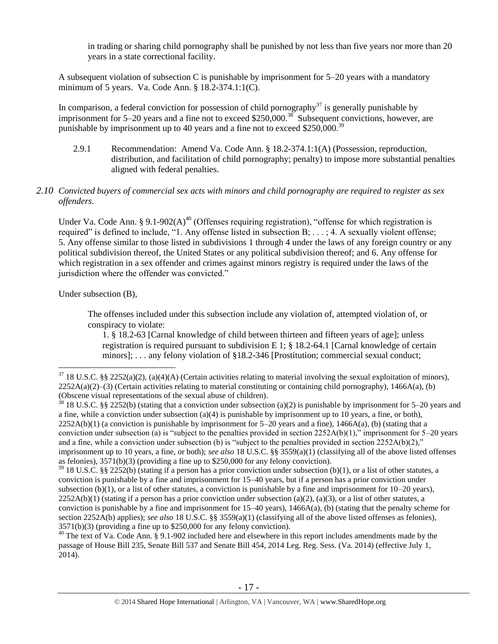in trading or sharing child pornography shall be punished by not less than five years nor more than 20 years in a state correctional facility.

A subsequent violation of subsection C is punishable by imprisonment for 5–20 years with a mandatory minimum of 5 years. Va. Code Ann. § 18.2-374.1:1(C).

In comparison, a federal conviction for possession of child pornography<sup>37</sup> is generally punishable by imprisonment for 5–20 years and a fine not to exceed \$250,000.<sup>38</sup> Subsequent convictions, however, are punishable by imprisonment up to 40 years and a fine not to exceed \$250,000.<sup>39</sup>

2.9.1 Recommendation: Amend Va. Code Ann. § 18.2-374.1:1(A) (Possession, reproduction, distribution, and facilitation of child pornography; penalty) to impose more substantial penalties aligned with federal penalties.

## *2.10 Convicted buyers of commercial sex acts with minors and child pornography are required to register as sex offenders*.

<span id="page-16-0"></span>Under Va. Code Ann. § 9.1-902(A)<sup>40</sup> (Offenses requiring registration), "offense for which registration is required" is defined to include, "1. Any offense listed in subsection B; . . . ; 4. A sexually violent offense; 5. Any offense similar to those listed in subdivisions 1 through 4 under the laws of any foreign country or any political subdivision thereof, the United States or any political subdivision thereof; and 6. Any offense for which registration in a sex offender and crimes against minors registry is required under the laws of the jurisdiction where the offender was convicted."

Under subsection (B),

 $\overline{a}$ 

The offenses included under this subsection include any violation of, attempted violation of, or conspiracy to violate:

1. § 18.2-63 [Carnal knowledge of child between thirteen and fifteen years of age]; unless registration is required pursuant to subdivision E 1;  $\S$  18.2-64.1 [Carnal knowledge of certain minors]; . . . any felony violation of §18.2-346 [Prostitution; commercial sexual conduct;

<sup>40</sup> The text of Va. Code Ann. § 9.1-902 included here and elsewhere in this report includes amendments made by the passage of House Bill 235, Senate Bill 537 and Senate Bill 454, 2014 Leg. Reg. Sess. (Va. 2014) (effective July 1, 2014).

 $37\,18$  U.S.C. §§ 2252(a)(2), (a)(4)(A) (Certain activities relating to material involving the sexual exploitation of minors),  $2252A(a)(2)$ –(3) (Certain activities relating to material constituting or containing child pornography), 1466A(a), (b) (Obscene visual representations of the sexual abuse of children).

<sup>&</sup>lt;sup>38</sup> 18 U.S.C. §§ 2252(b) (stating that a conviction under subsection (a)(2) is punishable by imprisonment for 5–20 years and a fine, while a conviction under subsection (a)(4) is punishable by imprisonment up to 10 years, a fine, or both).  $2252A(b)(1)$  (a conviction is punishable by imprisonment for  $5-20$  years and a fine),  $1466A(a)$ , (b) (stating that a conviction under subsection (a) is "subject to the penalties provided in section  $2252A(b)(1)$ ," imprisonment for 5–20 years and a fine, while a conviction under subsection (b) is "subject to the penalties provided in section  $2252A(b)(2)$ ," imprisonment up to 10 years, a fine, or both); *see also* 18 U.S.C. §§ 3559(a)(1) (classifying all of the above listed offenses as felonies), 3571(b)(3) (providing a fine up to \$250,000 for any felony conviction).

 $39$  18 U.S.C. §§ 2252(b) (stating if a person has a prior conviction under subsection (b)(1), or a list of other statutes, a conviction is punishable by a fine and imprisonment for 15–40 years, but if a person has a prior conviction under subsection (b)(1), or a list of other statutes, a conviction is punishable by a fine and imprisonment for  $10-20$  years),  $2252A(b)(1)$  (stating if a person has a prior conviction under subsection (a)(2), (a)(3), or a list of other statutes, a conviction is punishable by a fine and imprisonment for  $15-40$  years),  $1466A(a)$ , (b) (stating that the penalty scheme for section 2252A(b) applies); *see also* 18 U.S.C. §§ 3559(a)(1) (classifying all of the above listed offenses as felonies), 3571(b)(3) (providing a fine up to \$250,000 for any felony conviction).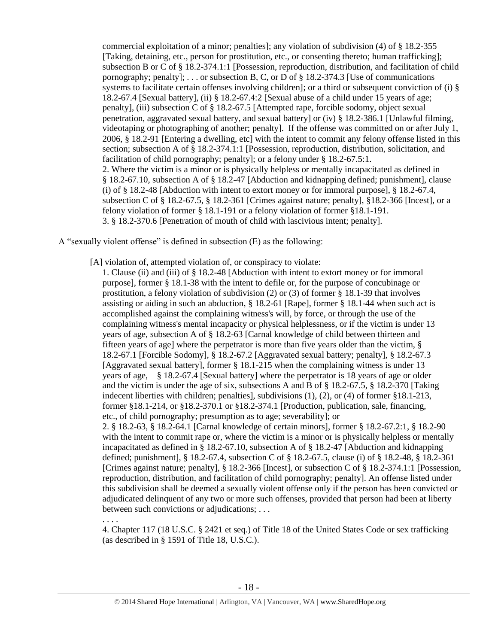commercial exploitation of a minor; penalties]; any violation of subdivision (4) of § 18.2-355 [Taking, detaining, etc., person for prostitution, etc., or consenting thereto; human trafficking]; subsection B or C of § 18.2-374.1:1 [Possession, reproduction, distribution, and facilitation of child pornography; penalty]; ... or subsection B, C, or D of  $\S 18.2-374.3$  [Use of communications systems to facilitate certain offenses involving children]; or a third or subsequent conviction of (i) § 18.2-67.4 [Sexual battery], (ii) § 18.2-67.4:2 [Sexual abuse of a child under 15 years of age; penalty], (iii) subsection C of § 18.2-67.5 [Attempted rape, forcible sodomy, object sexual penetration, aggravated sexual battery, and sexual battery] or (iv) § 18.2-386.1 [Unlawful filming, videotaping or photographing of another; penalty]. If the offense was committed on or after July 1, 2006, § 18.2-91 [Entering a dwelling, etc] with the intent to commit any felony offense listed in this section; subsection A of § 18.2-374.1:1 [Possession, reproduction, distribution, solicitation, and facilitation of child pornography; penalty]; or a felony under § 18.2-67.5:1. 2. Where the victim is a minor or is physically helpless or mentally incapacitated as defined in § 18.2-67.10, subsection A of § 18.2-47 [Abduction and kidnapping defined; punishment], clause (i) of § 18.2-48 [Abduction with intent to extort money or for immoral purpose], § 18.2-67.4, subsection C of § 18.2-67.5, § 18.2-361 [Crimes against nature; penalty], §18.2-366 [Incest], or a felony violation of former § 18.1-191 or a felony violation of former §18.1-191. 3. § 18.2-370.6 [Penetration of mouth of child with lascivious intent; penalty].

A "sexually violent offense" is defined in subsection (E) as the following:

. . . .

[A] violation of, attempted violation of, or conspiracy to violate:

1. Clause (ii) and (iii) of § 18.2-48 [Abduction with intent to extort money or for immoral purpose], former § 18.1-38 with the intent to defile or, for the purpose of concubinage or prostitution, a felony violation of subdivision (2) or (3) of former § 18.1-39 that involves assisting or aiding in such an abduction, § 18.2-61 [Rape], former § 18.1-44 when such act is accomplished against the complaining witness's will, by force, or through the use of the complaining witness's mental incapacity or physical helplessness, or if the victim is under 13 years of age, subsection A of § 18.2-63 [Carnal knowledge of child between thirteen and fifteen years of age] where the perpetrator is more than five years older than the victim, § 18.2-67.1 [Forcible Sodomy], § 18.2-67.2 [Aggravated sexual battery; penalty], § 18.2-67.3 [Aggravated sexual battery], former § 18.1-215 when the complaining witness is under 13 years of age, § 18.2-67.4 [Sexual battery] where the perpetrator is 18 years of age or older and the victim is under the age of six, subsections A and B of § 18.2-67.5, § 18.2-370 [Taking indecent liberties with children; penalties], subdivisions (1), (2), or (4) of former §18.1-213, former §18.1-214, or §18.2-370.1 or §18.2-374.1 [Production, publication, sale, financing, etc., of child pornography; presumption as to age; severability]; or 2. § 18.2-63, § 18.2-64.1 [Carnal knowledge of certain minors], former § 18.2-67.2:1, § 18.2-90 with the intent to commit rape or, where the victim is a minor or is physically helpless or mentally incapacitated as defined in § 18.2-67.10, subsection A of § 18.2-47 [Abduction and kidnapping defined; punishment], § 18.2-67.4, subsection C of § 18.2-67.5, clause (i) of § 18.2-48, § 18.2-361 [Crimes against nature; penalty], § 18.2-366 [Incest], or subsection C of § 18.2-374.1:1 [Possession, reproduction, distribution, and facilitation of child pornography; penalty]. An offense listed under this subdivision shall be deemed a sexually violent offense only if the person has been convicted or adjudicated delinquent of any two or more such offenses, provided that person had been at liberty between such convictions or adjudications; . . .

4. Chapter 117 (18 U.S.C. § 2421 et seq.) of Title 18 of the United States Code or sex trafficking (as described in § 1591 of Title 18, U.S.C.).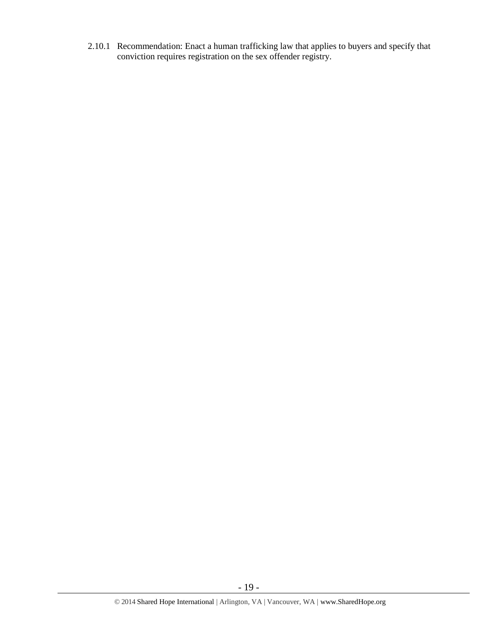2.10.1 Recommendation: Enact a human trafficking law that applies to buyers and specify that conviction requires registration on the sex offender registry.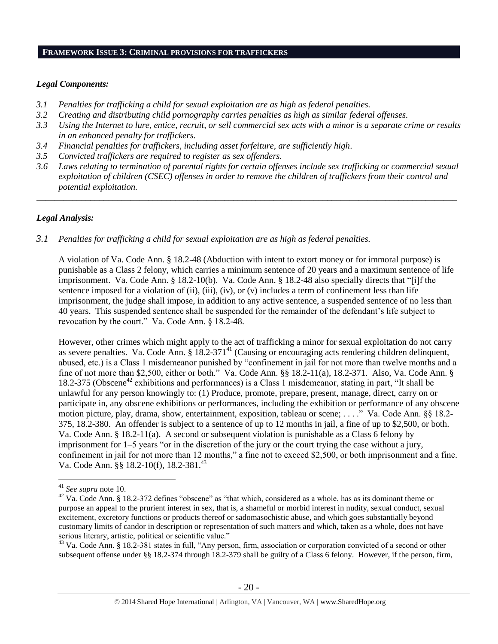#### **FRAMEWORK ISSUE 3: CRIMINAL PROVISIONS FOR TRAFFICKERS**

#### *Legal Components:*

- *3.1 Penalties for trafficking a child for sexual exploitation are as high as federal penalties.*
- *3.2 Creating and distributing child pornography carries penalties as high as similar federal offenses.*
- *3.3 Using the Internet to lure, entice, recruit, or sell commercial sex acts with a minor is a separate crime or results in an enhanced penalty for traffickers.*
- *3.4 Financial penalties for traffickers, including asset forfeiture, are sufficiently high*.
- *3.5 Convicted traffickers are required to register as sex offenders.*
- *3.6 Laws relating to termination of parental rights for certain offenses include sex trafficking or commercial sexual exploitation of children (CSEC) offenses in order to remove the children of traffickers from their control and potential exploitation.*

*\_\_\_\_\_\_\_\_\_\_\_\_\_\_\_\_\_\_\_\_\_\_\_\_\_\_\_\_\_\_\_\_\_\_\_\_\_\_\_\_\_\_\_\_\_\_\_\_\_\_\_\_\_\_\_\_\_\_\_\_\_\_\_\_\_\_\_\_\_\_\_\_\_\_\_\_\_\_\_\_\_\_\_\_\_\_\_\_\_\_\_\_\_\_*

## *Legal Analysis:*

## *3.1 Penalties for trafficking a child for sexual exploitation are as high as federal penalties.*

A violation of Va. Code Ann. § 18.2-48 (Abduction with intent to extort money or for immoral purpose) is punishable as a Class 2 felony, which carries a minimum sentence of 20 years and a maximum sentence of life imprisonment. Va. Code Ann. § 18.2-10(b). Va. Code Ann. § 18.2-48 also specially directs that "[i]f the sentence imposed for a violation of (ii), (iii), (iv), or (v) includes a term of confinement less than life imprisonment, the judge shall impose, in addition to any active sentence, a suspended sentence of no less than 40 years. This suspended sentence shall be suspended for the remainder of the defendant's life subject to revocation by the court." Va. Code Ann. § 18.2-48.

However, other crimes which might apply to the act of trafficking a minor for sexual exploitation do not carry as severe penalties. Va. Code Ann.  $\S 18.2-371<sup>41</sup>$  (Causing or encouraging acts rendering children delinquent, abused, etc.) is a Class 1 misdemeanor punished by "confinement in jail for not more than twelve months and a fine of not more than \$2,500, either or both." Va. Code Ann. §§ 18.2-11(a), 18.2-371. Also, Va. Code Ann. § 18.2-375 (Obscene<sup>42</sup> exhibitions and performances) is a Class 1 misdemeanor, stating in part, "It shall be unlawful for any person knowingly to: (1) Produce, promote, prepare, present, manage, direct, carry on or participate in, any obscene exhibitions or performances, including the exhibition or performance of any obscene motion picture, play, drama, show, entertainment, exposition, tableau or scene; . . . ." Va. Code Ann. §§ 18.2- 375, 18.2-380. An offender is subject to a sentence of up to 12 months in jail, a fine of up to \$2,500, or both. Va. Code Ann. § 18.2-11(a). A second or subsequent violation is punishable as a Class 6 felony by imprisonment for 1–5 years "or in the discretion of the jury or the court trying the case without a jury, confinement in jail for not more than 12 months," a fine not to exceed \$2,500, or both imprisonment and a fine. Va. Code Ann. §§ 18.2-10(f), 18.2-381.<sup>43</sup>

<sup>41</sup> *See supra* note [10.](#page-3-0) 

<sup>&</sup>lt;sup>42</sup> Va. Code Ann. § 18.2-372 defines "obscene" as "that which, considered as a whole, has as its dominant theme or purpose an appeal to the prurient interest in sex, that is, a shameful or morbid interest in nudity, sexual conduct, sexual excitement, excretory functions or products thereof or sadomasochistic abuse, and which goes substantially beyond customary limits of candor in description or representation of such matters and which, taken as a whole, does not have serious literary, artistic, political or scientific value."

<sup>&</sup>lt;sup>43</sup> Va. Code Ann. § 18.2-381 states in full, "Any person, firm, association or corporation convicted of a second or other subsequent offense under §§ 18.2-374 through 18.2-379 shall be guilty of a Class 6 felony. However, if the person, firm,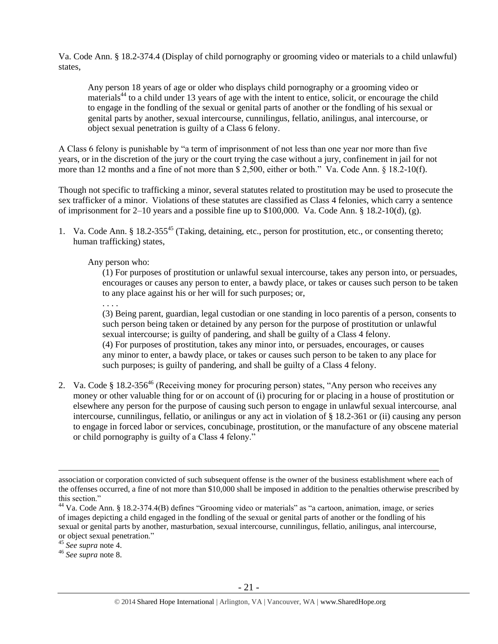Va. Code Ann. § 18.2-374.4 (Display of child pornography or grooming video or materials to a child unlawful) states,

Any person 18 years of age or older who displays child pornography or a grooming video or materials<sup>44</sup> to a child under 13 years of age with the intent to entice, solicit, or encourage the child to engage in the fondling of the sexual or genital parts of another or the fondling of his sexual or genital parts by another, sexual intercourse, cunnilingus, fellatio, anilingus, anal intercourse, or object sexual penetration is guilty of a Class 6 felony.

A Class 6 felony is punishable by "a term of imprisonment of not less than one year nor more than five years, or in the discretion of the jury or the court trying the case without a jury, confinement in jail for not more than 12 months and a fine of not more than \$ 2,500, either or both." Va. Code Ann. § 18.2-10(f).

Though not specific to trafficking a minor, several statutes related to prostitution may be used to prosecute the sex trafficker of a minor. Violations of these statutes are classified as Class 4 felonies, which carry a sentence of imprisonment for 2–10 years and a possible fine up to \$100,000. Va. Code Ann. § 18.2-10(d), (g).

1. Va. Code Ann. § 18.2-355<sup>45</sup> (Taking, detaining, etc., person for prostitution, etc., or consenting thereto; human trafficking) states,

## Any person who:

(1) For purposes of prostitution or unlawful sexual intercourse, takes any person into, or persuades, encourages or causes any person to enter, a bawdy place, or takes or causes such person to be taken to any place against his or her will for such purposes; or,

. . . .

(3) Being parent, guardian, legal custodian or one standing in loco parentis of a person, consents to such person being taken or detained by any person for the purpose of prostitution or unlawful sexual intercourse; is guilty of pandering, and shall be guilty of a Class 4 felony. (4) For purposes of prostitution, takes any minor into, or persuades, encourages, or causes

any minor to enter, a bawdy place, or takes or causes such person to be taken to any place for such purposes; is guilty of pandering, and shall be guilty of a Class 4 felony.

2. Va. Code § 18.2-356<sup>46</sup> (Receiving money for procuring person) states, "Any person who receives any money or other valuable thing for or on account of (i) procuring for or placing in a house of prostitution or elsewhere any person for the purpose of causing such person to engage in unlawful sexual intercourse*,* anal intercourse, cunnilingus, fellatio, or anilingus or any act in violation of § 18.2-361 or (ii) causing any person to engage in forced labor or services, concubinage, prostitution, or the manufacture of any obscene material or child pornography is guilty of a Class 4 felony."

association or corporation convicted of such subsequent offense is the owner of the business establishment where each of the offenses occurred, a fine of not more than \$10,000 shall be imposed in addition to the penalties otherwise prescribed by this section."

 $44$  Va. Code Ann. § 18.2-374.4(B) defines "Grooming video or materials" as "a cartoon, animation, image, or series of images depicting a child engaged in the fondling of the sexual or genital parts of another or the fondling of his sexual or genital parts by another, masturbation, sexual intercourse, cunnilingus, fellatio, anilingus, anal intercourse, or object sexual penetration."

<sup>45</sup> *See supra* note [4.](#page-1-2)

<sup>46</sup> *See supra* note [8.](#page-2-0)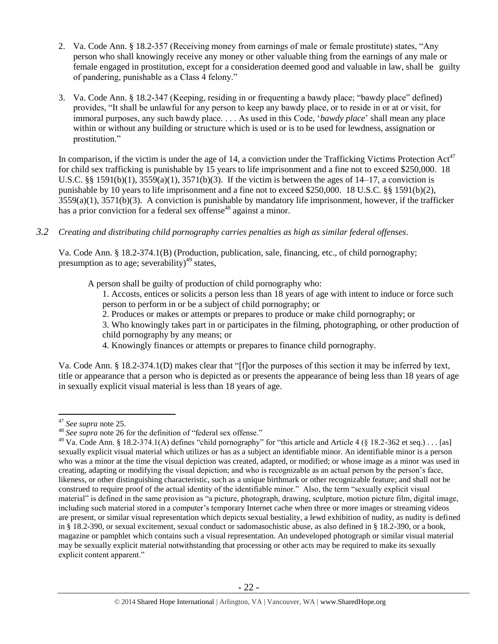- 2. Va. Code Ann. § 18.2-357 (Receiving money from earnings of male or female prostitute) states, "Any person who shall knowingly receive any money or other valuable thing from the earnings of any male or female engaged in prostitution, except for a consideration deemed good and valuable in law, shall be guilty of pandering, punishable as a Class 4 felony."
- 3. Va. Code Ann. § 18.2-347 (Keeping, residing in or frequenting a bawdy place; "bawdy place" defined) provides, "It shall be unlawful for any person to keep any bawdy place, or to reside in or at or visit, for immoral purposes, any such bawdy place. . . . As used in this Code, '*bawdy place*' shall mean any place within or without any building or structure which is used or is to be used for lewdness, assignation or prostitution."

In comparison, if the victim is under the age of 14, a conviction under the Trafficking Victims Protection  $Act^{47}$ for child sex trafficking is punishable by 15 years to life imprisonment and a fine not to exceed \$250,000. 18 U.S.C. §§ 1591(b)(1),  $3559(a)(1)$ ,  $3571(b)(3)$ . If the victim is between the ages of 14–17, a conviction is punishable by 10 years to life imprisonment and a fine not to exceed \$250,000. 18 U.S.C. §§ 1591(b)(2), 3559(a)(1), 3571(b)(3). A conviction is punishable by mandatory life imprisonment, however, if the trafficker has a prior conviction for a federal sex offense<sup>48</sup> against a minor.

*3.2 Creating and distributing child pornography carries penalties as high as similar federal offenses*.

Va. Code Ann. § 18.2-374.1(B) (Production, publication, sale, financing, etc., of child pornography; presumption as to age; severability)<sup>49</sup> states,

A person shall be guilty of production of child pornography who:

<span id="page-21-0"></span>1. Accosts, entices or solicits a person less than 18 years of age with intent to induce or force such person to perform in or be a subject of child pornography; or

- 2. Produces or makes or attempts or prepares to produce or make child pornography; or
- 3. Who knowingly takes part in or participates in the filming, photographing, or other production of child pornography by any means; or
- 4. Knowingly finances or attempts or prepares to finance child pornography.

Va. Code Ann. § 18.2-374.1(D) makes clear that "[f]or the purposes of this section it may be inferred by text, title or appearance that a person who is depicted as or presents the appearance of being less than 18 years of age in sexually explicit visual material is less than 18 years of age.

<sup>47</sup> *See supra* note [25.](#page-10-0)

<sup>48</sup> *See supra* note [26](#page-10-1) for the definition of "federal sex offense."

<sup>&</sup>lt;sup>49</sup> Va. Code Ann. § 18.2-374.1(A) defines "child pornography" for "this article and Article 4 (§ 18.2-362 et seq.) . . . [as] sexually explicit visual material which utilizes or has as a subject an identifiable minor. An identifiable minor is a person who was a minor at the time the visual depiction was created, adapted, or modified; or whose image as a minor was used in creating, adapting or modifying the visual depiction; and who is recognizable as an actual person by the person's face, likeness, or other distinguishing characteristic, such as a unique birthmark or other recognizable feature; and shall not be construed to require proof of the actual identity of the identifiable minor." Also, the term "sexually explicit visual material" is defined in the same provision as "a picture, photograph, drawing, sculpture, motion picture film, digital image, including such material stored in a computer's temporary Internet cache when three or more images or streaming videos are present, or similar visual representation which depicts sexual bestiality, a lewd exhibition of nudity, as nudity is defined in § 18.2-390, or sexual excitement, sexual conduct or sadomasochistic abuse, as also defined in § 18.2-390, or a book, magazine or pamphlet which contains such a visual representation. An undeveloped photograph or similar visual material may be sexually explicit material notwithstanding that processing or other acts may be required to make its sexually explicit content apparent."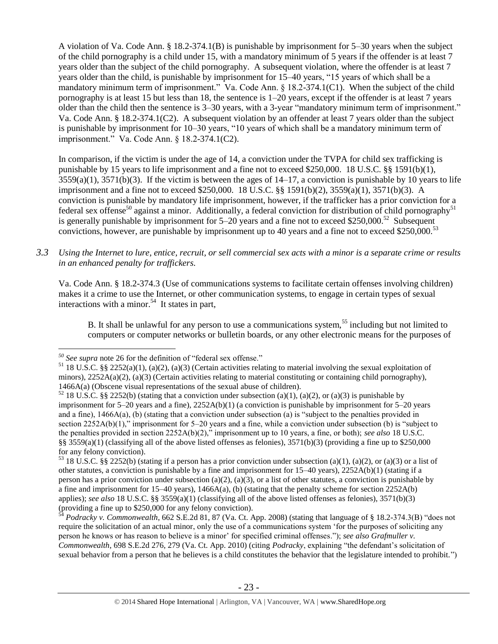A violation of Va. Code Ann. § 18.2-374.1(B) is punishable by imprisonment for 5–30 years when the subject of the child pornography is a child under 15, with a mandatory minimum of 5 years if the offender is at least 7 years older than the subject of the child pornography. A subsequent violation, where the offender is at least 7 years older than the child, is punishable by imprisonment for 15–40 years, "15 years of which shall be a mandatory minimum term of imprisonment." Va. Code Ann. § 18.2-374.1(C1). When the subject of the child pornography is at least 15 but less than 18, the sentence is 1–20 years, except if the offender is at least 7 years older than the child then the sentence is 3–30 years, with a 3-year "mandatory minimum term of imprisonment." Va. Code Ann. § 18.2-374.1(C2). A subsequent violation by an offender at least 7 years older than the subject is punishable by imprisonment for 10–30 years, "10 years of which shall be a mandatory minimum term of imprisonment." Va. Code Ann. § 18.2-374.1(C2).

In comparison, if the victim is under the age of 14, a conviction under the TVPA for child sex trafficking is punishable by 15 years to life imprisonment and a fine not to exceed \$250,000. 18 U.S.C. §§ 1591(b)(1),  $3559(a)(1)$ ,  $3571(b)(3)$ . If the victim is between the ages of  $14-17$ , a conviction is punishable by 10 years to life imprisonment and a fine not to exceed \$250,000. 18 U.S.C. §§ 1591(b)(2), 3559(a)(1), 3571(b)(3). A conviction is punishable by mandatory life imprisonment, however, if the trafficker has a prior conviction for a federal sex offense<sup>50</sup> against a minor. Additionally, a federal conviction for distribution of child pornography<sup>51</sup> is generally punishable by imprisonment for  $5-20$  years and a fine not to exceed \$250,000.<sup>52</sup> Subsequent convictions, however, are punishable by imprisonment up to 40 years and a fine not to exceed \$250,000.<sup>53</sup>

*3.3 Using the Internet to lure, entice, recruit, or sell commercial sex acts with a minor is a separate crime or results in an enhanced penalty for traffickers.*

Va. Code Ann. § 18.2-374.3 (Use of communications systems to facilitate certain offenses involving children) makes it a crime to use the Internet, or other communication systems, to engage in certain types of sexual interactions with a minor.<sup>54</sup> It states in part,

B. It shall be unlawful for any person to use a communications system,<sup>55</sup> including but not limited to computers or computer networks or bulletin boards, or any other electronic means for the purposes of

 $\overline{a}$ *<sup>50</sup> See supra* note [26](#page-10-1) for the definition of "federal sex offense."

<sup>&</sup>lt;sup>51</sup> 18 U.S.C. §§ 2252(a)(1), (a)(2), (a)(3) (Certain activities relating to material involving the sexual exploitation of minors),  $2252A(a)(2)$ ,  $(a)(3)$  (Certain activities relating to material constituting or containing child pornography), 1466A(a) (Obscene visual representations of the sexual abuse of children).

<sup>&</sup>lt;sup>52</sup> 18 U.S.C. §§ 2252(b) (stating that a conviction under subsection (a)(1), (a)(2), or (a)(3) is punishable by imprisonment for 5–20 years and a fine), 2252A(b)(1) (a conviction is punishable by imprisonment for 5–20 years and a fine),  $1466A(a)$ , (b) (stating that a conviction under subsection (a) is "subject to the penalties provided in section 2252A(b)(1)," imprisonment for 5–20 years and a fine, while a conviction under subsection (b) is "subject to the penalties provided in section 2252A(b)(2)," imprisonment up to 10 years, a fine, or both); *see also* 18 U.S.C. §§ 3559(a)(1) (classifying all of the above listed offenses as felonies),  $3571(b)(3)$  (providing a fine up to \$250,000 for any felony conviction).

<sup>&</sup>lt;sup>53</sup> 18 U.S.C. §§ 2252(b) (stating if a person has a prior conviction under subsection (a)(1), (a)(2), or (a)(3) or a list of other statutes, a conviction is punishable by a fine and imprisonment for 15–40 years), 2252A(b)(1) (stating if a person has a prior conviction under subsection (a)(2), (a)(3), or a list of other statutes, a conviction is punishable by a fine and imprisonment for  $15-40$  years),  $1466A(a)$ , (b) (stating that the penalty scheme for section  $2252A(b)$ applies); *see also* 18 U.S.C. §§ 3559(a)(1) (classifying all of the above listed offenses as felonies), 3571(b)(3) (providing a fine up to \$250,000 for any felony conviction).

<sup>54</sup> *Podracky v. Commonwealth*, 662 S.E.2d 81, 87 (Va. Ct. App. 2008) (stating that language of § 18.2-374.3(B) "does not require the solicitation of an actual minor, only the use of a communications system 'for the purposes of soliciting any person he knows or has reason to believe is a minor' for specified criminal offenses."); *see also Grafmuller v. Commonwealth*, 698 S.E.2d 276, 279 (Va. Ct. App. 2010) (citing *Podracky*, explaining "the defendant's solicitation of sexual behavior from a person that he believes is a child constitutes the behavior that the legislature intended to prohibit.")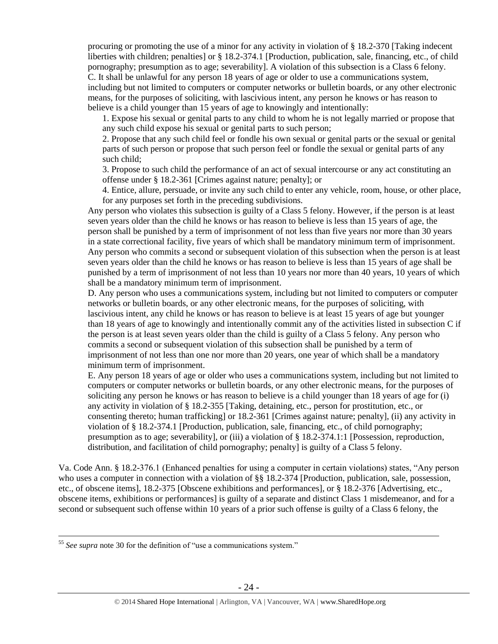procuring or promoting the use of a minor for any activity in violation of § 18.2-370 [Taking indecent liberties with children; penalties] or § 18.2-374.1 [Production, publication, sale, financing, etc., of child pornography; presumption as to age; severability]. A violation of this subsection is a Class 6 felony. C. It shall be unlawful for any person 18 years of age or older to use a communications system, including but not limited to computers or computer networks or bulletin boards, or any other electronic means, for the purposes of soliciting, with lascivious intent, any person he knows or has reason to believe is a child younger than 15 years of age to knowingly and intentionally:

1. Expose his sexual or genital parts to any child to whom he is not legally married or propose that any such child expose his sexual or genital parts to such person;

2. Propose that any such child feel or fondle his own sexual or genital parts or the sexual or genital parts of such person or propose that such person feel or fondle the sexual or genital parts of any such child;

3. Propose to such child the performance of an act of sexual intercourse or any act constituting an offense under § 18.2-361 [Crimes against nature; penalty]; or

4. Entice, allure, persuade, or invite any such child to enter any vehicle, room, house, or other place, for any purposes set forth in the preceding subdivisions.

Any person who violates this subsection is guilty of a Class 5 felony. However, if the person is at least seven years older than the child he knows or has reason to believe is less than 15 years of age, the person shall be punished by a term of imprisonment of not less than five years nor more than 30 years in a state correctional facility, five years of which shall be mandatory minimum term of imprisonment. Any person who commits a second or subsequent violation of this subsection when the person is at least seven years older than the child he knows or has reason to believe is less than 15 years of age shall be punished by a term of imprisonment of not less than 10 years nor more than 40 years, 10 years of which shall be a mandatory minimum term of imprisonment.

D. Any person who uses a communications system, including but not limited to computers or computer networks or bulletin boards, or any other electronic means, for the purposes of soliciting, with lascivious intent, any child he knows or has reason to believe is at least 15 years of age but younger than 18 years of age to knowingly and intentionally commit any of the activities listed in subsection C if the person is at least seven years older than the child is guilty of a Class 5 felony. Any person who commits a second or subsequent violation of this subsection shall be punished by a term of imprisonment of not less than one nor more than 20 years, one year of which shall be a mandatory minimum term of imprisonment.

E. Any person 18 years of age or older who uses a communications system, including but not limited to computers or computer networks or bulletin boards, or any other electronic means, for the purposes of soliciting any person he knows or has reason to believe is a child younger than 18 years of age for (i) any activity in violation of § 18.2-355 [Taking, detaining, etc., person for prostitution, etc., or consenting thereto; human trafficking] or 18.2-361 [Crimes against nature; penalty], (ii) any activity in violation of § 18.2-374.1 [Production, publication, sale, financing, etc., of child pornography; presumption as to age; severability], or (iii) a violation of § 18.2-374.1:1 [Possession, reproduction, distribution, and facilitation of child pornography; penalty] is guilty of a Class 5 felony.

Va. Code Ann. § 18.2-376.1 (Enhanced penalties for using a computer in certain violations) states, "Any person who uses a computer in connection with a violation of §§ 18.2-374 [Production, publication, sale, possession, etc., of obscene items], 18.2-375 [Obscene exhibitions and performances], or § 18.2-376 [Advertising, etc., obscene items, exhibitions or performances] is guilty of a separate and distinct Class 1 misdemeanor, and for a second or subsequent such offense within 10 years of a prior such offense is guilty of a Class 6 felony, the

<sup>55</sup> *See supra* note [30](#page-11-0) for the definition of "use a communications system."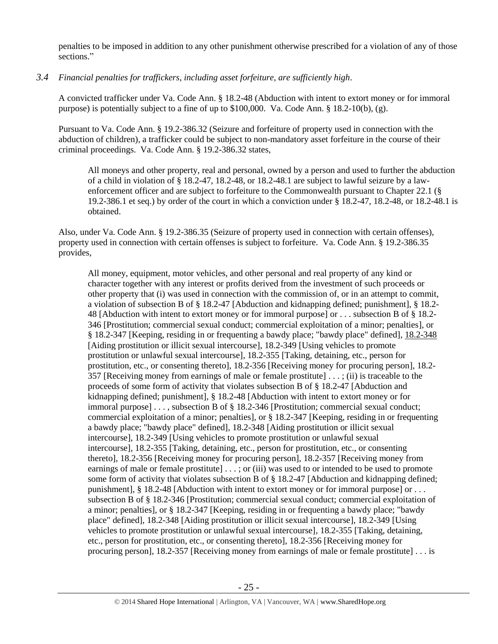penalties to be imposed in addition to any other punishment otherwise prescribed for a violation of any of those sections."

*3.4 Financial penalties for traffickers, including asset forfeiture, are sufficiently high*.

A convicted trafficker under Va. Code Ann. § 18.2-48 (Abduction with intent to extort money or for immoral purpose) is potentially subject to a fine of up to \$100,000. Va. Code Ann. § 18.2-10(b), (g).

Pursuant to Va. Code Ann. § 19.2-386.32 (Seizure and forfeiture of property used in connection with the abduction of children), a trafficker could be subject to non-mandatory asset forfeiture in the course of their criminal proceedings. Va. Code Ann. § 19.2-386.32 states,

All moneys and other property, real and personal, owned by a person and used to further the abduction of a child in violation of § 18.2-47, 18.2-48, or 18.2-48.1 are subject to lawful seizure by a lawenforcement officer and are subject to forfeiture to the Commonwealth pursuant to Chapter 22.1 (§ 19.2-386.1 et seq.) by order of the court in which a conviction under § 18.2-47, 18.2-48, or 18.2-48.1 is obtained.

Also, under Va. Code Ann. § 19.2-386.35 (Seizure of property used in connection with certain offenses), property used in connection with certain offenses is subject to forfeiture. Va. Code Ann. § 19.2-386.35 provides,

All money, equipment, motor vehicles, and other personal and real property of any kind or character together with any interest or profits derived from the investment of such proceeds or other property that (i) was used in connection with the commission of, or in an attempt to commit, a violation of subsection B of § 18.2-47 [Abduction and kidnapping defined; punishment], § 18.2- 48 [Abduction with intent to extort money or for immoral purpose] or . . . subsection B of § 18.2- 346 [Prostitution; commercial sexual conduct; commercial exploitation of a minor; penalties], or § 18.2-347 [Keeping, residing in or frequenting a bawdy place; "bawdy place" defined], [18.2-348](http://lis.virginia.gov/cgi-bin/legp604.exe?000+cod+18.2-348) [Aiding prostitution or illicit sexual intercourse], 18.2-349 [Using vehicles to promote prostitution or unlawful sexual intercourse], 18.2-355 [Taking, detaining, etc., person for prostitution, etc., or consenting thereto], 18.2-356 [Receiving money for procuring person], 18.2- 357 [Receiving money from earnings of male or female prostitute] . . . ; (ii) is traceable to the proceeds of some form of activity that violates subsection B of § 18.2-47 [Abduction and kidnapping defined; punishment], § 18.2-48 [Abduction with intent to extort money or for immoral purpose] . . . , subsection B of § 18.2-346 [Prostitution; commercial sexual conduct; commercial exploitation of a minor; penalties], or § 18.2-347 [Keeping, residing in or frequenting a bawdy place; "bawdy place" defined], 18.2-348 [Aiding prostitution or illicit sexual intercourse], 18.2-349 [Using vehicles to promote prostitution or unlawful sexual intercourse], 18.2-355 [Taking, detaining, etc., person for prostitution, etc., or consenting thereto], 18.2-356 [Receiving money for procuring person], [18.2-357](http://lis.virginia.gov/cgi-bin/legp604.exe?000+cod+18.2-357) [Receiving money from earnings of male or female prostitute] [. . . ;](http://lis.virginia.gov/cgi-bin/legp604.exe?000+cod+40.1-29) or (iii) was used to or intended to be used to promote some form of activity that violates subsection B of § 18.2-47 [Abduction and kidnapping defined; punishment],  $§$  18.2-48 [Abduction with intent to extort money or for immoral purpose] or ... subsection B of § 18.2-346 [Prostitution; commercial sexual conduct; commercial exploitation of a minor; penalties], or § 18.2-347 [Keeping, residing in or frequenting a bawdy place; "bawdy place" defined], 18.2-348 [Aiding prostitution or illicit sexual intercourse], 18.2-349 [Using vehicles to promote prostitution or unlawful sexual intercourse], 18.2-355 [Taking, detaining, etc., person for prostitution, etc., or consenting thereto], 18.2-356 [Receiving money for procuring person], 18.2-357 [Receiving money from earnings of male or female prostitute] . . . is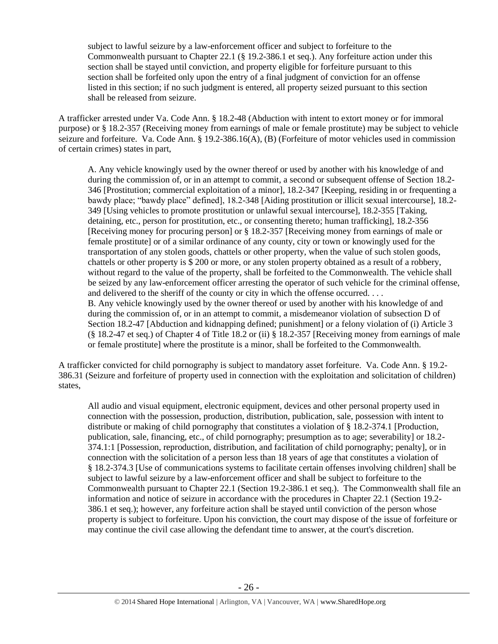subject to lawful seizure by a law-enforcement officer and subject to forfeiture to the Commonwealth pursuant to Chapter 22.1 (§ 19.2-386.1 et seq.). Any forfeiture action under this section shall be stayed until conviction, and property eligible for forfeiture pursuant to this section shall be forfeited only upon the entry of a final judgment of conviction for an offense listed in this section; if no such judgment is entered, all property seized pursuant to this section shall be released from seizure.

A trafficker arrested under Va. Code Ann. § 18.2-48 (Abduction with intent to extort money or for immoral purpose) or § 18.2-357 (Receiving money from earnings of male or female prostitute) may be subject to vehicle seizure and forfeiture. Va. Code Ann. § 19.2-386.16(A), (B) (Forfeiture of motor vehicles used in commission of certain crimes) states in part,

A. Any vehicle knowingly used by the owner thereof or used by another with his knowledge of and during the commission of, or in an attempt to commit, a second or subsequent offense of Section 18.2- 346 [Prostitution; commercial exploitation of a minor], 18.2-347 [Keeping, residing in or frequenting a bawdy place; "bawdy place" defined], 18.2-348 [Aiding prostitution or illicit sexual intercourse], 18.2- 349 [Using vehicles to promote prostitution or unlawful sexual intercourse], 18.2-355 [Taking, detaining, etc., person for prostitution, etc., or consenting thereto; human trafficking], 18.2-356 [Receiving money for procuring person] or § 18.2-357 [Receiving money from earnings of male or female prostitute] or of a similar ordinance of any county, city or town or knowingly used for the transportation of any stolen goods, chattels or other property, when the value of such stolen goods, chattels or other property is \$ 200 or more, or any stolen property obtained as a result of a robbery, without regard to the value of the property, shall be forfeited to the Commonwealth. The vehicle shall be seized by any law-enforcement officer arresting the operator of such vehicle for the criminal offense, and delivered to the sheriff of the county or city in which the offense occurred. . . . B. Any vehicle knowingly used by the owner thereof or used by another with his knowledge of and during the commission of, or in an attempt to commit, a misdemeanor violation of subsection D of Section 18.2-47 [Abduction and kidnapping defined; punishment] or a felony violation of (i) Article 3 (§ 18.2-47 et seq.) of Chapter 4 of Title 18.2 or (ii) § 18.2-357 [Receiving money from earnings of male or female prostitute] where the prostitute is a minor, shall be forfeited to the Commonwealth.

A trafficker convicted for child pornography is subject to mandatory asset forfeiture. Va. Code Ann. § 19.2- 386.31 (Seizure and forfeiture of property used in connection with the exploitation and solicitation of children) states,

All audio and visual equipment, electronic equipment, devices and other personal property used in connection with the possession, production, distribution, publication, sale, possession with intent to distribute or making of child pornography that constitutes a violation of § 18.2-374.1 [Production, publication, sale, financing, etc., of child pornography; presumption as to age; severability] or 18.2- 374.1:1 [Possession, reproduction, distribution, and facilitation of child pornography; penalty], or in connection with the solicitation of a person less than 18 years of age that constitutes a violation of § 18.2-374.3 [Use of communications systems to facilitate certain offenses involving children] shall be subject to lawful seizure by a law-enforcement officer and shall be subject to forfeiture to the Commonwealth pursuant to Chapter 22.1 (Section 19.2-386.1 et seq.). The Commonwealth shall file an information and notice of seizure in accordance with the procedures in Chapter 22.1 (Section 19.2- 386.1 et seq.); however, any forfeiture action shall be stayed until conviction of the person whose property is subject to forfeiture. Upon his conviction, the court may dispose of the issue of forfeiture or may continue the civil case allowing the defendant time to answer, at the court's discretion.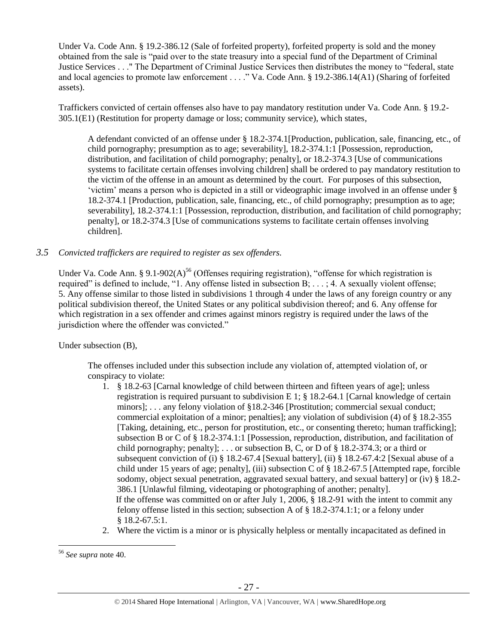Under Va. Code Ann. § 19.2-386.12 (Sale of forfeited property), forfeited property is sold and the money obtained from the sale is "paid over to the state treasury into a special fund of the Department of Criminal Justice Services . . ." The Department of Criminal Justice Services then distributes the money to "federal, state and local agencies to promote law enforcement . . . ." Va. Code Ann. § 19.2-386.14(A1) (Sharing of forfeited assets).

Traffickers convicted of certain offenses also have to pay mandatory restitution under Va. Code Ann. § 19.2- 305.1(E1) (Restitution for property damage or loss; community service), which states,

A defendant convicted of an offense under § 18.2-374.1[Production, publication, sale, financing, etc., of child pornography; presumption as to age; severability], 18.2-374.1:1 [Possession, reproduction, distribution, and facilitation of child pornography; penalty], or 18.2-374.3 [Use of communications systems to facilitate certain offenses involving children] shall be ordered to pay mandatory restitution to the victim of the offense in an amount as determined by the court. For purposes of this subsection, 'victim' means a person who is depicted in a still or videographic image involved in an offense under § 18.2-374.1 [Production, publication, sale, financing, etc., of child pornography; presumption as to age; severability], 18.2-374.1:1 [Possession, reproduction, distribution, and facilitation of child pornography; penalty], or 18.2-374.3 [Use of communications systems to facilitate certain offenses involving children].

## *3.5 Convicted traffickers are required to register as sex offenders.*

Under Va. Code Ann. § 9.1-902(A)<sup>56</sup> (Offenses requiring registration), "offense for which registration is required" is defined to include, "1. Any offense listed in subsection B; . . . ; 4. A sexually violent offense; 5. Any offense similar to those listed in subdivisions 1 through 4 under the laws of any foreign country or any political subdivision thereof, the United States or any political subdivision thereof; and 6. Any offense for which registration in a sex offender and crimes against minors registry is required under the laws of the jurisdiction where the offender was convicted."

Under subsection (B),

The offenses included under this subsection include any violation of, attempted violation of, or conspiracy to violate:

- 1. § 18.2-63 [Carnal knowledge of child between thirteen and fifteen years of age]; unless registration is required pursuant to subdivision E 1;  $\S$  18.2-64.1 [Carnal knowledge of certain minors]; . . . any felony violation of §18.2-346 [Prostitution; commercial sexual conduct; commercial exploitation of a minor; penalties]; any violation of subdivision (4) of § 18.2-355 [Taking, detaining, etc., person for prostitution, etc., or consenting thereto; human trafficking]; subsection B or C of § 18.2-374.1:1 [Possession, reproduction, distribution, and facilitation of child pornography; penalty]; ... or subsection B, C, or D of  $\S$  18.2-374.3; or a third or subsequent conviction of (i) § 18.2-67.4 [Sexual battery], (ii) § 18.2-67.4:2 [Sexual abuse of a child under 15 years of age; penalty], (iii) subsection C of § 18.2-67.5 [Attempted rape, forcible sodomy, object sexual penetration, aggravated sexual battery, and sexual battery] or (iv) § 18.2-386.1 [Unlawful filming, videotaping or photographing of another; penalty]. If the offense was committed on or after July 1, 2006, § 18.2-91 with the intent to commit any felony offense listed in this section; subsection A of  $\S 18.2-374.1:1$ ; or a felony under § 18.2-67.5:1.
- 2. Where the victim is a minor or is physically helpless or mentally incapacitated as defined in

 $\overline{a}$ <sup>56</sup> *See supra* note [40.](#page-16-0)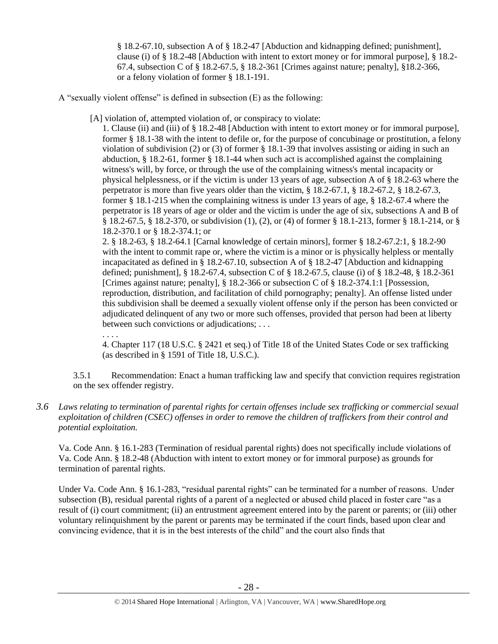§ 18.2-67.10, subsection A of § 18.2-47 [Abduction and kidnapping defined; punishment], clause (i) of § 18.2-48 [Abduction with intent to extort money or for immoral purpose], § 18.2- 67.4, subsection C of § 18.2-67.5, § 18.2-361 [Crimes against nature; penalty], §18.2-366, or a felony violation of former § 18.1-191.

A "sexually violent offense" is defined in subsection (E) as the following:

[A] violation of, attempted violation of, or conspiracy to violate:

1. Clause (ii) and (iii) of § 18.2-48 [Abduction with intent to extort money or for immoral purpose], former § 18.1-38 with the intent to defile or, for the purpose of concubinage or prostitution, a felony violation of subdivision (2) or (3) of former § 18.1-39 that involves assisting or aiding in such an abduction, § 18.2-61, former § 18.1-44 when such act is accomplished against the complaining witness's will, by force, or through the use of the complaining witness's mental incapacity or physical helplessness, or if the victim is under 13 years of age, subsection A of § 18.2-63 where the perpetrator is more than five years older than the victim, § 18.2-67.1, § 18.2-67.2, § 18.2-67.3, former § 18.1-215 when the complaining witness is under 13 years of age, § 18.2-67.4 where the perpetrator is 18 years of age or older and the victim is under the age of six, subsections A and B of § 18.2-67.5, § 18.2-370, or subdivision (1), (2), or (4) of former § 18.1-213, former § 18.1-214, or § 18.2-370.1 or § 18.2-374.1; or

2. § 18.2-63, § 18.2-64.1 [Carnal knowledge of certain minors], former § 18.2-67.2:1, § 18.2-90 with the intent to commit rape or, where the victim is a minor or is physically helpless or mentally incapacitated as defined in § 18.2-67.10, subsection A of § 18.2-47 [Abduction and kidnapping defined; punishment], § 18.2-67.4, subsection C of § 18.2-67.5, clause (i) of § 18.2-48, § 18.2-361 [Crimes against nature; penalty], § 18.2-366 or subsection C of § 18.2-374.1:1 [Possession, reproduction, distribution, and facilitation of child pornography; penalty]. An offense listed under this subdivision shall be deemed a sexually violent offense only if the person has been convicted or adjudicated delinquent of any two or more such offenses, provided that person had been at liberty between such convictions or adjudications; . . .

. . . .

4. Chapter 117 (18 U.S.C. § 2421 et seq.) of Title 18 of the United States Code or sex trafficking (as described in § 1591 of Title 18, U.S.C.).

3.5.1 Recommendation: Enact a human trafficking law and specify that conviction requires registration on the sex offender registry.

*3.6 Laws relating to termination of parental rights for certain offenses include sex trafficking or commercial sexual exploitation of children (CSEC) offenses in order to remove the children of traffickers from their control and potential exploitation.* 

Va. Code Ann. § 16.1-283 (Termination of residual parental rights) does not specifically include violations of Va. Code Ann. § 18.2-48 (Abduction with intent to extort money or for immoral purpose) as grounds for termination of parental rights.

Under Va. Code Ann. § 16.1-283, "residual parental rights" can be terminated for a number of reasons. Under subsection (B), residual parental rights of a parent of a neglected or abused child placed in foster care "as a result of (i) court commitment; (ii) an entrustment agreement entered into by the parent or parents; or (iii) other voluntary relinquishment by the parent or parents may be terminated if the court finds, based upon clear and convincing evidence, that it is in the best interests of the child" and the court also finds that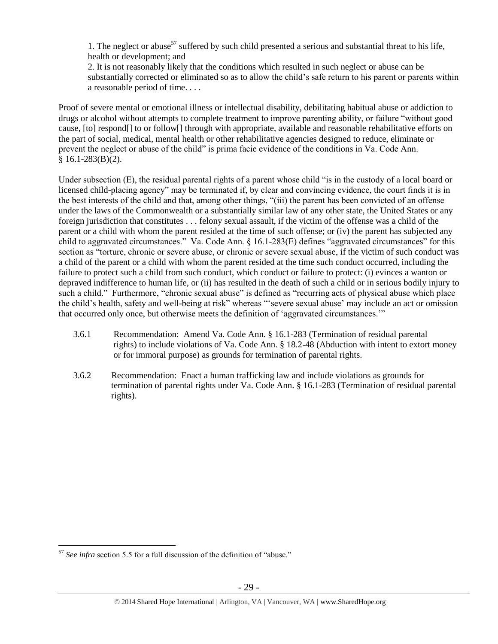1. The neglect or abuse<sup>57</sup> suffered by such child presented a serious and substantial threat to his life. health or development; and

2. It is not reasonably likely that the conditions which resulted in such neglect or abuse can be substantially corrected or eliminated so as to allow the child's safe return to his parent or parents within a reasonable period of time. . . .

Proof of severe mental or emotional illness or intellectual disability, debilitating habitual abuse or addiction to drugs or alcohol without attempts to complete treatment to improve parenting ability, or failure "without good cause, [to] respond[] to or follow[] through with appropriate, available and reasonable rehabilitative efforts on the part of social, medical, mental health or other rehabilitative agencies designed to reduce, eliminate or prevent the neglect or abuse of the child" is prima facie evidence of the conditions in Va. Code Ann.  $§ 16.1-283(B)(2).$ 

Under subsection (E), the residual parental rights of a parent whose child "is in the custody of a local board or licensed child-placing agency" may be terminated if, by clear and convincing evidence, the court finds it is in the best interests of the child and that, among other things, "(iii) the parent has been convicted of an offense under the laws of the Commonwealth or a substantially similar law of any other state, the United States or any foreign jurisdiction that constitutes . . . felony sexual assault, if the victim of the offense was a child of the parent or a child with whom the parent resided at the time of such offense; or (iv) the parent has subjected any child to aggravated circumstances." Va. Code Ann. § 16.1-283(E) defines "aggravated circumstances" for this section as "torture, chronic or severe abuse, or chronic or severe sexual abuse, if the victim of such conduct was a child of the parent or a child with whom the parent resided at the time such conduct occurred, including the failure to protect such a child from such conduct, which conduct or failure to protect: (i) evinces a wanton or depraved indifference to human life, or (ii) has resulted in the death of such a child or in serious bodily injury to such a child." Furthermore, "chronic sexual abuse" is defined as "recurring acts of physical abuse which place the child's health, safety and well-being at risk" whereas "'severe sexual abuse' may include an act or omission that occurred only once, but otherwise meets the definition of 'aggravated circumstances.'"

- 3.6.1 Recommendation: Amend Va. Code Ann. § 16.1-283 (Termination of residual parental rights) to include violations of Va. Code Ann. § 18.2-48 (Abduction with intent to extort money or for immoral purpose) as grounds for termination of parental rights.
- 3.6.2 Recommendation: Enact a human trafficking law and include violations as grounds for termination of parental rights under Va. Code Ann. § 16.1-283 (Termination of residual parental rights).

<sup>57</sup> *See infra* section 5.5 for a full discussion of the definition of "abuse."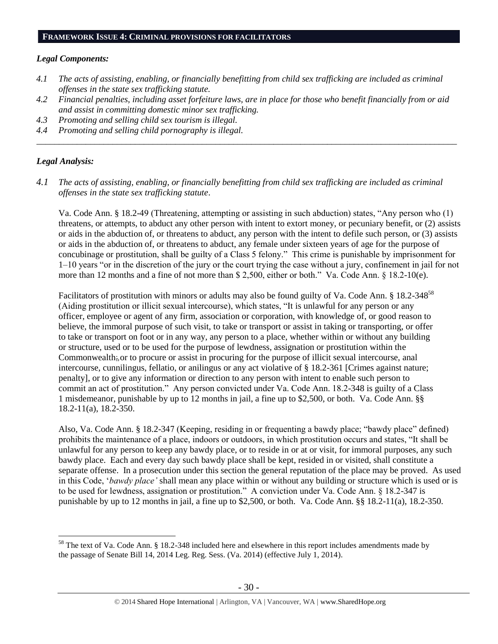#### **FRAMEWORK ISSUE 4: CRIMINAL PROVISIONS FOR FACILITATORS**

#### *Legal Components:*

- *4.1 The acts of assisting, enabling, or financially benefitting from child sex trafficking are included as criminal offenses in the state sex trafficking statute.*
- *4.2 Financial penalties, including asset forfeiture laws, are in place for those who benefit financially from or aid and assist in committing domestic minor sex trafficking.*

*\_\_\_\_\_\_\_\_\_\_\_\_\_\_\_\_\_\_\_\_\_\_\_\_\_\_\_\_\_\_\_\_\_\_\_\_\_\_\_\_\_\_\_\_\_\_\_\_\_\_\_\_\_\_\_\_\_\_\_\_\_\_\_\_\_\_\_\_\_\_\_\_\_\_\_\_\_\_\_\_\_\_\_\_\_\_\_\_\_\_\_\_\_\_*

- *4.3 Promoting and selling child sex tourism is illegal.*
- *4.4 Promoting and selling child pornography is illegal.*

## *Legal Analysis:*

 $\overline{a}$ 

*4.1 The acts of assisting, enabling, or financially benefitting from child sex trafficking are included as criminal offenses in the state sex trafficking statute*.

Va. Code Ann. § 18.2-49 (Threatening, attempting or assisting in such abduction) states, "Any person who (1) threatens, or attempts, to abduct any other person with intent to extort money, or pecuniary benefit, or (2) assists or aids in the abduction of, or threatens to abduct, any person with the intent to defile such person, or (3) assists or aids in the abduction of, or threatens to abduct, any female under sixteen years of age for the purpose of concubinage or prostitution, shall be guilty of a Class 5 felony." This crime is punishable by imprisonment for 1–10 years "or in the discretion of the jury or the court trying the case without a jury, confinement in jail for not more than 12 months and a fine of not more than \$ 2,500, either or both." Va. Code Ann. § 18.2-10(e).

Facilitators of prostitution with minors or adults may also be found guilty of Va. Code Ann. § 18.2-348<sup>58</sup> (Aiding prostitution or illicit sexual intercourse), which states, "It is unlawful for any person or any officer, employee or agent of any firm, association or corporation, with knowledge of, or good reason to believe, the immoral purpose of such visit, to take or transport or assist in taking or transporting, or offer to take or transport on foot or in any way, any person to a place, whether within or without any building or structure, used or to be used for the purpose of lewdness, assignation or prostitution within the Commonwealth;*,*or to procure or assist in procuring for the purpose of illicit sexual intercourse, anal intercourse, cunnilingus, fellatio, or anilingus or any act violative of § 18.2-361 [Crimes against nature; penalty], or to give any information or direction to any person with intent to enable such person to commit an act of prostitution." Any person convicted under Va. Code Ann. 18.2-348 is guilty of a Class 1 misdemeanor, punishable by up to 12 months in jail, a fine up to \$2,500, or both. Va. Code Ann. §§ 18.2-11(a), 18.2-350.

Also, Va. Code Ann. § 18.2-347 (Keeping, residing in or frequenting a bawdy place; "bawdy place" defined) prohibits the maintenance of a place, indoors or outdoors, in which prostitution occurs and states, "It shall be unlawful for any person to keep any bawdy place, or to reside in or at or visit, for immoral purposes, any such bawdy place. Each and every day such bawdy place shall be kept, resided in or visited, shall constitute a separate offense. In a prosecution under this section the general reputation of the place may be proved. As used in this Code, '*bawdy place'* shall mean any place within or without any building or structure which is used or is to be used for lewdness, assignation or prostitution." A conviction under Va. Code Ann. § 18.2-347 is punishable by up to 12 months in jail, a fine up to \$2,500, or both. Va. Code Ann. §§ 18.2-11(a), 18.2-350.

<sup>58</sup> The text of Va. Code Ann. § 18.2-348 included here and elsewhere in this report includes amendments made by the passage of Senate Bill 14, 2014 Leg. Reg. Sess. (Va. 2014) (effective July 1, 2014).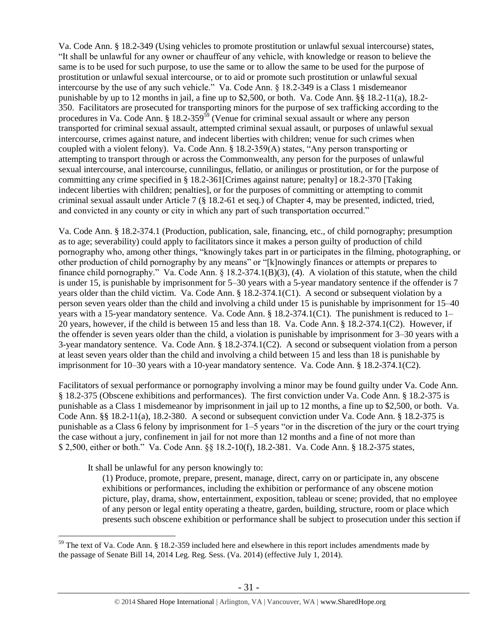Va. Code Ann. § 18.2-349 (Using vehicles to promote prostitution or unlawful sexual intercourse) states, "It shall be unlawful for any owner or chauffeur of any vehicle, with knowledge or reason to believe the same is to be used for such purpose, to use the same or to allow the same to be used for the purpose of prostitution or unlawful sexual intercourse, or to aid or promote such prostitution or unlawful sexual intercourse by the use of any such vehicle." Va. Code Ann. § 18.2-349 is a Class 1 misdemeanor punishable by up to 12 months in jail, a fine up to \$2,500, or both. Va. Code Ann. §§ 18.2-11(a), 18.2-350. Facilitators are prosecuted for transporting minors for the purpose of sex trafficking according to the procedures in Va. Code Ann.  $\S 18.2-359^{59}$  (Venue for criminal sexual assault or where any person transported for criminal sexual assault, attempted criminal sexual assault, or purposes of unlawful sexual intercourse, crimes against nature, and indecent liberties with children; venue for such crimes when coupled with a violent felony). Va. Code Ann. § 18.2-359(A) states, "Any person transporting or attempting to transport through or across the Commonwealth, any person for the purposes of unlawful sexual intercourse, anal intercourse, cunnilingus, fellatio, or anilingus or prostitution, or for the purpose of committing any crime specified in § 18.2-361[Crimes against nature; penalty] or 18.2-370 [Taking indecent liberties with children; penalties], or for the purposes of committing or attempting to commit criminal sexual assault under Article 7 (§ 18.2-61 et seq.) of Chapter 4, may be presented, indicted, tried, and convicted in any county or city in which any part of such transportation occurred."

Va. Code Ann. § 18.2-374.1 (Production, publication, sale, financing, etc., of child pornography; presumption as to age; severability) could apply to facilitators since it makes a person guilty of production of child pornography who, among other things, "knowingly takes part in or participates in the filming, photographing, or other production of child pornography by any means" or "[k]nowingly finances or attempts or prepares to finance child pornography." Va. Code Ann. § 18.2-374.1(B)(3), (4). A violation of this statute, when the child is under 15, is punishable by imprisonment for 5–30 years with a 5-year mandatory sentence if the offender is 7 years older than the child victim. Va. Code Ann. § 18.2-374.1(C1). A second or subsequent violation by a person seven years older than the child and involving a child under 15 is punishable by imprisonment for 15–40 years with a 15-year mandatory sentence. Va. Code Ann. § 18.2-374.1(C1). The punishment is reduced to 1– 20 years, however, if the child is between 15 and less than 18. Va. Code Ann. § 18.2-374.1(C2). However, if the offender is seven years older than the child, a violation is punishable by imprisonment for 3–30 years with a 3-year mandatory sentence. Va. Code Ann. § 18.2-374.1(C2). A second or subsequent violation from a person at least seven years older than the child and involving a child between 15 and less than 18 is punishable by imprisonment for 10–30 years with a 10-year mandatory sentence. Va. Code Ann. § 18.2-374.1(C2).

Facilitators of sexual performance or pornography involving a minor may be found guilty under Va. Code Ann. § 18.2-375 (Obscene exhibitions and performances). The first conviction under Va. Code Ann. § 18.2-375 is punishable as a Class 1 misdemeanor by imprisonment in jail up to 12 months, a fine up to \$2,500, or both. Va. Code Ann. §§ 18.2-11(a), 18.2-380. A second or subsequent conviction under Va. Code Ann. § 18.2-375 is punishable as a Class 6 felony by imprisonment for 1–5 years "or in the discretion of the jury or the court trying the case without a jury, confinement in jail for not more than 12 months and a fine of not more than \$ 2,500, either or both." Va. Code Ann. §§ 18.2-10(f), 18.2-381. Va. Code Ann. § 18.2-375 states,

It shall be unlawful for any person knowingly to:

 $\overline{a}$ 

(1) Produce, promote, prepare, present, manage, direct, carry on or participate in, any obscene exhibitions or performances, including the exhibition or performance of any obscene motion picture, play, drama, show, entertainment, exposition, tableau or scene; provided, that no employee of any person or legal entity operating a theatre, garden, building, structure, room or place which presents such obscene exhibition or performance shall be subject to prosecution under this section if

<sup>&</sup>lt;sup>59</sup> The text of Va. Code Ann. § 18.2-359 included here and elsewhere in this report includes amendments made by the passage of Senate Bill 14, 2014 Leg. Reg. Sess. (Va. 2014) (effective July 1, 2014).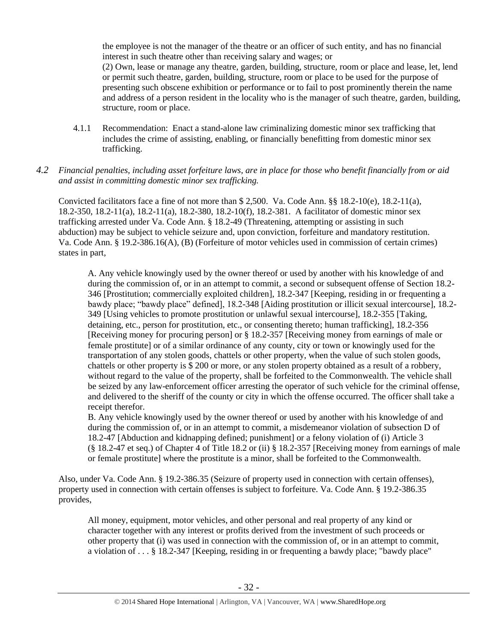the employee is not the manager of the theatre or an officer of such entity, and has no financial interest in such theatre other than receiving salary and wages; or (2) Own, lease or manage any theatre, garden, building, structure, room or place and lease, let, lend or permit such theatre, garden, building, structure, room or place to be used for the purpose of presenting such obscene exhibition or performance or to fail to post prominently therein the name and address of a person resident in the locality who is the manager of such theatre, garden, building, structure, room or place.

- 4.1.1 Recommendation: Enact a stand-alone law criminalizing domestic minor sex trafficking that includes the crime of assisting, enabling, or financially benefitting from domestic minor sex trafficking.
- *4.2 Financial penalties, including asset forfeiture laws, are in place for those who benefit financially from or aid and assist in committing domestic minor sex trafficking.*

Convicted facilitators face a fine of not more than  $$ 2,500$ . Va. Code Ann.  $§$ § 18.2-10(e), 18.2-11(a), 18.2-350, 18.2-11(a), 18.2-11(a), 18.2-380, 18.2-10(f), 18.2-381. A facilitator of domestic minor sex trafficking arrested under Va. Code Ann. § 18.2-49 (Threatening, attempting or assisting in such abduction) may be subject to vehicle seizure and, upon conviction, forfeiture and mandatory restitution. Va. Code Ann. § 19.2-386.16(A), (B) (Forfeiture of motor vehicles used in commission of certain crimes) states in part,

A. Any vehicle knowingly used by the owner thereof or used by another with his knowledge of and during the commission of, or in an attempt to commit, a second or subsequent offense of Section 18.2- 346 [Prostitution; commercially exploited children], 18.2-347 [Keeping, residing in or frequenting a bawdy place; "bawdy place" defined], 18.2-348 [Aiding prostitution or illicit sexual intercourse], 18.2- 349 [Using vehicles to promote prostitution or unlawful sexual intercourse], 18.2-355 [Taking, detaining, etc., person for prostitution, etc., or consenting thereto; human trafficking], 18.2-356 [Receiving money for procuring person] or § 18.2-357 [Receiving money from earnings of male or female prostitute] or of a similar ordinance of any county, city or town or knowingly used for the transportation of any stolen goods, chattels or other property, when the value of such stolen goods, chattels or other property is \$ 200 or more, or any stolen property obtained as a result of a robbery, without regard to the value of the property, shall be forfeited to the Commonwealth. The vehicle shall be seized by any law-enforcement officer arresting the operator of such vehicle for the criminal offense, and delivered to the sheriff of the county or city in which the offense occurred. The officer shall take a receipt therefor.

B. Any vehicle knowingly used by the owner thereof or used by another with his knowledge of and during the commission of, or in an attempt to commit, a misdemeanor violation of subsection D of 18.2-47 [Abduction and kidnapping defined; punishment] or a felony violation of (i) Article 3 (§ 18.2-47 et seq.) of Chapter 4 of Title 18.2 or (ii) § 18.2-357 [Receiving money from earnings of male or female prostitute] where the prostitute is a minor, shall be forfeited to the Commonwealth.

Also, under Va. Code Ann. § 19.2-386.35 (Seizure of property used in connection with certain offenses), property used in connection with certain offenses is subject to forfeiture. Va. Code Ann. § 19.2-386.35 provides,

All money, equipment, motor vehicles, and other personal and real property of any kind or character together with any interest or profits derived from the investment of such proceeds or other property that (i) was used in connection with the commission of, or in an attempt to commit, a violation of . . . § 18.2-347 [Keeping, residing in or frequenting a bawdy place; "bawdy place"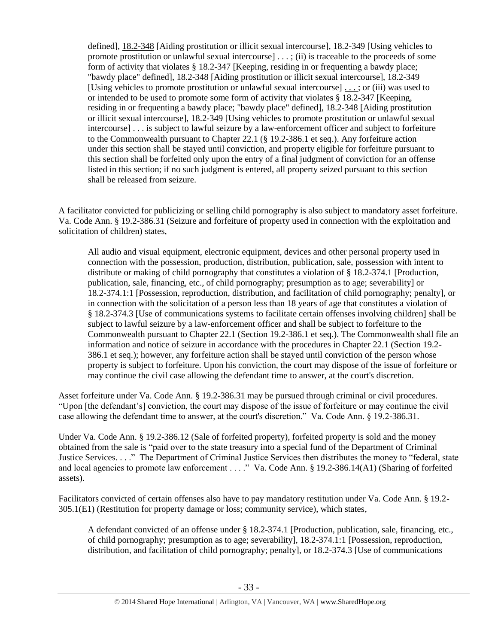defined], [18.2-348](http://lis.virginia.gov/cgi-bin/legp604.exe?000+cod+18.2-348) [Aiding prostitution or illicit sexual intercourse], 18.2-349 [Using vehicles to promote prostitution or unlawful sexual intercourse] . . . ; (ii) is traceable to the proceeds of some form of activity that violates § 18.2-347 [Keeping, residing in or frequenting a bawdy place; "bawdy place" defined], 18.2-348 [Aiding prostitution or illicit sexual intercourse], 18.2-349 [Using vehicles to promote prostitution or unlawful sexual intercourse] [. . . ;](http://lis.virginia.gov/cgi-bin/legp604.exe?000+cod+40.1-29) or (iii) was used to or intended to be used to promote some form of activity that violates § 18.2-347 [Keeping, residing in or frequenting a bawdy place; "bawdy place" defined], 18.2-348 [Aiding prostitution or illicit sexual intercourse], 18.2-349 [Using vehicles to promote prostitution or unlawful sexual intercourse] . . . is subject to lawful seizure by a law-enforcement officer and subject to forfeiture to the Commonwealth pursuant to Chapter 22.1 (§ 19.2-386.1 et seq.). Any forfeiture action under this section shall be stayed until conviction, and property eligible for forfeiture pursuant to this section shall be forfeited only upon the entry of a final judgment of conviction for an offense listed in this section; if no such judgment is entered, all property seized pursuant to this section shall be released from seizure.

A facilitator convicted for publicizing or selling child pornography is also subject to mandatory asset forfeiture. Va. Code Ann. § 19.2-386.31 (Seizure and forfeiture of property used in connection with the exploitation and solicitation of children) states,

All audio and visual equipment, electronic equipment, devices and other personal property used in connection with the possession, production, distribution, publication, sale, possession with intent to distribute or making of child pornography that constitutes a violation of § 18.2-374.1 [Production, publication, sale, financing, etc., of child pornography; presumption as to age; severability] or 18.2-374.1:1 [Possession, reproduction, distribution, and facilitation of child pornography; penalty], or in connection with the solicitation of a person less than 18 years of age that constitutes a violation of § 18.2-374.3 [Use of communications systems to facilitate certain offenses involving children] shall be subject to lawful seizure by a law-enforcement officer and shall be subject to forfeiture to the Commonwealth pursuant to Chapter 22.1 (Section 19.2-386.1 et seq.). The Commonwealth shall file an information and notice of seizure in accordance with the procedures in Chapter 22.1 (Section 19.2- 386.1 et seq.); however, any forfeiture action shall be stayed until conviction of the person whose property is subject to forfeiture. Upon his conviction, the court may dispose of the issue of forfeiture or may continue the civil case allowing the defendant time to answer, at the court's discretion.

Asset forfeiture under Va. Code Ann. § 19.2-386.31 may be pursued through criminal or civil procedures. "Upon [the defendant's] conviction, the court may dispose of the issue of forfeiture or may continue the civil case allowing the defendant time to answer, at the court's discretion." Va. Code Ann. § 19.2-386.31.

Under Va. Code Ann. § 19.2-386.12 (Sale of forfeited property), forfeited property is sold and the money obtained from the sale is "paid over to the state treasury into a special fund of the Department of Criminal Justice Services. . . ." The Department of Criminal Justice Services then distributes the money to "federal, state and local agencies to promote law enforcement . . . ." Va. Code Ann. § 19.2-386.14(A1) (Sharing of forfeited assets).

Facilitators convicted of certain offenses also have to pay mandatory restitution under Va. Code Ann. § 19.2- 305.1(E1) (Restitution for property damage or loss; community service), which states,

A defendant convicted of an offense under § 18.2-374.1 [Production, publication, sale, financing, etc., of child pornography; presumption as to age; severability], 18.2-374.1:1 [Possession, reproduction, distribution, and facilitation of child pornography; penalty], or 18.2-374.3 [Use of communications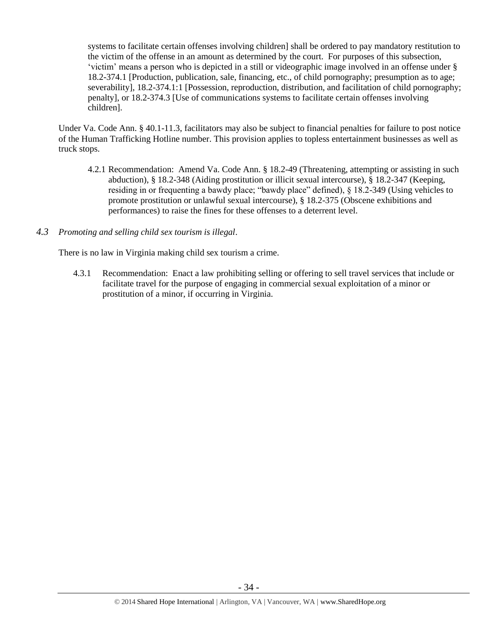systems to facilitate certain offenses involving children] shall be ordered to pay mandatory restitution to the victim of the offense in an amount as determined by the court. For purposes of this subsection, 'victim' means a person who is depicted in a still or videographic image involved in an offense under § 18.2-374.1 [Production, publication, sale, financing, etc., of child pornography; presumption as to age; severability], 18.2-374.1:1 [Possession, reproduction, distribution, and facilitation of child pornography; penalty], or 18.2-374.3 [Use of communications systems to facilitate certain offenses involving children].

Under Va. Code Ann. § 40.1-11.3, facilitators may also be subject to financial penalties for failure to post notice of the Human Trafficking Hotline number. This provision applies to topless entertainment businesses as well as truck stops.

- 4.2.1 Recommendation: Amend Va. Code Ann. § 18.2-49 (Threatening, attempting or assisting in such abduction), § 18.2-348 (Aiding prostitution or illicit sexual intercourse), § 18.2-347 (Keeping, residing in or frequenting a bawdy place; "bawdy place" defined), § 18.2-349 (Using vehicles to promote prostitution or unlawful sexual intercourse), § 18.2-375 (Obscene exhibitions and performances) to raise the fines for these offenses to a deterrent level.
- *4.3 Promoting and selling child sex tourism is illegal*.

There is no law in Virginia making child sex tourism a crime.

4.3.1 Recommendation: Enact a law prohibiting selling or offering to sell travel services that include or facilitate travel for the purpose of engaging in commercial sexual exploitation of a minor or prostitution of a minor, if occurring in Virginia.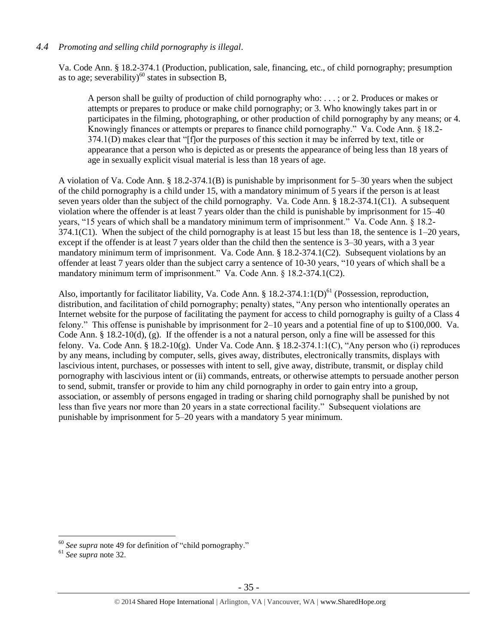# *4.4 Promoting and selling child pornography is illegal*.

Va. Code Ann. § 18.2-374.1 (Production, publication, sale, financing, etc., of child pornography; presumption as to age; severability)<sup>60</sup> states in subsection B,

A person shall be guilty of production of child pornography who: . . . ; or 2. Produces or makes or attempts or prepares to produce or make child pornography; or 3. Who knowingly takes part in or participates in the filming, photographing, or other production of child pornography by any means; or 4. Knowingly finances or attempts or prepares to finance child pornography." Va. Code Ann. § 18.2- 374.1(D) makes clear that "[f]or the purposes of this section it may be inferred by text, title or appearance that a person who is depicted as or presents the appearance of being less than 18 years of age in sexually explicit visual material is less than 18 years of age.

A violation of Va. Code Ann. § 18.2-374.1(B) is punishable by imprisonment for 5–30 years when the subject of the child pornography is a child under 15, with a mandatory minimum of 5 years if the person is at least seven years older than the subject of the child pornography. Va. Code Ann. § 18.2-374.1(C1). A subsequent violation where the offender is at least 7 years older than the child is punishable by imprisonment for 15–40 years, "15 years of which shall be a mandatory minimum term of imprisonment." Va. Code Ann. § 18.2- 374.1(C1). When the subject of the child pornography is at least 15 but less than 18, the sentence is  $1-20$  years, except if the offender is at least 7 years older than the child then the sentence is 3–30 years, with a 3 year mandatory minimum term of imprisonment. Va. Code Ann. § 18.2-374.1(C2). Subsequent violations by an offender at least 7 years older than the subject carry a sentence of 10-30 years, "10 years of which shall be a mandatory minimum term of imprisonment." Va. Code Ann. § 18.2-374.1(C2).

Also, importantly for facilitator liability, Va. Code Ann. §  $18.2-374.1:1(D)<sup>61</sup>$  (Possession, reproduction, distribution, and facilitation of child pornography; penalty) states, "Any person who intentionally operates an Internet website for the purpose of facilitating the payment for access to child pornography is guilty of a Class 4 felony." This offense is punishable by imprisonment for 2–10 years and a potential fine of up to \$100,000. Va. Code Ann.  $\S$  18.2-10(d), (g). If the offender is a not a natural person, only a fine will be assessed for this felony. Va. Code Ann. § 18.2-10(g). Under Va. Code Ann. § 18.2-374.1:1(C), "Any person who (i) reproduces by any means, including by computer, sells, gives away, distributes, electronically transmits, displays with lascivious intent, purchases, or possesses with intent to sell, give away, distribute, transmit, or display child pornography with lascivious intent or (ii) commands, entreats, or otherwise attempts to persuade another person to send, submit, transfer or provide to him any child pornography in order to gain entry into a group, association, or assembly of persons engaged in trading or sharing child pornography shall be punished by not less than five years nor more than 20 years in a state correctional facility." Subsequent violations are punishable by imprisonment for 5–20 years with a mandatory 5 year minimum.

<sup>60</sup> *See supra* note [49](#page-21-0) for definition of "child pornography."

<sup>61</sup> *See supra* note [32.](#page-13-1)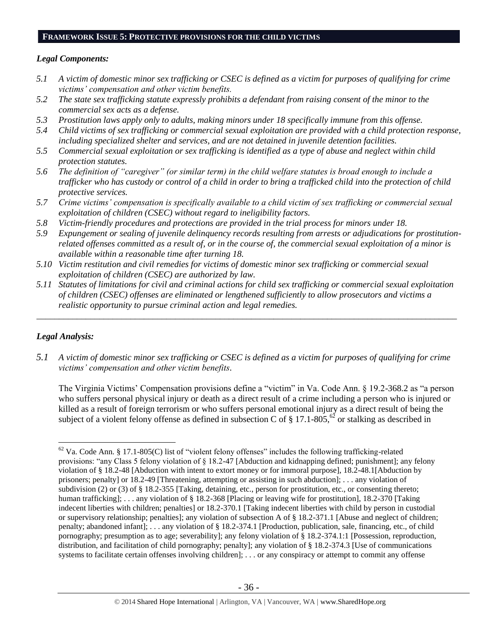# **FRAMEWORK ISSUE 5: PROTECTIVE PROVISIONS FOR THE CHILD VICTIMS**

## *Legal Components:*

- *5.1 A victim of domestic minor sex trafficking or CSEC is defined as a victim for purposes of qualifying for crime victims' compensation and other victim benefits.*
- *5.2 The state sex trafficking statute expressly prohibits a defendant from raising consent of the minor to the commercial sex acts as a defense.*
- *5.3 Prostitution laws apply only to adults, making minors under 18 specifically immune from this offense.*
- *5.4 Child victims of sex trafficking or commercial sexual exploitation are provided with a child protection response, including specialized shelter and services, and are not detained in juvenile detention facilities.*
- *5.5 Commercial sexual exploitation or sex trafficking is identified as a type of abuse and neglect within child protection statutes.*
- *5.6 The definition of "caregiver" (or similar term) in the child welfare statutes is broad enough to include a trafficker who has custody or control of a child in order to bring a trafficked child into the protection of child protective services.*
- *5.7 Crime victims' compensation is specifically available to a child victim of sex trafficking or commercial sexual exploitation of children (CSEC) without regard to ineligibility factors.*
- *5.8 Victim-friendly procedures and protections are provided in the trial process for minors under 18.*
- *5.9 Expungement or sealing of juvenile delinquency records resulting from arrests or adjudications for prostitutionrelated offenses committed as a result of, or in the course of, the commercial sexual exploitation of a minor is available within a reasonable time after turning 18.*
- *5.10 Victim restitution and civil remedies for victims of domestic minor sex trafficking or commercial sexual exploitation of children (CSEC) are authorized by law.*
- *5.11 Statutes of limitations for civil and criminal actions for child sex trafficking or commercial sexual exploitation of children (CSEC) offenses are eliminated or lengthened sufficiently to allow prosecutors and victims a realistic opportunity to pursue criminal action and legal remedies.*

*\_\_\_\_\_\_\_\_\_\_\_\_\_\_\_\_\_\_\_\_\_\_\_\_\_\_\_\_\_\_\_\_\_\_\_\_\_\_\_\_\_\_\_\_\_\_\_\_\_\_\_\_\_\_\_\_\_\_\_\_\_\_\_\_\_\_\_\_\_\_\_\_\_\_\_\_\_\_\_\_\_\_\_\_\_\_\_\_\_\_\_\_\_\_*

# *Legal Analysis:*

 $\overline{a}$ 

*5.1 A victim of domestic minor sex trafficking or CSEC is defined as a victim for purposes of qualifying for crime victims' compensation and other victim benefits.*

The Virginia Victims' Compensation provisions define a "victim" in Va. Code Ann. § 19.2-368.2 as "a person who suffers personal physical injury or death as a direct result of a crime including a person who is injured or killed as a result of foreign terrorism or who suffers personal emotional injury as a direct result of being the subject of a violent felony offense as defined in subsection C of § 17.1-805,<sup>62</sup> or stalking as described in

 $62$  Va. Code Ann. § 17.1-805(C) list of "violent felony offenses" includes the following trafficking-related provisions: "any Class 5 felony violation of § 18.2-47 [Abduction and kidnapping defined; punishment]; any felony violation of § 18.2-48 [Abduction with intent to extort money or for immoral purpose], 18.2-48.1[Abduction by prisoners; penalty] or 18.2-49 [Threatening, attempting or assisting in such abduction]; . . . any violation of subdivision (2) or (3) of § 18.2-355 [Taking, detaining, etc., person for prostitution, etc., or consenting thereto; human trafficking]; . . . any violation of § 18.2-368 [Placing or leaving wife for prostitution], 18.2-370 [Taking indecent liberties with children; penalties] or 18.2-370.1 [Taking indecent liberties with child by person in custodial or supervisory relationship; penalties]; any violation of subsection A of § 18.2-371.1 [Abuse and neglect of children; penalty; abandoned infant]; . . . any violation of § 18.2-374.1 [Production, publication, sale, financing, etc., of child pornography; presumption as to age; severability]; any felony violation of § 18.2-374.1:1 [Possession, reproduction, distribution, and facilitation of child pornography; penalty]; any violation of § 18.2-374.3 [Use of communications systems to facilitate certain offenses involving children]; ... or any conspiracy or attempt to commit any offense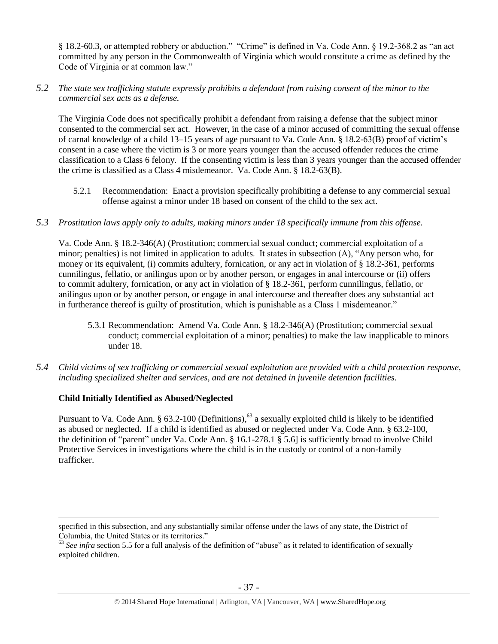§ 18.2-60.3, or attempted robbery or abduction." "Crime" is defined in Va. Code Ann. § 19.2-368.2 as "an act committed by any person in the Commonwealth of Virginia which would constitute a crime as defined by the Code of Virginia or at common law."

# *5.2 The state sex trafficking statute expressly prohibits a defendant from raising consent of the minor to the commercial sex acts as a defense.*

The Virginia Code does not specifically prohibit a defendant from raising a defense that the subject minor consented to the commercial sex act. However, in the case of a minor accused of committing the sexual offense of carnal knowledge of a child 13–15 years of age pursuant to Va. Code Ann. § 18.2-63(B) proof of victim's consent in a case where the victim is 3 or more years younger than the accused offender reduces the crime classification to a Class 6 felony. If the consenting victim is less than 3 years younger than the accused offender the crime is classified as a Class 4 misdemeanor. Va. Code Ann. § 18.2-63(B).

- 5.2.1 Recommendation: Enact a provision specifically prohibiting a defense to any commercial sexual offense against a minor under 18 based on consent of the child to the sex act.
- *5.3 Prostitution laws apply only to adults, making minors under 18 specifically immune from this offense.*

Va. Code Ann. § 18.2-346(A) (Prostitution; commercial sexual conduct; commercial exploitation of a minor; penalties) is not limited in application to adults. It states in subsection (A), "Any person who, for money or its equivalent, (i) commits adultery, fornication, or any act in violation of § 18.2-361, performs cunnilingus, fellatio, or anilingus upon or by another person, or engages in anal intercourse or (ii) offers to commit adultery, fornication, or any act in violation of § 18.2-361*,* perform cunnilingus, fellatio, or anilingus upon or by another person, or engage in anal intercourse and thereafter does any substantial act in furtherance thereof is guilty of prostitution, which is punishable as a Class 1 misdemeanor."

- 5.3.1 Recommendation: Amend Va. Code Ann. § 18.2-346(A) (Prostitution; commercial sexual conduct; commercial exploitation of a minor; penalties) to make the law inapplicable to minors under 18.
- *5.4 Child victims of sex trafficking or commercial sexual exploitation are provided with a child protection response, including specialized shelter and services, and are not detained in juvenile detention facilities.*

# **Child Initially Identified as Abused/Neglected**

 $\overline{a}$ 

Pursuant to Va. Code Ann. § 63.2-100 (Definitions),<sup>63</sup> a sexually exploited child is likely to be identified as abused or neglected. If a child is identified as abused or neglected under Va. Code Ann. § 63.2-100, the definition of "parent" under Va. Code Ann. § 16.1-278.1 § 5.6] is sufficiently broad to involve Child Protective Services in investigations where the child is in the custody or control of a non-family trafficker.

specified in this subsection, and any substantially similar offense under the laws of any state, the District of Columbia, the United States or its territories."

<sup>&</sup>lt;sup>63</sup> See infra section 5.5 for a full analysis of the definition of "abuse" as it related to identification of sexually exploited children.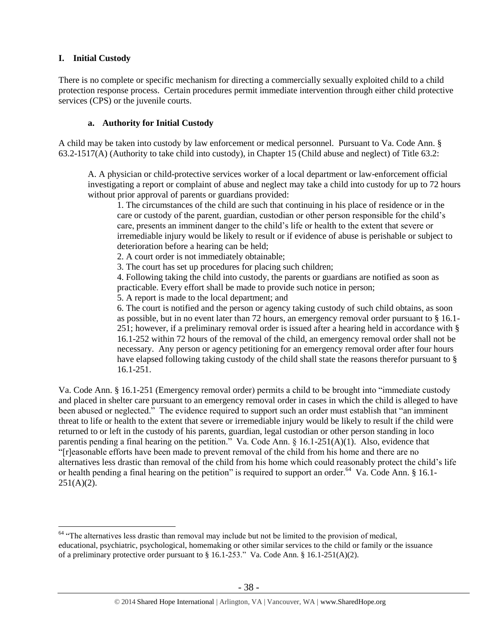# **I. Initial Custody**

 $\overline{a}$ 

There is no complete or specific mechanism for directing a commercially sexually exploited child to a child protection response process. Certain procedures permit immediate intervention through either child protective services (CPS) or the juvenile courts.

# **a. Authority for Initial Custody**

A child may be taken into custody by law enforcement or medical personnel. Pursuant to Va. Code Ann. § 63.2-1517(A) (Authority to take child into custody), in Chapter 15 (Child abuse and neglect) of Title 63.2:

A. A physician or child-protective services worker of a local department or law-enforcement official investigating a report or complaint of abuse and neglect may take a child into custody for up to 72 hours without prior approval of parents or guardians provided:

1. The circumstances of the child are such that continuing in his place of residence or in the care or custody of the parent, guardian, custodian or other person responsible for the child's care, presents an imminent danger to the child's life or health to the extent that severe or irremediable injury would be likely to result or if evidence of abuse is perishable or subject to deterioration before a hearing can be held;

2. A court order is not immediately obtainable;

3. The court has set up procedures for placing such children;

4. Following taking the child into custody, the parents or guardians are notified as soon as practicable. Every effort shall be made to provide such notice in person;

5. A report is made to the local department; and

6. The court is notified and the person or agency taking custody of such child obtains, as soon as possible, but in no event later than 72 hours, an emergency removal order pursuant to § 16.1- 251; however, if a preliminary removal order is issued after a hearing held in accordance with § 16.1-252 within 72 hours of the removal of the child, an emergency removal order shall not be necessary. Any person or agency petitioning for an emergency removal order after four hours have elapsed following taking custody of the child shall state the reasons therefor pursuant to § 16.1-251.

Va. Code Ann. § 16.1-251 (Emergency removal order) permits a child to be brought into "immediate custody and placed in shelter care pursuant to an emergency removal order in cases in which the child is alleged to have been abused or neglected." The evidence required to support such an order must establish that "an imminent threat to life or health to the extent that severe or irremediable injury would be likely to result if the child were returned to or left in the custody of his parents, guardian, legal custodian or other person standing in loco parentis pending a final hearing on the petition." Va. Code Ann. § 16.1-251(A)(1). Also, evidence that "[r]easonable efforts have been made to prevent removal of the child from his home and there are no alternatives less drastic than removal of the child from his home which could reasonably protect the child's life or health pending a final hearing on the petition" is required to support an order.<sup>64</sup> Va. Code Ann. § 16.1- $251(A)(2)$ .

<sup>&</sup>lt;sup>64</sup> "The alternatives less drastic than removal may include but not be limited to the provision of medical, educational, psychiatric, psychological, homemaking or other similar services to the child or family or the issuance of a preliminary protective order pursuant to § 16.1-253." Va. Code Ann. § 16.1-251(A)(2).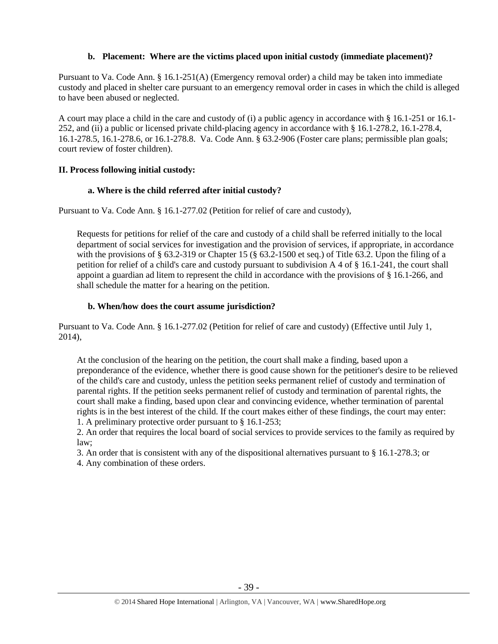# **b. Placement: Where are the victims placed upon initial custody (immediate placement)?**

Pursuant to Va. Code Ann. § 16.1-251(A) (Emergency removal order) a child may be taken into immediate custody and placed in shelter care pursuant to an emergency removal order in cases in which the child is alleged to have been abused or neglected.

A court may place a child in the care and custody of (i) a public agency in accordance with § 16.1-251 or 16.1- 252, and (ii) a public or licensed private child-placing agency in accordance with § 16.1-278.2, 16.1-278.4, 16.1-278.5, 16.1-278.6, or 16.1-278.8. Va. Code Ann. § 63.2-906 (Foster care plans; permissible plan goals; court review of foster children).

# **II. Process following initial custody:**

# **a. Where is the child referred after initial custody?**

Pursuant to Va. Code Ann. § 16.1-277.02 (Petition for relief of care and custody),

Requests for petitions for relief of the care and custody of a child shall be referred initially to the local department of social services for investigation and the provision of services, if appropriate, in accordance with the provisions of § 63.2-319 or Chapter 15 (§ 63.2-1500 et seq.) of Title 63.2. Upon the filing of a petition for relief of a child's care and custody pursuant to subdivision A 4 of § 16.1-241, the court shall appoint a guardian ad litem to represent the child in accordance with the provisions of § 16.1-266, and shall schedule the matter for a hearing on the petition.

# **b. When/how does the court assume jurisdiction?**

Pursuant to Va. Code Ann. § 16.1-277.02 (Petition for relief of care and custody) (Effective until July 1, 2014),

At the conclusion of the hearing on the petition, the court shall make a finding, based upon a preponderance of the evidence, whether there is good cause shown for the petitioner's desire to be relieved of the child's care and custody, unless the petition seeks permanent relief of custody and termination of parental rights. If the petition seeks permanent relief of custody and termination of parental rights, the court shall make a finding, based upon clear and convincing evidence, whether termination of parental rights is in the best interest of the child. If the court makes either of these findings, the court may enter: 1. A preliminary protective order pursuant to § 16.1-253;

2. An order that requires the local board of social services to provide services to the family as required by law;

3. An order that is consistent with any of the dispositional alternatives pursuant to § 16.1-278.3; or

4. Any combination of these orders.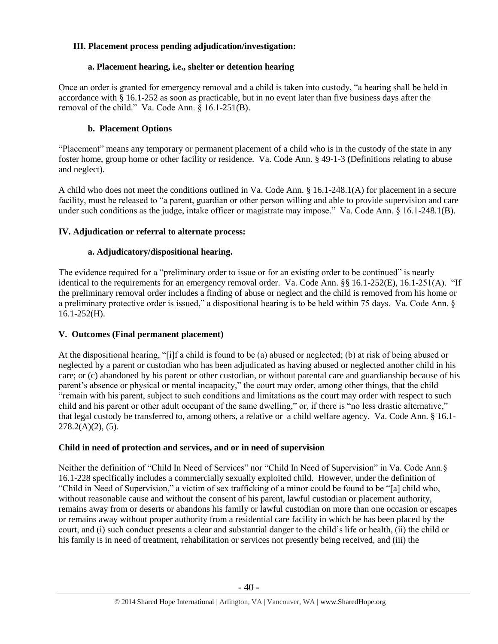# **III. Placement process pending adjudication/investigation:**

# **a. Placement hearing, i.e., shelter or detention hearing**

Once an order is granted for emergency removal and a child is taken into custody, "a hearing shall be held in accordance with § 16.1-252 as soon as practicable, but in no event later than five business days after the removal of the child." Va. Code Ann. § 16.1-251(B).

# **b. Placement Options**

"Placement" means any temporary or permanent placement of a child who is in the custody of the state in any foster home, group home or other facility or residence. Va. Code Ann. § 49-1-3 **(**Definitions relating to abuse and neglect).

A child who does not meet the conditions outlined in Va. Code Ann. § 16.1-248.1(A) for placement in a secure facility, must be released to "a parent, guardian or other person willing and able to provide supervision and care under such conditions as the judge, intake officer or magistrate may impose." Va. Code Ann. § 16.1-248.1(B).

# **IV. Adjudication or referral to alternate process:**

# **a. Adjudicatory/dispositional hearing.**

The evidence required for a "preliminary order to issue or for an existing order to be continued" is nearly identical to the requirements for an emergency removal order. Va. Code Ann. §§ 16.1-252(E), 16.1-251(A). "If the preliminary removal order includes a finding of abuse or neglect and the child is removed from his home or a preliminary protective order is issued," a dispositional hearing is to be held within 75 days. Va. Code Ann. §  $16.1 - 252$ (H).

# **V. Outcomes (Final permanent placement)**

At the dispositional hearing, "[i]f a child is found to be (a) abused or neglected; (b) at risk of being abused or neglected by a parent or custodian who has been adjudicated as having abused or neglected another child in his care; or (c) abandoned by his parent or other custodian, or without parental care and guardianship because of his parent's absence or physical or mental incapacity," the court may order, among other things, that the child "remain with his parent, subject to such conditions and limitations as the court may order with respect to such child and his parent or other adult occupant of the same dwelling," or, if there is "no less drastic alternative," that legal custody be transferred to, among others, a relative or a child welfare agency. Va. Code Ann. § 16.1-  $278.2(A)(2)$ , (5).

# **Child in need of protection and services, and or in need of supervision**

Neither the definition of "Child In Need of Services" nor "Child In Need of Supervision" in Va. Code Ann.§ 16.1-228 specifically includes a commercially sexually exploited child. However, under the definition of "Child in Need of Supervision," a victim of sex trafficking of a minor could be found to be "[a] child who, without reasonable cause and without the consent of his parent, lawful custodian or placement authority, remains away from or deserts or abandons his family or lawful custodian on more than one occasion or escapes or remains away without proper authority from a residential care facility in which he has been placed by the court, and (i) such conduct presents a clear and substantial danger to the child's life or health, (ii) the child or his family is in need of treatment, rehabilitation or services not presently being received, and (iii) the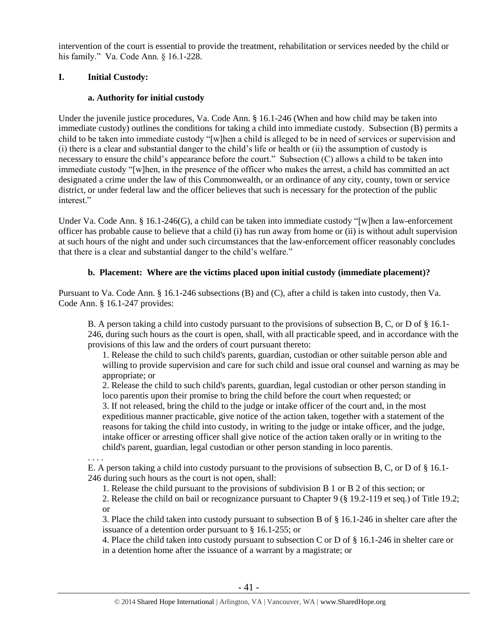intervention of the court is essential to provide the treatment, rehabilitation or services needed by the child or his family." Va. Code Ann. § 16.1-228.

# **I. Initial Custody:**

# **a. Authority for initial custody**

Under the juvenile justice procedures, Va. Code Ann. § 16.1-246 (When and how child may be taken into immediate custody) outlines the conditions for taking a child into immediate custody. Subsection (B) permits a child to be taken into immediate custody "[w]hen a child is alleged to be in need of services or supervision and (i) there is a clear and substantial danger to the child's life or health or (ii) the assumption of custody is necessary to ensure the child's appearance before the court." Subsection (C) allows a child to be taken into immediate custody "[w]hen, in the presence of the officer who makes the arrest, a child has committed an act designated a crime under the law of this Commonwealth, or an ordinance of any city, county, town or service district, or under federal law and the officer believes that such is necessary for the protection of the public interest."

Under Va. Code Ann. § 16.1-246(G), a child can be taken into immediate custody "[w]hen a law-enforcement officer has probable cause to believe that a child (i) has run away from home or (ii) is without adult supervision at such hours of the night and under such circumstances that the law-enforcement officer reasonably concludes that there is a clear and substantial danger to the child's welfare."

# **b. Placement: Where are the victims placed upon initial custody (immediate placement)?**

Pursuant to Va. Code Ann. § 16.1-246 subsections (B) and (C), after a child is taken into custody, then Va. Code Ann. § 16.1-247 provides:

B. A person taking a child into custody pursuant to the provisions of subsection B, C, or D of § 16.1- 246, during such hours as the court is open, shall, with all practicable speed, and in accordance with the provisions of this law and the orders of court pursuant thereto:

1. Release the child to such child's parents, guardian, custodian or other suitable person able and willing to provide supervision and care for such child and issue oral counsel and warning as may be appropriate; or

2. Release the child to such child's parents, guardian, legal custodian or other person standing in loco parentis upon their promise to bring the child before the court when requested; or 3. If not released, bring the child to the judge or intake officer of the court and, in the most expeditious manner practicable, give notice of the action taken, together with a statement of the reasons for taking the child into custody, in writing to the judge or intake officer, and the judge, intake officer or arresting officer shall give notice of the action taken orally or in writing to the child's parent, guardian, legal custodian or other person standing in loco parentis.

. . . .

E. A person taking a child into custody pursuant to the provisions of subsection B, C, or D of § 16.1- 246 during such hours as the court is not open, shall:

1. Release the child pursuant to the provisions of subdivision B 1 or B 2 of this section; or

2. Release the child on bail or recognizance pursuant to Chapter 9 (§ 19.2-119 et seq.) of Title 19.2; or

3. Place the child taken into custody pursuant to subsection B of § 16.1-246 in shelter care after the issuance of a detention order pursuant to § 16.1-255; or

4. Place the child taken into custody pursuant to subsection C or D of § 16.1-246 in shelter care or in a detention home after the issuance of a warrant by a magistrate; or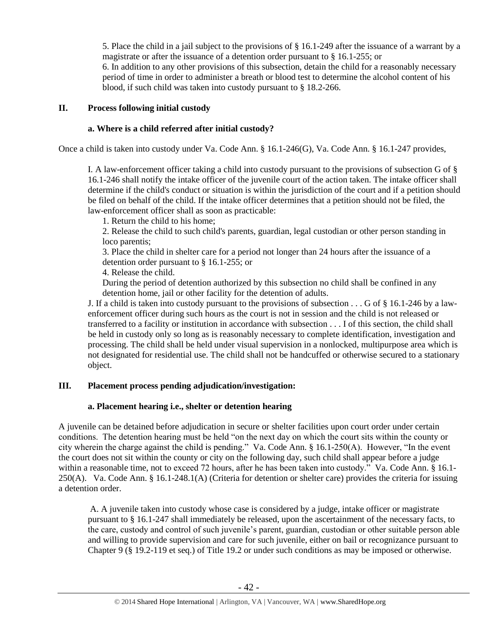5. Place the child in a jail subject to the provisions of § 16.1-249 after the issuance of a warrant by a magistrate or after the issuance of a detention order pursuant to § 16.1-255; or

6. In addition to any other provisions of this subsection, detain the child for a reasonably necessary period of time in order to administer a breath or blood test to determine the alcohol content of his blood, if such child was taken into custody pursuant to § 18.2-266.

# **II. Process following initial custody**

# **a. Where is a child referred after initial custody?**

Once a child is taken into custody under Va. Code Ann. § 16.1-246(G), Va. Code Ann. § 16.1-247 provides,

I. A law-enforcement officer taking a child into custody pursuant to the provisions of subsection G of § 16.1-246 shall notify the intake officer of the juvenile court of the action taken. The intake officer shall determine if the child's conduct or situation is within the jurisdiction of the court and if a petition should be filed on behalf of the child. If the intake officer determines that a petition should not be filed, the law-enforcement officer shall as soon as practicable:

1. Return the child to his home;

2. Release the child to such child's parents, guardian, legal custodian or other person standing in loco parentis;

3. Place the child in shelter care for a period not longer than 24 hours after the issuance of a detention order pursuant to § 16.1-255; or

4. Release the child.

During the period of detention authorized by this subsection no child shall be confined in any detention home, jail or other facility for the detention of adults.

J. If a child is taken into custody pursuant to the provisions of subsection . . . G of § 16.1-246 by a lawenforcement officer during such hours as the court is not in session and the child is not released or transferred to a facility or institution in accordance with subsection . . . I of this section, the child shall be held in custody only so long as is reasonably necessary to complete identification, investigation and processing. The child shall be held under visual supervision in a nonlocked, multipurpose area which is not designated for residential use. The child shall not be handcuffed or otherwise secured to a stationary object.

# **III. Placement process pending adjudication/investigation:**

## **a. Placement hearing i.e., shelter or detention hearing**

A juvenile can be detained before adjudication in secure or shelter facilities upon court order under certain conditions. The detention hearing must be held "on the next day on which the court sits within the county or city wherein the charge against the child is pending." Va. Code Ann. § 16.1-250(A). However, "In the event the court does not sit within the county or city on the following day, such child shall appear before a judge within a reasonable time, not to exceed 72 hours, after he has been taken into custody." Va. Code Ann. § 16.1- 250(A). Va. Code Ann. § 16.1-248.1(A) (Criteria for detention or shelter care) provides the criteria for issuing a detention order.

A. A juvenile taken into custody whose case is considered by a judge, intake officer or magistrate pursuant to § 16.1-247 shall immediately be released, upon the ascertainment of the necessary facts, to the care, custody and control of such juvenile's parent, guardian, custodian or other suitable person able and willing to provide supervision and care for such juvenile, either on bail or recognizance pursuant to Chapter 9 (§ 19.2-119 et seq.) of Title 19.2 or under such conditions as may be imposed or otherwise.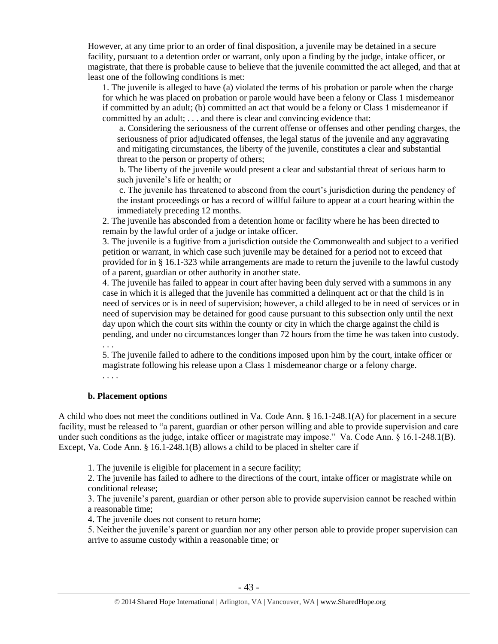However, at any time prior to an order of final disposition, a juvenile may be detained in a secure facility, pursuant to a detention order or warrant, only upon a finding by the judge, intake officer, or magistrate, that there is probable cause to believe that the juvenile committed the act alleged, and that at least one of the following conditions is met:

1. The juvenile is alleged to have (a) violated the terms of his probation or parole when the charge for which he was placed on probation or parole would have been a felony or Class 1 misdemeanor if committed by an adult; (b) committed an act that would be a felony or Class 1 misdemeanor if committed by an adult; . . . and there is clear and convincing evidence that:

a. Considering the seriousness of the current offense or offenses and other pending charges, the seriousness of prior adjudicated offenses, the legal status of the juvenile and any aggravating and mitigating circumstances, the liberty of the juvenile, constitutes a clear and substantial threat to the person or property of others;

b. The liberty of the juvenile would present a clear and substantial threat of serious harm to such juvenile's life or health; or

c. The juvenile has threatened to abscond from the court's jurisdiction during the pendency of the instant proceedings or has a record of willful failure to appear at a court hearing within the immediately preceding 12 months.

2. The juvenile has absconded from a detention home or facility where he has been directed to remain by the lawful order of a judge or intake officer.

3. The juvenile is a fugitive from a jurisdiction outside the Commonwealth and subject to a verified petition or warrant, in which case such juvenile may be detained for a period not to exceed that provided for in § 16.1-323 while arrangements are made to return the juvenile to the lawful custody of a parent, guardian or other authority in another state.

4. The juvenile has failed to appear in court after having been duly served with a summons in any case in which it is alleged that the juvenile has committed a delinquent act or that the child is in need of services or is in need of supervision; however, a child alleged to be in need of services or in need of supervision may be detained for good cause pursuant to this subsection only until the next day upon which the court sits within the county or city in which the charge against the child is pending, and under no circumstances longer than 72 hours from the time he was taken into custody.

. . .

5. The juvenile failed to adhere to the conditions imposed upon him by the court, intake officer or magistrate following his release upon a Class 1 misdemeanor charge or a felony charge.

. . . .

#### **b. Placement options**

A child who does not meet the conditions outlined in Va. Code Ann. § 16.1-248.1(A) for placement in a secure facility, must be released to "a parent, guardian or other person willing and able to provide supervision and care under such conditions as the judge, intake officer or magistrate may impose." Va. Code Ann. § 16.1-248.1(B). Except, Va. Code Ann. § 16.1-248.1(B) allows a child to be placed in shelter care if

1. The juvenile is eligible for placement in a secure facility;

2. The juvenile has failed to adhere to the directions of the court, intake officer or magistrate while on conditional release;

3. The juvenile's parent, guardian or other person able to provide supervision cannot be reached within a reasonable time;

4. The juvenile does not consent to return home;

5. Neither the juvenile's parent or guardian nor any other person able to provide proper supervision can arrive to assume custody within a reasonable time; or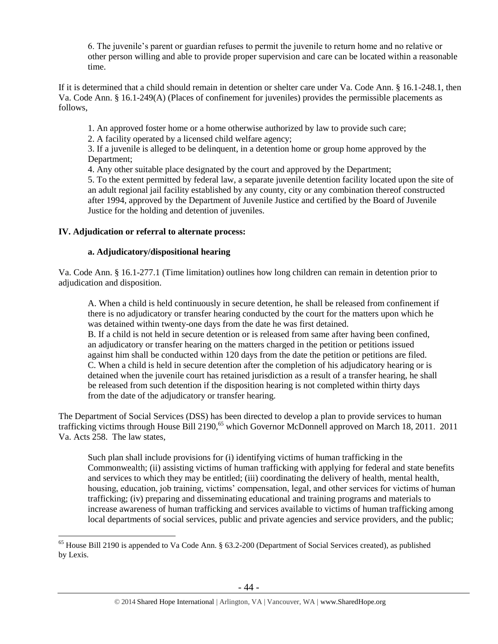6. The juvenile's parent or guardian refuses to permit the juvenile to return home and no relative or other person willing and able to provide proper supervision and care can be located within a reasonable time.

If it is determined that a child should remain in detention or shelter care under Va. Code Ann. § 16.1-248.1, then Va. Code Ann. § 16.1-249(A) (Places of confinement for juveniles) provides the permissible placements as follows,

1. An approved foster home or a home otherwise authorized by law to provide such care;

2. A facility operated by a licensed child welfare agency;

3. If a juvenile is alleged to be delinquent, in a detention home or group home approved by the Department;

4. Any other suitable place designated by the court and approved by the Department;

5. To the extent permitted by federal law, a separate juvenile detention facility located upon the site of an adult regional jail facility established by any county, city or any combination thereof constructed after 1994, approved by the Department of Juvenile Justice and certified by the Board of Juvenile Justice for the holding and detention of juveniles.

# **IV. Adjudication or referral to alternate process:**

 $\overline{a}$ 

# **a. Adjudicatory/dispositional hearing**

Va. Code Ann. § 16.1-277.1 (Time limitation) outlines how long children can remain in detention prior to adjudication and disposition.

A. When a child is held continuously in secure detention, he shall be released from confinement if there is no adjudicatory or transfer hearing conducted by the court for the matters upon which he was detained within twenty-one days from the date he was first detained.

B. If a child is not held in secure detention or is released from same after having been confined, an adjudicatory or transfer hearing on the matters charged in the petition or petitions issued against him shall be conducted within 120 days from the date the petition or petitions are filed. C. When a child is held in secure detention after the completion of his adjudicatory hearing or is detained when the juvenile court has retained jurisdiction as a result of a transfer hearing, he shall be released from such detention if the disposition hearing is not completed within thirty days from the date of the adjudicatory or transfer hearing.

The Department of Social Services (DSS) has been directed to develop a plan to provide services to human trafficking victims through House Bill 2190,<sup>65</sup> which Governor McDonnell approved on March 18, 2011. 2011 Va. Acts 258. The law states,

Such plan shall include provisions for (i) identifying victims of human trafficking in the Commonwealth; (ii) assisting victims of human trafficking with applying for federal and state benefits and services to which they may be entitled; (iii) coordinating the delivery of health, mental health, housing, education, job training, victims' compensation, legal, and other services for victims of human trafficking; (iv) preparing and disseminating educational and training programs and materials to increase awareness of human trafficking and services available to victims of human trafficking among local departments of social services, public and private agencies and service providers, and the public;

<sup>&</sup>lt;sup>65</sup> House Bill 2190 is appended to Va Code Ann. § 63.2-200 (Department of Social Services created), as published by Lexis.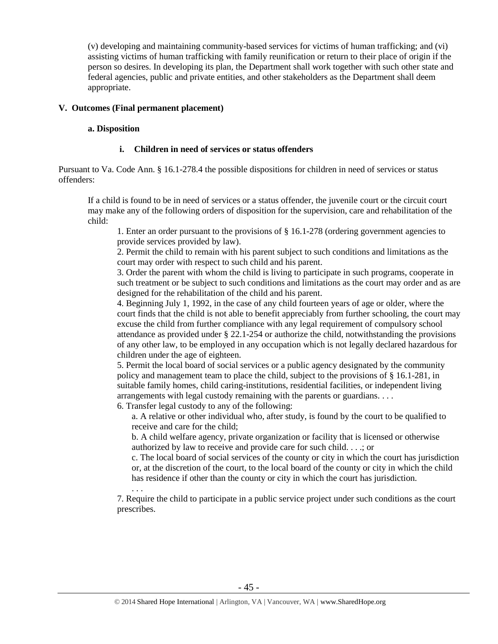(v) developing and maintaining community-based services for victims of human trafficking; and (vi) assisting victims of human trafficking with family reunification or return to their place of origin if the person so desires. In developing its plan, the Department shall work together with such other state and federal agencies, public and private entities, and other stakeholders as the Department shall deem appropriate.

## **V. Outcomes (Final permanent placement)**

. . .

## **a. Disposition**

## **i. Children in need of services or status offenders**

Pursuant to Va. Code Ann. § 16.1-278.4 the possible dispositions for children in need of services or status offenders:

If a child is found to be in need of services or a status offender, the juvenile court or the circuit court may make any of the following orders of disposition for the supervision, care and rehabilitation of the child:

1. Enter an order pursuant to the provisions of § 16.1-278 (ordering government agencies to provide services provided by law).

2. Permit the child to remain with his parent subject to such conditions and limitations as the court may order with respect to such child and his parent.

3. Order the parent with whom the child is living to participate in such programs, cooperate in such treatment or be subject to such conditions and limitations as the court may order and as are designed for the rehabilitation of the child and his parent.

4. Beginning July 1, 1992, in the case of any child fourteen years of age or older, where the court finds that the child is not able to benefit appreciably from further schooling, the court may excuse the child from further compliance with any legal requirement of compulsory school attendance as provided under § 22.1-254 or authorize the child, notwithstanding the provisions of any other law, to be employed in any occupation which is not legally declared hazardous for children under the age of eighteen.

5. Permit the local board of social services or a public agency designated by the community policy and management team to place the child, subject to the provisions of § 16.1-281, in suitable family homes, child caring-institutions, residential facilities, or independent living arrangements with legal custody remaining with the parents or guardians. . . .

6. Transfer legal custody to any of the following:

a. A relative or other individual who, after study, is found by the court to be qualified to receive and care for the child;

b. A child welfare agency, private organization or facility that is licensed or otherwise authorized by law to receive and provide care for such child. . . .; or

c. The local board of social services of the county or city in which the court has jurisdiction or, at the discretion of the court, to the local board of the county or city in which the child has residence if other than the county or city in which the court has jurisdiction.

7. Require the child to participate in a public service project under such conditions as the court prescribes.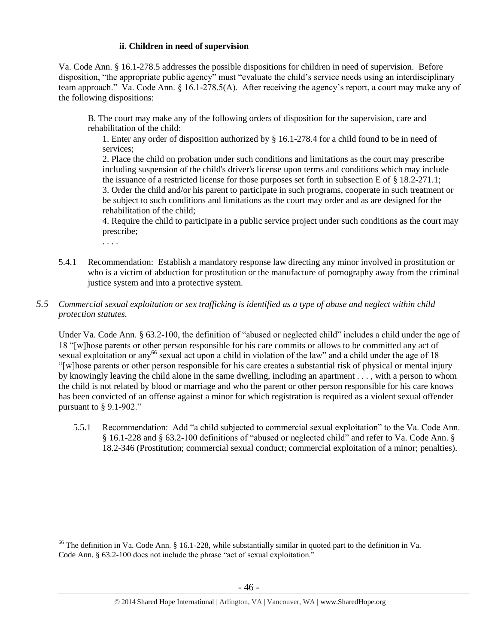## **ii. Children in need of supervision**

Va. Code Ann. § 16.1-278.5 addresses the possible dispositions for children in need of supervision. Before disposition, "the appropriate public agency" must "evaluate the child's service needs using an interdisciplinary team approach." Va. Code Ann. § 16.1-278.5(A). After receiving the agency's report, a court may make any of the following dispositions:

B. The court may make any of the following orders of disposition for the supervision, care and rehabilitation of the child:

1. Enter any order of disposition authorized by § 16.1-278.4 for a child found to be in need of services;

2. Place the child on probation under such conditions and limitations as the court may prescribe including suspension of the child's driver's license upon terms and conditions which may include the issuance of a restricted license for those purposes set forth in subsection E of § 18.2-271.1; 3. Order the child and/or his parent to participate in such programs, cooperate in such treatment or be subject to such conditions and limitations as the court may order and as are designed for the rehabilitation of the child;

4. Require the child to participate in a public service project under such conditions as the court may prescribe;

. . . .

 $\overline{a}$ 

5.4.1 Recommendation: Establish a mandatory response law directing any minor involved in prostitution or who is a victim of abduction for prostitution or the manufacture of pornography away from the criminal justice system and into a protective system.

# *5.5 Commercial sexual exploitation or sex trafficking is identified as a type of abuse and neglect within child protection statutes.*

Under Va. Code Ann. § 63.2-100, the definition of "abused or neglected child" includes a child under the age of 18 "[w]hose parents or other person responsible for his care commits or allows to be committed any act of sexual exploitation or any<sup>66</sup> sexual act upon a child in violation of the law" and a child under the age of 18 "[w]hose parents or other person responsible for his care creates a substantial risk of physical or mental injury by knowingly leaving the child alone in the same dwelling, including an apartment . . . , with a person to whom the child is not related by blood or marriage and who the parent or other person responsible for his care knows has been convicted of an offense against a minor for which registration is required as a violent sexual offender pursuant to § 9.1-902."

5.5.1 Recommendation: Add "a child subjected to commercial sexual exploitation" to the Va. Code Ann. § 16.1-228 and § 63.2-100 definitions of "abused or neglected child" and refer to Va. Code Ann. § 18.2-346 (Prostitution; commercial sexual conduct; commercial exploitation of a minor; penalties).

<sup>&</sup>lt;sup>66</sup> The definition in Va. Code Ann. § 16.1-228, while substantially similar in quoted part to the definition in Va. Code Ann. § 63.2-100 does not include the phrase "act of sexual exploitation."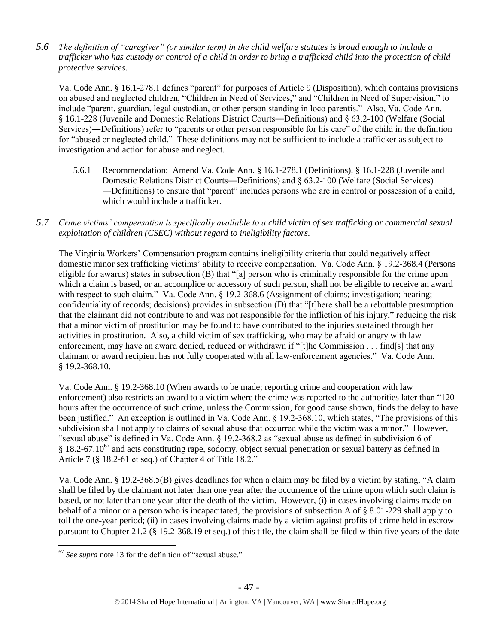*5.6 The definition of "caregiver" (or similar term) in the child welfare statutes is broad enough to include a trafficker who has custody or control of a child in order to bring a trafficked child into the protection of child protective services.*

Va. Code Ann. § 16.1-278.1 defines "parent" for purposes of Article 9 (Disposition), which contains provisions on abused and neglected children, "Children in Need of Services," and "Children in Need of Supervision," to include "parent, guardian, legal custodian, or other person standing in loco parentis." Also, Va. Code Ann. § 16.1-228 (Juvenile and Domestic Relations District Courts―Definitions) and § 63.2-100 (Welfare (Social Services)―Definitions) refer to "parents or other person responsible for his care" of the child in the definition for "abused or neglected child." These definitions may not be sufficient to include a trafficker as subject to investigation and action for abuse and neglect.

- 5.6.1 Recommendation: Amend Va. Code Ann. § 16.1-278.1 (Definitions), § 16.1-228 (Juvenile and Domestic Relations District Courts―Definitions) and § 63.2-100 (Welfare (Social Services) ―Definitions) to ensure that "parent" includes persons who are in control or possession of a child, which would include a trafficker.
- *5.7 Crime victims' compensation is specifically available to a child victim of sex trafficking or commercial sexual exploitation of children (CSEC) without regard to ineligibility factors.*

The Virginia Workers' Compensation program contains ineligibility criteria that could negatively affect domestic minor sex trafficking victims' ability to receive compensation. Va. Code Ann. § 19.2-368.4 (Persons eligible for awards) states in subsection (B) that "[a] person who is criminally responsible for the crime upon which a claim is based, or an accomplice or accessory of such person, shall not be eligible to receive an award with respect to such claim." Va. Code Ann. § 19.2-368.6 (Assignment of claims; investigation; hearing; confidentiality of records; decisions) provides in subsection (D) that "[t]here shall be a rebuttable presumption that the claimant did not contribute to and was not responsible for the infliction of his injury," reducing the risk that a minor victim of prostitution may be found to have contributed to the injuries sustained through her activities in prostitution. Also, a child victim of sex trafficking, who may be afraid or angry with law enforcement, may have an award denied, reduced or withdrawn if "[t]he Commission . . . find[s] that any claimant or award recipient has not fully cooperated with all law-enforcement agencies." Va. Code Ann. § 19.2-368.10.

Va. Code Ann. § 19.2-368.10 (When awards to be made; reporting crime and cooperation with law enforcement) also restricts an award to a victim where the crime was reported to the authorities later than "120 hours after the occurrence of such crime, unless the Commission, for good cause shown, finds the delay to have been justified." An exception is outlined in Va. Code Ann. § 19.2-368.10, which states, "The provisions of this subdivision shall not apply to claims of sexual abuse that occurred while the victim was a minor." However, "sexual abuse" is defined in Va. Code Ann. § 19.2-368.2 as "sexual abuse as defined in subdivision 6 of  $§$  18.2-67.10<sup>67</sup> and acts constituting rape, sodomy, object sexual penetration or sexual battery as defined in Article 7 (§ 18.2-61 et seq.) of Chapter 4 of Title 18.2."

Va. Code Ann. § 19.2-368.5(B) gives deadlines for when a claim may be filed by a victim by stating, "A claim shall be filed by the claimant not later than one year after the occurrence of the crime upon which such claim is based, or not later than one year after the death of the victim. However, (i) in cases involving claims made on behalf of a minor or a person who is incapacitated, the provisions of subsection A of § 8.01-229 shall apply to toll the one-year period; (ii) in cases involving claims made by a victim against profits of crime held in escrow pursuant to Chapter 21.2 (§ 19.2-368.19 et seq.) of this title, the claim shall be filed within five years of the date

 $\overline{a}$ <sup>67</sup> *See supra* note [13](#page-4-0) for the definition of "sexual abuse."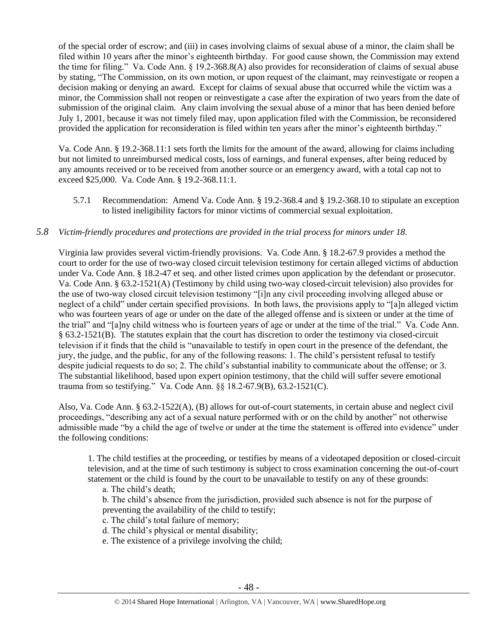of the special order of escrow; and (iii) in cases involving claims of sexual abuse of a minor, the claim shall be filed within 10 years after the minor's eighteenth birthday. For good cause shown, the Commission may extend the time for filing." Va. Code Ann. § 19.2-368.8(A) also provides for reconsideration of claims of sexual abuse by stating, "The Commission, on its own motion, or upon request of the claimant, may reinvestigate or reopen a decision making or denying an award. Except for claims of sexual abuse that occurred while the victim was a minor, the Commission shall not reopen or reinvestigate a case after the expiration of two years from the date of submission of the original claim. Any claim involving the sexual abuse of a minor that has been denied before July 1, 2001, because it was not timely filed may, upon application filed with the Commission, be reconsidered provided the application for reconsideration is filed within ten years after the minor's eighteenth birthday."

Va. Code Ann. § 19.2-368.11:1 sets forth the limits for the amount of the award, allowing for claims including but not limited to unreimbursed medical costs, loss of earnings, and funeral expenses, after being reduced by any amounts received or to be received from another source or an emergency award, with a total cap not to exceed \$25,000. Va. Code Ann. § 19.2-368.11:1.

5.7.1 Recommendation: Amend Va. Code Ann. § 19.2-368.4 and § 19.2-368.10 to stipulate an exception to listed ineligibility factors for minor victims of commercial sexual exploitation.

# *5.8 Victim-friendly procedures and protections are provided in the trial process for minors under 18.*

Virginia law provides several victim-friendly provisions. Va. Code Ann. § 18.2-67.9 provides a method the court to order for the use of two-way closed circuit television testimony for certain alleged victims of abduction under Va. Code Ann. § 18.2-47 et seq. and other listed crimes upon application by the defendant or prosecutor. Va. Code Ann. § 63.2-1521(A) (Testimony by child using two-way closed-circuit television) also provides for the use of two-way closed circuit television testimony "[i]n any civil proceeding involving alleged abuse or neglect of a child" under certain specified provisions. In both laws, the provisions apply to "[a]n alleged victim who was fourteen years of age or under on the date of the alleged offense and is sixteen or under at the time of the trial" and "[a]ny child witness who is fourteen years of age or under at the time of the trial." Va. Code Ann. § 63.2-1521(B). The statutes explain that the court has discretion to order the testimony via closed-circuit television if it finds that the child is "unavailable to testify in open court in the presence of the defendant, the jury, the judge, and the public, for any of the following reasons: 1. The child's persistent refusal to testify despite judicial requests to do so; 2. The child's substantial inability to communicate about the offense; or 3. The substantial likelihood, based upon expert opinion testimony, that the child will suffer severe emotional trauma from so testifying." Va. Code Ann. §§ 18.2-67.9(B), 63.2-1521(C).

Also, Va. Code Ann. § 63.2-1522(A), (B) allows for out-of-court statements, in certain abuse and neglect civil proceedings, "describing any act of a sexual nature performed with or on the child by another" not otherwise admissible made "by a child the age of twelve or under at the time the statement is offered into evidence" under the following conditions:

1. The child testifies at the proceeding, or testifies by means of a videotaped deposition or closed-circuit television, and at the time of such testimony is subject to cross examination concerning the out-of-court statement or the child is found by the court to be unavailable to testify on any of these grounds:

a. The child's death;

b. The child's absence from the jurisdiction, provided such absence is not for the purpose of preventing the availability of the child to testify;

c. The child's total failure of memory;

- d. The child's physical or mental disability;
- e. The existence of a privilege involving the child;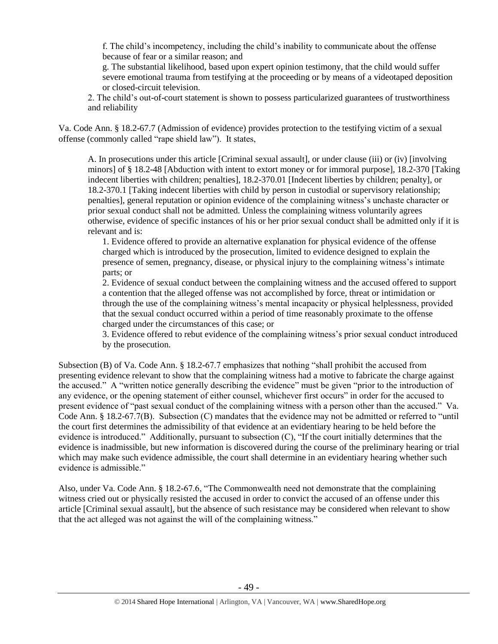f. The child's incompetency, including the child's inability to communicate about the offense because of fear or a similar reason; and

g. The substantial likelihood, based upon expert opinion testimony, that the child would suffer severe emotional trauma from testifying at the proceeding or by means of a videotaped deposition or closed-circuit television.

2. The child's out-of-court statement is shown to possess particularized guarantees of trustworthiness and reliability

Va. Code Ann. § 18.2-67.7 (Admission of evidence) provides protection to the testifying victim of a sexual offense (commonly called "rape shield law"). It states,

A. In prosecutions under this article [Criminal sexual assault], or under clause (iii) or (iv) [involving minors] of § 18.2-48 [Abduction with intent to extort money or for immoral purpose], 18.2-370 [Taking indecent liberties with children; penalties], 18.2-370.01 [Indecent liberties by children; penalty], or 18.2-370.1 [Taking indecent liberties with child by person in custodial or supervisory relationship; penalties], general reputation or opinion evidence of the complaining witness's unchaste character or prior sexual conduct shall not be admitted. Unless the complaining witness voluntarily agrees otherwise, evidence of specific instances of his or her prior sexual conduct shall be admitted only if it is relevant and is:

1. Evidence offered to provide an alternative explanation for physical evidence of the offense charged which is introduced by the prosecution, limited to evidence designed to explain the presence of semen, pregnancy, disease, or physical injury to the complaining witness's intimate parts; or

2. Evidence of sexual conduct between the complaining witness and the accused offered to support a contention that the alleged offense was not accomplished by force, threat or intimidation or through the use of the complaining witness's mental incapacity or physical helplessness, provided that the sexual conduct occurred within a period of time reasonably proximate to the offense charged under the circumstances of this case; or

3. Evidence offered to rebut evidence of the complaining witness's prior sexual conduct introduced by the prosecution.

Subsection (B) of Va. Code Ann. § 18.2-67.7 emphasizes that nothing "shall prohibit the accused from presenting evidence relevant to show that the complaining witness had a motive to fabricate the charge against the accused." A "written notice generally describing the evidence" must be given "prior to the introduction of any evidence, or the opening statement of either counsel, whichever first occurs" in order for the accused to present evidence of "past sexual conduct of the complaining witness with a person other than the accused." Va. Code Ann. § 18.2-67.7(B). Subsection (C) mandates that the evidence may not be admitted or referred to "until the court first determines the admissibility of that evidence at an evidentiary hearing to be held before the evidence is introduced." Additionally, pursuant to subsection (C), "If the court initially determines that the evidence is inadmissible, but new information is discovered during the course of the preliminary hearing or trial which may make such evidence admissible, the court shall determine in an evidentiary hearing whether such evidence is admissible."

Also, under Va. Code Ann. § 18.2-67.6, "The Commonwealth need not demonstrate that the complaining witness cried out or physically resisted the accused in order to convict the accused of an offense under this article [Criminal sexual assault], but the absence of such resistance may be considered when relevant to show that the act alleged was not against the will of the complaining witness."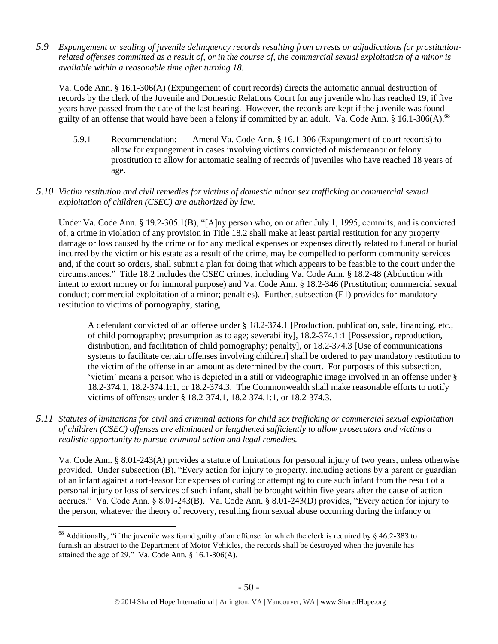*5.9 Expungement or sealing of juvenile delinquency records resulting from arrests or adjudications for prostitutionrelated offenses committed as a result of, or in the course of, the commercial sexual exploitation of a minor is available within a reasonable time after turning 18.*

Va. Code Ann. § 16.1-306(A) (Expungement of court records) directs the automatic annual destruction of records by the clerk of the Juvenile and Domestic Relations Court for any juvenile who has reached 19, if five years have passed from the date of the last hearing. However, the records are kept if the juvenile was found guilty of an offense that would have been a felony if committed by an adult. Va. Code Ann. § 16.1-306(A).<sup>68</sup>

5.9.1 Recommendation: Amend Va. Code Ann. § 16.1-306 (Expungement of court records) to allow for expungement in cases involving victims convicted of misdemeanor or felony prostitution to allow for automatic sealing of records of juveniles who have reached 18 years of age.

## *5.10 Victim restitution and civil remedies for victims of domestic minor sex trafficking or commercial sexual exploitation of children (CSEC) are authorized by law.*

Under Va. Code Ann. § 19.2-305.1(B), "[A]ny person who, on or after July 1, 1995, commits, and is convicted of, a crime in violation of any provision in Title 18.2 shall make at least partial restitution for any property damage or loss caused by the crime or for any medical expenses or expenses directly related to funeral or burial incurred by the victim or his estate as a result of the crime, may be compelled to perform community services and, if the court so orders, shall submit a plan for doing that which appears to be feasible to the court under the circumstances." Title 18.2 includes the CSEC crimes, including Va. Code Ann. § 18.2-48 (Abduction with intent to extort money or for immoral purpose) and Va. Code Ann. § 18.2-346 (Prostitution; commercial sexual conduct; commercial exploitation of a minor; penalties). Further, subsection (E1) provides for mandatory restitution to victims of pornography, stating,

A defendant convicted of an offense under § 18.2-374.1 [Production, publication, sale, financing, etc., of child pornography; presumption as to age; severability], 18.2-374.1:1 [Possession, reproduction, distribution, and facilitation of child pornography; penalty], or 18.2-374.3 [Use of communications systems to facilitate certain offenses involving children] shall be ordered to pay mandatory restitution to the victim of the offense in an amount as determined by the court. For purposes of this subsection, 'victim' means a person who is depicted in a still or videographic image involved in an offense under § 18.2-374.1, 18.2-374.1:1, or 18.2-374.3. The Commonwealth shall make reasonable efforts to notify victims of offenses under § 18.2-374.1, 18.2-374.1:1, or 18.2-374.3.

*5.11 Statutes of limitations for civil and criminal actions for child sex trafficking or commercial sexual exploitation of children (CSEC) offenses are eliminated or lengthened sufficiently to allow prosecutors and victims a realistic opportunity to pursue criminal action and legal remedies.*

Va. Code Ann. § 8.01-243(A) provides a statute of limitations for personal injury of two years, unless otherwise provided. Under subsection (B), "Every action for injury to property, including actions by a parent or guardian of an infant against a tort-feasor for expenses of curing or attempting to cure such infant from the result of a personal injury or loss of services of such infant, shall be brought within five years after the cause of action accrues." Va. Code Ann. § 8.01-243(B). Va. Code Ann. § 8.01-243(D) provides, "Every action for injury to the person, whatever the theory of recovery, resulting from sexual abuse occurring during the infancy or

<sup>&</sup>lt;sup>68</sup> Additionally, "if the juvenile was found guilty of an offense for which the clerk is required by  $\S$  46.2-383 to furnish an abstract to the Department of Motor Vehicles, the records shall be destroyed when the juvenile has attained the age of 29." Va. Code Ann. § 16.1-306(A).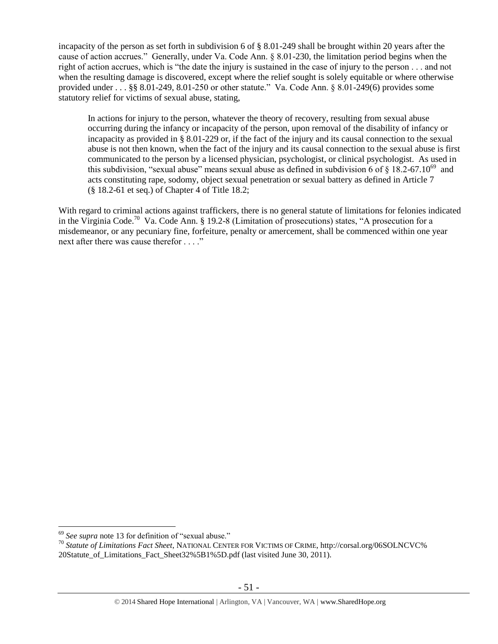incapacity of the person as set forth in subdivision 6 of § 8.01-249 shall be brought within 20 years after the cause of action accrues." Generally, under Va. Code Ann. § 8.01-230, the limitation period begins when the right of action accrues, which is "the date the injury is sustained in the case of injury to the person . . . and not when the resulting damage is discovered, except where the relief sought is solely equitable or where otherwise provided under . . . §§ 8.01-249, 8.01-250 or other statute." Va. Code Ann. § 8.01-249(6) provides some statutory relief for victims of sexual abuse, stating,

In actions for injury to the person, whatever the theory of recovery, resulting from sexual abuse occurring during the infancy or incapacity of the person, upon removal of the disability of infancy or incapacity as provided in § 8.01-229 or, if the fact of the injury and its causal connection to the sexual abuse is not then known, when the fact of the injury and its causal connection to the sexual abuse is first communicated to the person by a licensed physician, psychologist, or clinical psychologist. As used in this subdivision, "sexual abuse" means sexual abuse as defined in subdivision 6 of  $\S$  18.2-67.10<sup>69</sup> and acts constituting rape, sodomy, object sexual penetration or sexual battery as defined in Article 7 (§ 18.2-61 et seq.) of Chapter 4 of Title 18.2;

With regard to criminal actions against traffickers, there is no general statute of limitations for felonies indicated in the Virginia Code.<sup>70</sup> Va. Code Ann. § 19.2-8 (Limitation of prosecutions) states, "A prosecution for a misdemeanor, or any pecuniary fine, forfeiture, penalty or amercement, shall be commenced within one year next after there was cause therefor . . . ."

<sup>69</sup> *See supra* note [13](#page-4-0) for definition of "sexual abuse."

<sup>70</sup> *Statute of Limitations Fact Sheet*, NATIONAL CENTER FOR VICTIMS OF CRIME, http://corsal.org/06SOLNCVC% 20Statute\_of\_Limitations\_Fact\_Sheet32%5B1%5D.pdf (last visited June 30, 2011).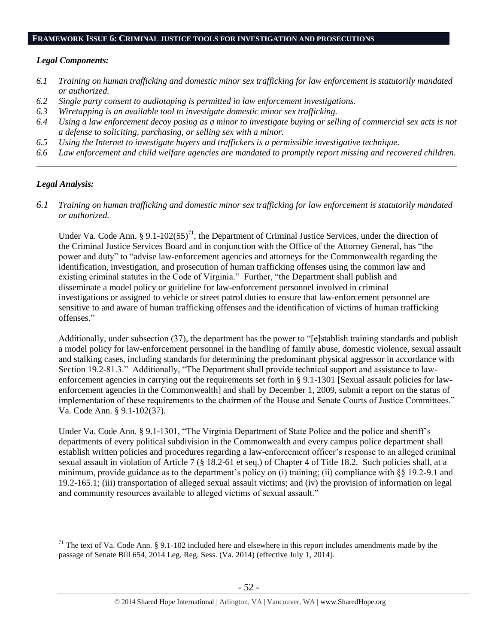#### **FRAMEWORK ISSUE 6: CRIMINAL JUSTICE TOOLS FOR INVESTIGATION AND PROSECUTIONS**

#### *Legal Components:*

- *6.1 Training on human trafficking and domestic minor sex trafficking for law enforcement is statutorily mandated or authorized.*
- *6.2 Single party consent to audiotaping is permitted in law enforcement investigations.*
- *6.3 Wiretapping is an available tool to investigate domestic minor sex trafficking.*
- *6.4 Using a law enforcement decoy posing as a minor to investigate buying or selling of commercial sex acts is not a defense to soliciting, purchasing, or selling sex with a minor.*
- *6.5 Using the Internet to investigate buyers and traffickers is a permissible investigative technique.*
- *6.6 Law enforcement and child welfare agencies are mandated to promptly report missing and recovered children. \_\_\_\_\_\_\_\_\_\_\_\_\_\_\_\_\_\_\_\_\_\_\_\_\_\_\_\_\_\_\_\_\_\_\_\_\_\_\_\_\_\_\_\_\_\_\_\_\_\_\_\_\_\_\_\_\_\_\_\_\_\_\_\_\_\_\_\_\_\_\_\_\_\_\_\_\_\_\_\_\_\_\_\_\_\_\_\_\_\_\_\_\_\_*

## *Legal Analysis:*

 $\overline{a}$ 

*6.1 Training on human trafficking and domestic minor sex trafficking for law enforcement is statutorily mandated or authorized.*

Under Va. Code Ann. § 9.1-102 $(55)^{71}$ , the Department of Criminal Justice Services, under the direction of the Criminal Justice Services Board and in conjunction with the Office of the Attorney General, has "the power and duty" to "advise law-enforcement agencies and attorneys for the Commonwealth regarding the identification, investigation, and prosecution of human trafficking offenses using the common law and existing criminal statutes in the Code of Virginia." Further, "the Department shall publish and disseminate a model policy or guideline for law-enforcement personnel involved in criminal investigations or assigned to vehicle or street patrol duties to ensure that law-enforcement personnel are sensitive to and aware of human trafficking offenses and the identification of victims of human trafficking offenses."

Additionally, under subsection (37), the department has the power to "[e]stablish training standards and publish a model policy for law-enforcement personnel in the handling of family abuse, domestic violence, sexual assault and stalking cases, including standards for determining the predominant physical aggressor in accordance with Section 19.2-81.3." Additionally, "The Department shall provide technical support and assistance to lawenforcement agencies in carrying out the requirements set forth in § 9.1-1301 [Sexual assault policies for lawenforcement agencies in the Commonwealth] and shall by December 1, 2009, submit a report on the status of implementation of these requirements to the chairmen of the House and Senate Courts of Justice Committees." Va. Code Ann. § 9.1-102(37).

Under Va. Code Ann. § 9.1-1301, "The Virginia Department of State Police and the police and sheriff's departments of every political subdivision in the Commonwealth and every campus police department shall establish written policies and procedures regarding a law-enforcement officer's response to an alleged criminal sexual assault in violation of Article 7 (§ 18.2-61 et seq.) of Chapter 4 of Title 18.2. Such policies shall, at a minimum, provide guidance as to the department's policy on (i) training; (ii) compliance with §§ 19.2-9.1 and 19.2-165.1; (iii) transportation of alleged sexual assault victims; and (iv) the provision of information on legal and community resources available to alleged victims of sexual assault."

 $71$  The text of Va. Code Ann. § 9.1-102 included here and elsewhere in this report includes amendments made by the passage of Senate Bill 654, 2014 Leg. Reg. Sess. (Va. 2014) (effective July 1, 2014).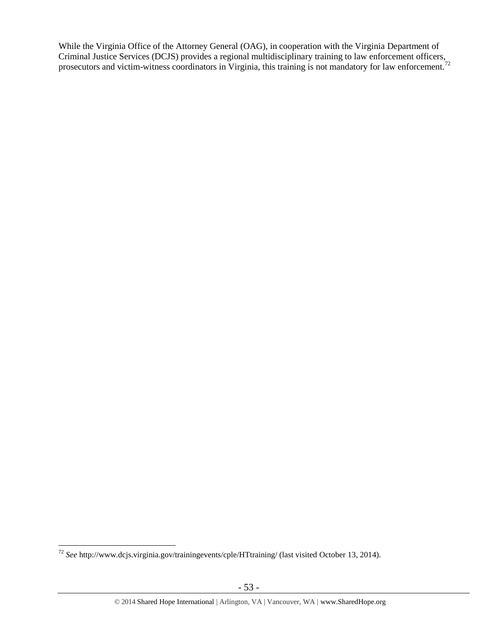While the Virginia Office of the Attorney General (OAG), in cooperation with the Virginia Department of Criminal Justice Services (DCJS) provides a regional multidisciplinary training to law enforcement officers, prosecutors and victim-witness coordinators in Virginia, this training is not mandatory for law enforcement.<sup>72</sup>

 $\overline{a}$ <sup>72</sup> *See* http://www.dcjs.virginia.gov/trainingevents/cple/HTtraining/ (last visited October 13, 2014).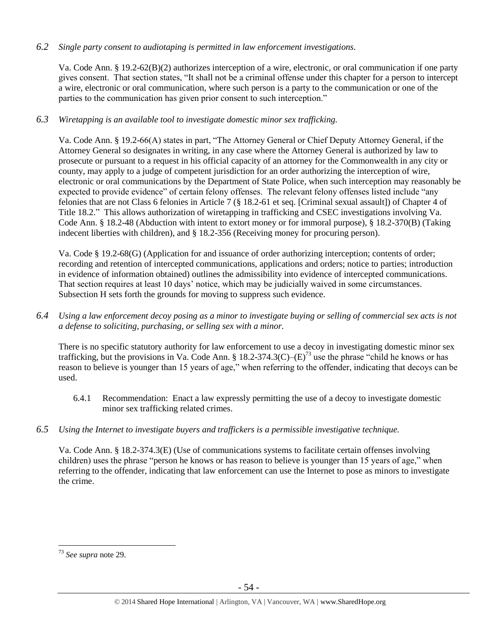# *6.2 Single party consent to audiotaping is permitted in law enforcement investigations.*

Va. Code Ann. § 19.2-62(B)(2) authorizes interception of a wire, electronic, or oral communication if one party gives consent. That section states, "It shall not be a criminal offense under this chapter for a person to intercept a wire, electronic or oral communication, where such person is a party to the communication or one of the parties to the communication has given prior consent to such interception."

# *6.3 Wiretapping is an available tool to investigate domestic minor sex trafficking.*

Va. Code Ann. § 19.2-66(A) states in part, "The Attorney General or Chief Deputy Attorney General, if the Attorney General so designates in writing, in any case where the Attorney General is authorized by law to prosecute or pursuant to a request in his official capacity of an attorney for the Commonwealth in any city or county, may apply to a judge of competent jurisdiction for an order authorizing the interception of wire, electronic or oral communications by the Department of State Police, when such interception may reasonably be expected to provide evidence" of certain felony offenses. The relevant felony offenses listed include "any felonies that are not Class 6 felonies in Article 7 (§ 18.2-61 et seq. [Criminal sexual assault]) of Chapter 4 of Title 18.2." This allows authorization of wiretapping in trafficking and CSEC investigations involving Va. Code Ann. § 18.2-48 (Abduction with intent to extort money or for immoral purpose), § 18.2-370(B) (Taking indecent liberties with children), and § 18.2-356 (Receiving money for procuring person).

Va. Code § 19.2-68(G) (Application for and issuance of order authorizing interception; contents of order; recording and retention of intercepted communications, applications and orders; notice to parties; introduction in evidence of information obtained) outlines the admissibility into evidence of intercepted communications. That section requires at least 10 days' notice, which may be judicially waived in some circumstances. Subsection H sets forth the grounds for moving to suppress such evidence.

*6.4 Using a law enforcement decoy posing as a minor to investigate buying or selling of commercial sex acts is not a defense to soliciting, purchasing, or selling sex with a minor.*

There is no specific statutory authority for law enforcement to use a decoy in investigating domestic minor sex trafficking, but the provisions in Va. Code Ann. § 18.2-374.3(C)– $(E)^{73}$  use the phrase "child he knows or has reason to believe is younger than 15 years of age," when referring to the offender, indicating that decoys can be used.

- 6.4.1 Recommendation: Enact a law expressly permitting the use of a decoy to investigate domestic minor sex trafficking related crimes.
- *6.5 Using the Internet to investigate buyers and traffickers is a permissible investigative technique.*

Va. Code Ann. § 18.2-374.3(E) (Use of communications systems to facilitate certain offenses involving children) uses the phrase "person he knows or has reason to believe is younger than 15 years of age," when referring to the offender, indicating that law enforcement can use the Internet to pose as minors to investigate the crime.

 $\overline{a}$ <sup>73</sup> *See supra* note [29.](#page-11-1)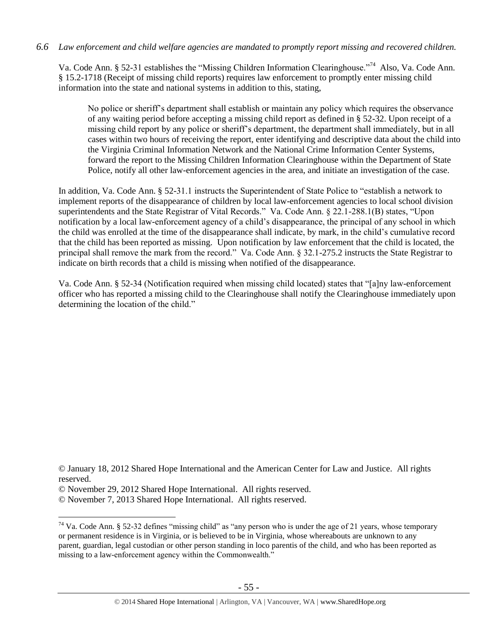*6.6 Law enforcement and child welfare agencies are mandated to promptly report missing and recovered children.*

Va. Code Ann. § 52-31 establishes the "Missing Children Information Clearinghouse."<sup>74</sup> Also, Va. Code Ann. § 15.2-1718 (Receipt of missing child reports) requires law enforcement to promptly enter missing child information into the state and national systems in addition to this, stating,

No police or sheriff's department shall establish or maintain any policy which requires the observance of any waiting period before accepting a missing child report as defined in § 52-32. Upon receipt of a missing child report by any police or sheriff's department, the department shall immediately, but in all cases within two hours of receiving the report, enter identifying and descriptive data about the child into the Virginia Criminal Information Network and the National Crime Information Center Systems, forward the report to the Missing Children Information Clearinghouse within the Department of State Police, notify all other law-enforcement agencies in the area, and initiate an investigation of the case.

In addition, Va. Code Ann. § 52-31.1 instructs the Superintendent of State Police to "establish a network to implement reports of the disappearance of children by local law-enforcement agencies to local school division superintendents and the State Registrar of Vital Records." Va. Code Ann. § 22.1-288.1(B) states, "Upon notification by a local law-enforcement agency of a child's disappearance, the principal of any school in which the child was enrolled at the time of the disappearance shall indicate, by mark, in the child's cumulative record that the child has been reported as missing. Upon notification by law enforcement that the child is located, the principal shall remove the mark from the record." Va. Code Ann. § 32.1-275.2 instructs the State Registrar to indicate on birth records that a child is missing when notified of the disappearance.

Va. Code Ann. § 52-34 (Notification required when missing child located) states that "[a]ny law-enforcement officer who has reported a missing child to the Clearinghouse shall notify the Clearinghouse immediately upon determining the location of the child."

<sup>©</sup> January 18, 2012 Shared Hope International and the American Center for Law and Justice. All rights reserved.

<sup>©</sup> November 29, 2012 Shared Hope International. All rights reserved.

<sup>©</sup> November 7, 2013 Shared Hope International. All rights reserved.

 $74$  Va. Code Ann. § 52-32 defines "missing child" as "any person who is under the age of 21 years, whose temporary or permanent residence is in Virginia, or is believed to be in Virginia, whose whereabouts are unknown to any parent, guardian, legal custodian or other person standing in loco parentis of the child, and who has been reported as missing to a law-enforcement agency within the Commonwealth."